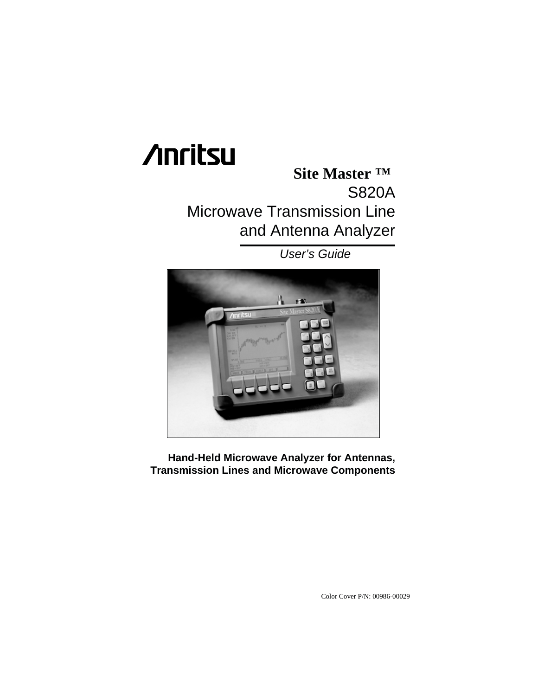# **/inritsu**

### **Site Master ™** S820A Microwave Transmission Line and Antenna Analyzer

User's Guide



**Hand-Held Microwave Analyzer for Antennas, Transmission Lines and Microwave Components**

Color Cover P/N: 00986-00029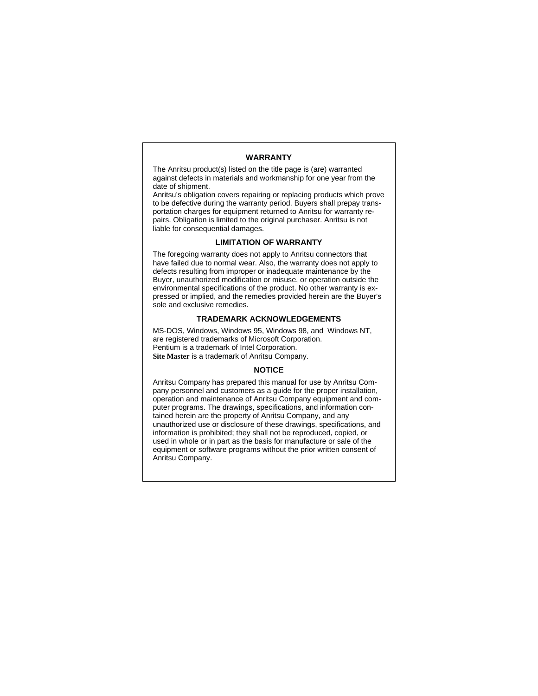#### **WARRANTY**

The Anritsu product(s) listed on the title page is (are) warranted against defects in materials and workmanship for one year from the date of shipment.

Anritsu's obligation covers repairing or replacing products which prove to be defective during the warranty period. Buyers shall prepay transportation charges for equipment returned to Anritsu for warranty repairs. Obligation is limited to the original purchaser. Anritsu is not liable for consequential damages.

#### **LIMITATION OF WARRANTY**

The foregoing warranty does not apply to Anritsu connectors that have failed due to normal wear. Also, the warranty does not apply to defects resulting from improper or inadequate maintenance by the Buyer, unauthorized modification or misuse, or operation outside the environmental specifications of the product. No other warranty is expressed or implied, and the remedies provided herein are the Buyer's sole and exclusive remedies.

#### **TRADEMARK ACKNOWLEDGEMENTS**

MS-DOS, Windows, Windows 95, Windows 98, and Windows NT, are registered trademarks of Microsoft Corporation. Pentium is a trademark of Intel Corporation. **Site Master** is a trademark of Anritsu Company.

#### **NOTICE**

Anritsu Company has prepared this manual for use by Anritsu Company personnel and customers as a guide for the proper installation, operation and maintenance of Anritsu Company equipment and computer programs. The drawings, specifications, and information contained herein are the property of Anritsu Company, and any unauthorized use or disclosure of these drawings, specifications, and information is prohibited; they shall not be reproduced, copied, or used in whole or in part as the basis for manufacture or sale of the equipment or software programs without the prior written consent of Anritsu Company.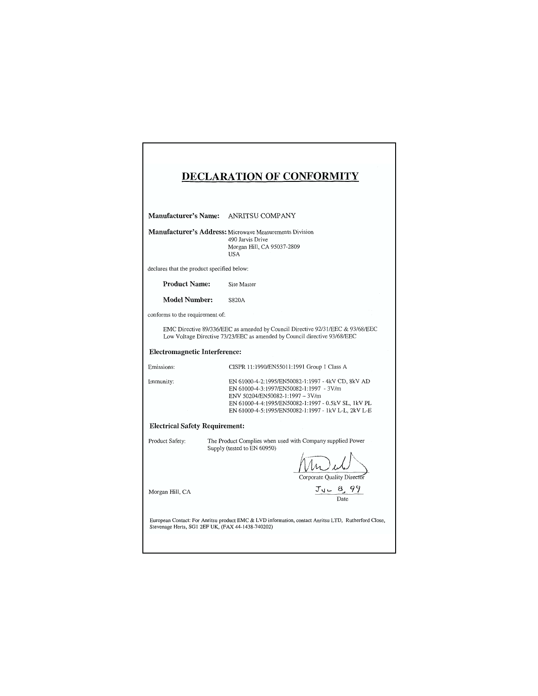|                                                                                                                                                          | <b>DECLARATION OF CONFORMITY</b>                                                                                                                                                                                                              |
|----------------------------------------------------------------------------------------------------------------------------------------------------------|-----------------------------------------------------------------------------------------------------------------------------------------------------------------------------------------------------------------------------------------------|
|                                                                                                                                                          |                                                                                                                                                                                                                                               |
|                                                                                                                                                          | Manufacturer's Name: ANRITSU COMPANY                                                                                                                                                                                                          |
|                                                                                                                                                          | <b>Manufacturer's Address:</b> Microwave Measurements Division<br>490 Jarvis Drive<br>Morgan Hill, CA 95037-2809<br><b>USA</b>                                                                                                                |
| declares that the product specified below:                                                                                                               |                                                                                                                                                                                                                                               |
| <b>Product Name:</b>                                                                                                                                     | Site Master                                                                                                                                                                                                                                   |
| Model Number:                                                                                                                                            | S820A                                                                                                                                                                                                                                         |
| conforms to the requirement of:                                                                                                                          |                                                                                                                                                                                                                                               |
|                                                                                                                                                          | EMC Directive 89/336/EEC as amended by Council Directive 92/31/EEC & 93/68/EEC<br>Low Voltage Directive 73/23/EEC as amended by Council directive 93/68/EEC                                                                                   |
| <b>Electromagnetic Interference:</b>                                                                                                                     |                                                                                                                                                                                                                                               |
| Emissions:                                                                                                                                               | CISPR 11:1990/EN55011:1991 Group 1 Class A                                                                                                                                                                                                    |
| Immunity:                                                                                                                                                | EN 61000-4-2:1995/EN50082-1:1997 - 4kV CD, 8kV AD<br>EN 61000-4-3:1997/EN50082-1:1997 - 3V/m<br>ENV 50204/EN50082-1:1997 - 3V/m<br>EN 61000-4-4:1995/EN50082-1:1997 - 0.5kV SL, 1kV PL<br>EN 61000-4-5:1995/EN50082-1:1997 - 1kV L-L, 2kV L-E |
| <b>Electrical Safety Requirement:</b>                                                                                                                    |                                                                                                                                                                                                                                               |
| Product Safety:                                                                                                                                          | The Product Complies when used with Company supplied Power<br>Supply (tested to EN 60950)<br>Corporate Ouality Director                                                                                                                       |
| Morgan Hill, CA                                                                                                                                          | $J_{\text{ul}} = \frac{8}{\text{Data}}.99$                                                                                                                                                                                                    |
| European Contact: For Anritsu product EMC & LVD information, contact Anritsu LTD, Rutherford Close,<br>Stevenage Herts, SG1 2EF UK, (FAX 44-1438-740202) |                                                                                                                                                                                                                                               |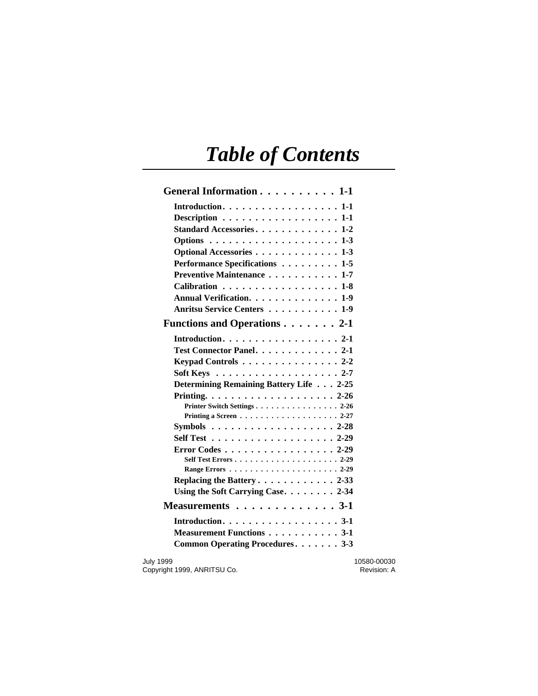## *Table of Contents*

| General Information 1-1                                       |             |
|---------------------------------------------------------------|-------------|
| Introduction. $\dots \dots \dots \dots \dots \dots \dots 1-1$ |             |
| Description $\ldots \ldots \ldots \ldots \ldots \ldots 1-1$   |             |
| Standard Accessories. 1-2                                     |             |
|                                                               |             |
| Optional Accessories 1-3                                      |             |
| Performance Specifications 1-5                                |             |
| Preventive Maintenance 1-7                                    |             |
| Calibration 1-8                                               |             |
| Annual Verification. 1-9                                      |             |
| Anritsu Service Centers 1-9                                   |             |
| Functions and Operations 2-1                                  |             |
| Introduction. $\ldots \ldots \ldots \ldots \ldots \ldots 2-1$ |             |
| Test Connector Panel. 2-1                                     |             |
| Keypad Controls 2-2                                           |             |
| Soft Keys $\ldots \ldots \ldots \ldots \ldots \ldots 2-7$     |             |
| Determining Remaining Battery Life 2-25                       |             |
|                                                               |             |
| Printer Switch Settings 2-26                                  |             |
| Printing a Screen $\ldots$ 2-27                               |             |
| Symbols $\ldots \ldots \ldots \ldots \ldots \ldots 2-28$      |             |
| Self Test $\ldots \ldots \ldots \ldots \ldots \ldots 2-29$    |             |
| Error Codes 2-29                                              |             |
|                                                               |             |
|                                                               |             |
| Replacing the Battery2-33                                     |             |
| Using the Soft Carrying Case. 2-34                            |             |
| Measurements $\dots \dots \dots \dots \dots 3-1$              |             |
|                                                               |             |
| Measurement Functions 3-1                                     |             |
| Common Operating Procedures 3-3                               |             |
| <b>July 1999</b>                                              | 10580-00030 |

Copyright 1999, ANRITSU Co. **Revision: A** Revision: A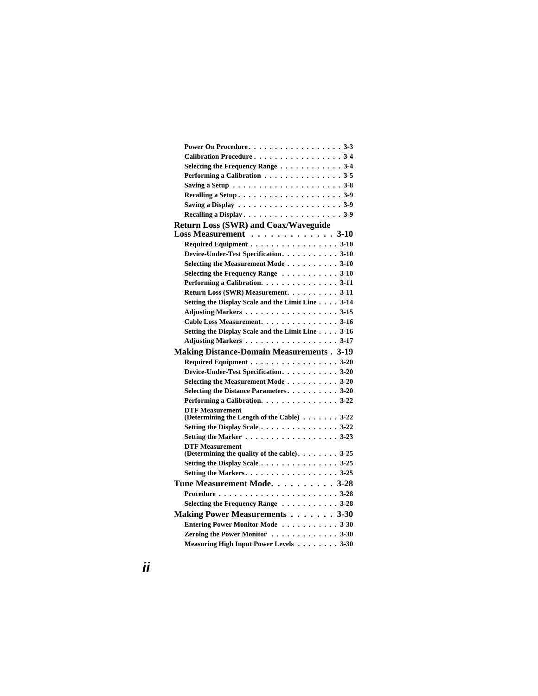| Power On Procedure3-3                                                      |
|----------------------------------------------------------------------------|
| Calibration Procedure 3-4                                                  |
| Selecting the Frequency Range $\dots \dots \dots \dots$ 3-4                |
| Performing a Calibration $\ldots \ldots \ldots \ldots \ldots$ 3-5          |
| Saving a Setup $\dots \dots \dots \dots \dots \dots \dots \dots \dots$ 3-8 |
|                                                                            |
| Saving a Display $\ldots \ldots \ldots \ldots \ldots \ldots \ldots 3-9$    |
|                                                                            |
| <b>Return Loss (SWR) and Coax/Waveguide</b>                                |
| Loss Measurement 3-10                                                      |
| Required Equipment 3-10                                                    |
| Device-Under-Test Specification. 3-10                                      |
| Selecting the Measurement Mode3-10                                         |
| Selecting the Frequency Range $\dots \dots \dots \dots$ 3-10               |
| Performing a Calibration. 3-11                                             |
| Return Loss (SWR) Measurement. 3-11                                        |
| Setting the Display Scale and the Limit Line 3-14                          |
| Adjusting Markers 3-15                                                     |
| Cable Loss Measurement. 3-16                                               |
| Setting the Display Scale and the Limit Line 3-16                          |
| Adjusting Markers3-17                                                      |
| <b>Making Distance-Domain Measurements. 3-19</b>                           |
| Required Equipment 3-20                                                    |
| Device-Under-Test Specification. 3-20                                      |
| Selecting the Measurement Mode3-20                                         |
| Selecting the Distance Parameters3-20                                      |
| Performing a Calibration. 3-22                                             |
| <b>DTF Measurement</b><br>(Determining the Length of the Cable) 3-22       |
| Setting the Display Scale $\dots \dots \dots \dots \dots \dots 3-22$       |
| Setting the Marker 3-23                                                    |
| <b>DTF Measurement</b>                                                     |
| (Determining the quality of the cable). $\dots \dots$ . 3-25               |
|                                                                            |
|                                                                            |
| Tune Measurement Mode. 3-28                                                |
|                                                                            |
| Selecting the Frequency Range 3-28                                         |
| Making Power Measurements 3-30                                             |
| Entering Power Monitor Mode 3-30                                           |
| Zeroing the Power Monitor 3-30                                             |
| Measuring High Input Power Levels 3-30                                     |
|                                                                            |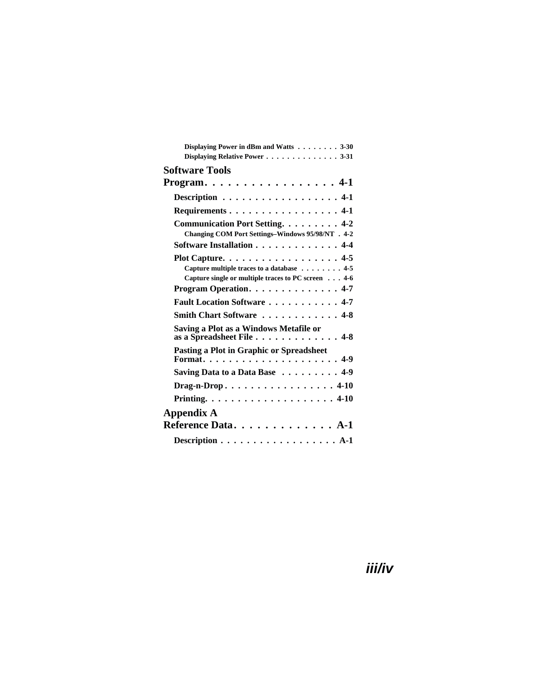| Displaying Power in dBm and Watts 3-30<br>Displaying Relative Power 3-31                                                                                                                                            |
|---------------------------------------------------------------------------------------------------------------------------------------------------------------------------------------------------------------------|
| <b>Software Tools</b>                                                                                                                                                                                               |
| Program. $\dots \dots \dots \dots \dots \dots 4-1$                                                                                                                                                                  |
| Description 4-1                                                                                                                                                                                                     |
| Requirements 4-1                                                                                                                                                                                                    |
| Communication Port Setting. 4-2<br>Changing COM Port Settings-Windows 95/98/NT . 4-2<br>Software Installation 4-4                                                                                                   |
| Plot Capture. $\ldots \ldots \ldots \ldots \ldots$ . 4-5<br>Capture multiple traces to a database 4-5<br>Capture single or multiple traces to PC screen 4-6<br>Program Operation. $\ldots \ldots \ldots \ldots$ 4-7 |
| Fault Location Software  4-7                                                                                                                                                                                        |
| Smith Chart Software 4-8                                                                                                                                                                                            |
| Saving a Plot as a Windows Metafile or<br>as a Spreadsheet File $\dots \dots \dots \dots \dots 4-8$                                                                                                                 |
| Pasting a Plot in Graphic or Spreadsheet                                                                                                                                                                            |
| Saving Data to a Data Base 4-9                                                                                                                                                                                      |
| Drag-n-Drop4-10                                                                                                                                                                                                     |
|                                                                                                                                                                                                                     |
| Appendix A<br>Reference Data. A-1                                                                                                                                                                                   |
| Description $\ldots \ldots \ldots \ldots \ldots \ldots$ A-1                                                                                                                                                         |

### **iii/iv**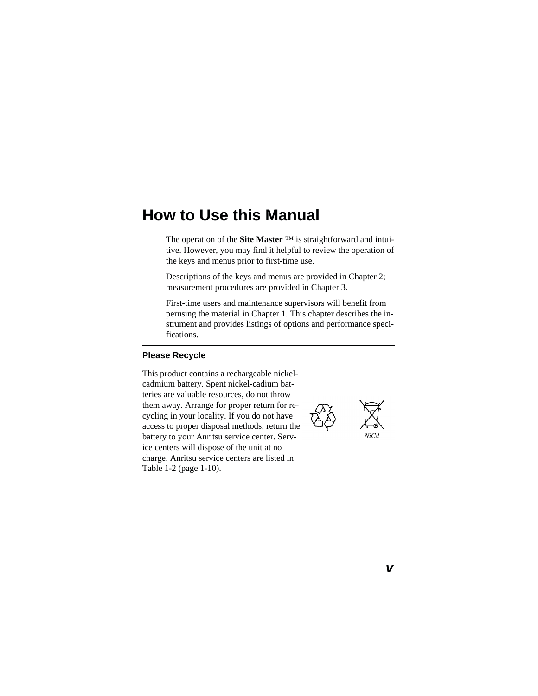### **How to Use this Manual**

The operation of the **Site Master** ™ is straightforward and intuitive. However, you may find it helpful to review the operation of the keys and menus prior to first-time use.

Descriptions of the keys and menus are provided in Chapter 2; measurement procedures are provided in Chapter 3.

First-time users and maintenance supervisors will benefit from perusing the material in Chapter 1. This chapter describes the instrument and provides listings of options and performance specifications.

#### **Please Recycle**

This product contains a rechargeable nickelcadmium battery. Spent nickel-cadium batteries are valuable resources, do not throw them away. Arrange for proper return for recycling in your locality. If you do not have access to proper disposal methods, return the battery to your Anritsu service center. Service centers will dispose of the unit at no charge. Anritsu service centers are listed in Table 1-2 (page [1-10](#page-19-0)).

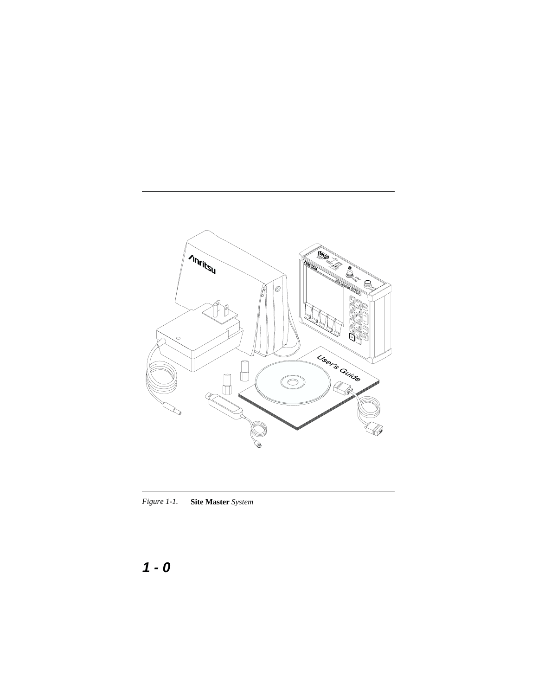<span id="page-9-0"></span>

*Figure 1-1.* **Site Master** *System*

### **1-0**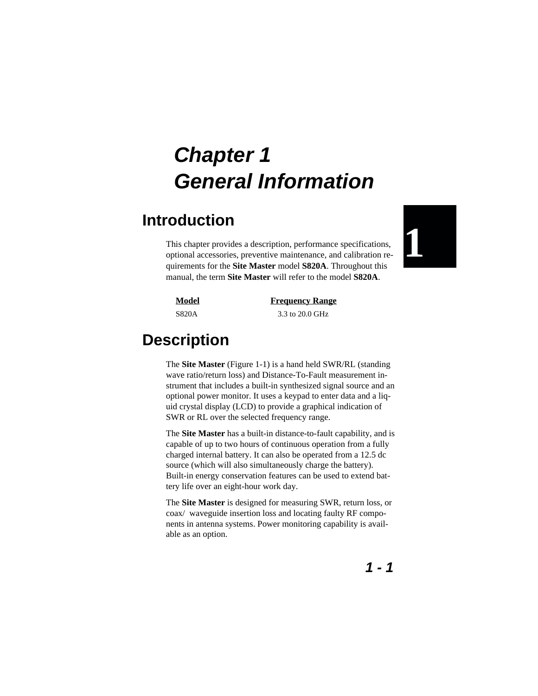### <span id="page-10-0"></span>**Introduction**

This chapter provides a description, performance specifications, optional accessories, preventive maintenance, and calibration requirements for the **Site Master** model **S820A**. Throughout this manual, the term **Site Master** will refer to the model **S820A**.



**Model Frequency Range** S820A 3.3 to 20.0 GHz

## **Description**

The **Site Master** (Figure 1-[1\)](#page-9-0) is a hand held SWR/RL (standing wave ratio/return loss) and Distance-To-Fault measurement instrument that includes a built-in synthesized signal source and an optional power monitor. It uses a keypad to enter data and a liquid crystal display (LCD) to provide a graphical indication of SWR or RL over the selected frequency range.

The **Site Master** has a built-in distance-to-fault capability, and is capable of up to two hours of continuous operation from a fully charged internal battery. It can also be operated from a 12.5 dc source (which will also simultaneously charge the battery). Built-in energy conservation features can be used to extend battery life over an eight-hour work day.

The **Site Master** is designed for measuring SWR, return loss, or coax/ waveguide insertion loss and locating faulty RF components in antenna systems. Power monitoring capability is available as an option.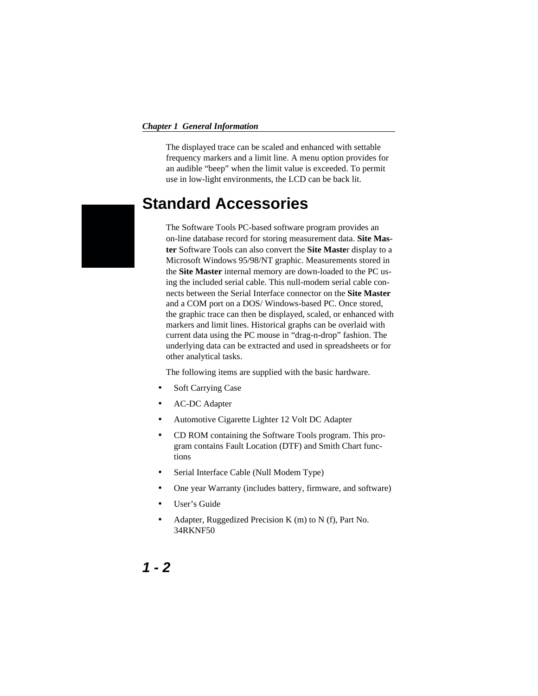<span id="page-11-0"></span>The displayed trace can be scaled and enhanced with settable frequency markers and a limit line. A menu option provides for an audible "beep" when the limit value is exceeded. To permit use in low-light environments, the LCD can be back lit.

### **Standard Accessories**

The Software Tools PC-based software program provides an on-line database record for storing measurement data. **Site Master** Software Tools can also convert the **Site Maste**r display to a Microsoft Windows 95/98/NT graphic. Measurements stored in the **Site Master** internal memory are down-loaded to the PC using the included serial cable. This null-modem serial cable connects between the Serial Interface connector on the **Site Master** and a COM port on a DOS/ Windows-based PC. Once stored, the graphic trace can then be displayed, scaled, or enhanced with markers and limit lines. Historical graphs can be overlaid with current data using the PC mouse in "drag-n-drop" fashion. The underlying data can be extracted and used in spreadsheets or for other analytical tasks.

The following items are supplied with the basic hardware.

- Soft Carrying Case
- AC-DC Adapter
- Automotive Cigarette Lighter 12 Volt DC Adapter
- CD ROM containing the Software Tools program. This program contains Fault Location (DTF) and Smith Chart functions
- Serial Interface Cable (Null Modem Type)
- One year Warranty (includes battery, firmware, and software)
- User's Guide
- Adapter, Ruggedized Precision K (m) to N (f), Part No. 34RKNF50

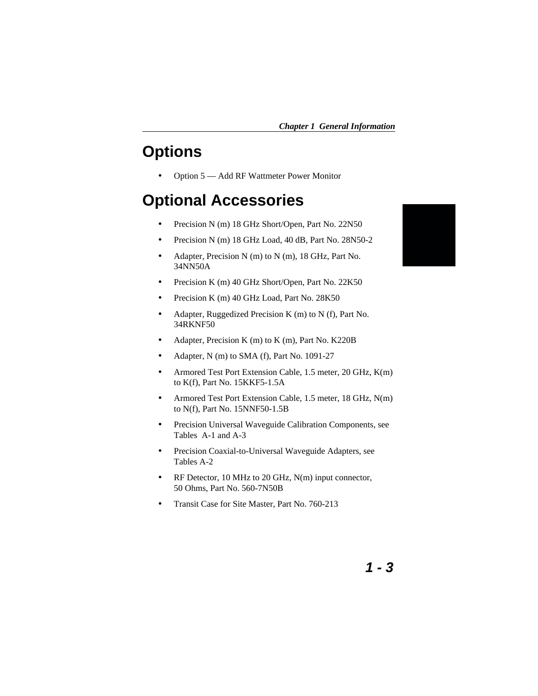### <span id="page-12-0"></span>**Options**

Option 5 — Add RF Wattmeter Power Monitor

### **Optional Accessories**

- Precision N (m) 18 GHz Short/Open, Part No. 22N50
- Precision N (m) 18 GHz Load, 40 dB, Part No. 28N50-2
- Adapter, Precision N (m) to N (m), 18 GHz, Part No. 34NN50A
- Precision K (m) 40 GHz Short/Open, Part No. 22K50
- Precision K (m) 40 GHz Load, Part No. 28K50
- Adapter, Ruggedized Precision K (m) to N (f), Part No. 34RKNF50
- Adapter, Precision K (m) to K (m), Part No. K220B
- Adapter, N (m) to SMA (f), Part No. 1091-27
- Armored Test Port Extension Cable, 1.5 meter, 20 GHz, K(m) to K(f), Part No. 15KKF5-1.5A
- Armored Test Port Extension Cable, 1.5 meter, 18 GHz, N(m) to N(f), Part No. 15NNF50-1.5B
- Precision Universal Waveguide Calibration Components, see Tables A-1 and A-3
- Precision Coaxial-to-Universal Waveguide Adapters, see Tables A-2
- RF Detector, 10 MHz to 20 GHz, N(m) input connector, 50 Ohms, Part No. 560-7N50B
- Transit Case for Site Master, Part No. 760-213

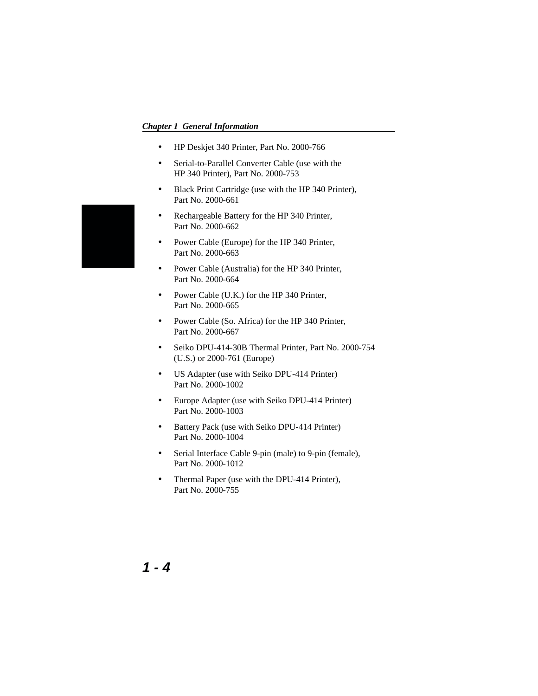- HP Deskjet 340 Printer, Part No. 2000-766
- Serial-to-Parallel Converter Cable (use with the HP 340 Printer), Part No. 2000-753
- Black Print Cartridge (use with the HP 340 Printer), Part No. 2000-661
- Rechargeable Battery for the HP 340 Printer, Part No. 2000-662
- Power Cable (Europe) for the HP 340 Printer, Part No. 2000-663
- Power Cable (Australia) for the HP 340 Printer, Part No. 2000-664
- Power Cable (U.K.) for the HP 340 Printer, Part No. 2000-665
- Power Cable (So. Africa) for the HP 340 Printer, Part No. 2000-667
- Seiko DPU-414-30B Thermal Printer, Part No. 2000-754 (U.S.) or 2000-761 (Europe)
- US Adapter (use with Seiko DPU-414 Printer) Part No. 2000-1002
- Europe Adapter (use with Seiko DPU-414 Printer) Part No. 2000-1003
- Battery Pack (use with Seiko DPU-414 Printer) Part No. 2000-1004
- Serial Interface Cable 9-pin (male) to 9-pin (female), Part No. 2000-1012
- Thermal Paper (use with the DPU-414 Printer), Part No. 2000-755



**1-4**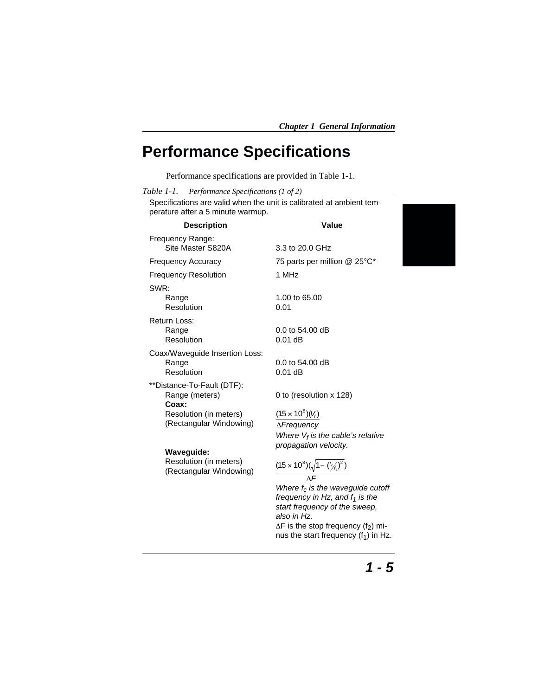### <span id="page-14-0"></span>**Performance Specifications**

Performance specifications are provided in Table 1-1.

| Table 1-1.<br>Performance Specifications (1 of 2) |  |
|---------------------------------------------------|--|
|---------------------------------------------------|--|

Specifications are valid when the unit is calibrated at ambient temperature after a 5 minute warmup.

| <b>Description</b>                                    | Value                                                                                               |
|-------------------------------------------------------|-----------------------------------------------------------------------------------------------------|
| Frequency Range:<br>Site Master S820A                 | 3.3 to 20.0 GHz                                                                                     |
| <b>Frequency Accuracy</b>                             | 75 parts per million @ 25°C*                                                                        |
| <b>Frequency Resolution</b>                           | 1 MHz                                                                                               |
| SWR:<br>Range<br>Resolution                           | 1.00 to 65.00<br>0.01                                                                               |
| Return Loss:<br>Range<br>Resolution                   | $0.0$ to 54.00 dB<br>$0.01$ dB                                                                      |
| Coax/Waveguide Insertion Loss:<br>Range<br>Resolution | $0.0$ to 54.00 dB<br>$0.01$ dB                                                                      |
| **Distance-To-Fault (DTF):<br>Range (meters)<br>Coax: | 0 to (resolution x 128)                                                                             |
| Resolution (in meters)                                | $(1.5 \times 10^8)(V_f)$                                                                            |
| (Rectangular Windowing)                               | $\Delta$ <i>Frequency</i>                                                                           |
|                                                       | Where $V_f$ is the cable's relative                                                                 |
| Waveguide:                                            | propagation velocity.                                                                               |
| Resolution (in meters)<br>(Rectangular Windowing)     | $\frac{(1.5\times10^8)(\sqrt{1-(\frac{f}{2f_1})^2})}{(1.5\times10^8)(\sqrt{1-(\frac{f}{2f_1})^2})}$ |
|                                                       | Where $f_c$ is the waveguide cutoff                                                                 |
|                                                       | frequency in Hz, and $f_1$ is the                                                                   |
|                                                       | start frequency of the sweep,<br>also in Hz.                                                        |

 $\Delta F$  is the stop frequency (f<sub>2</sub>) minus the start frequency  $(f_1)$  in Hz.

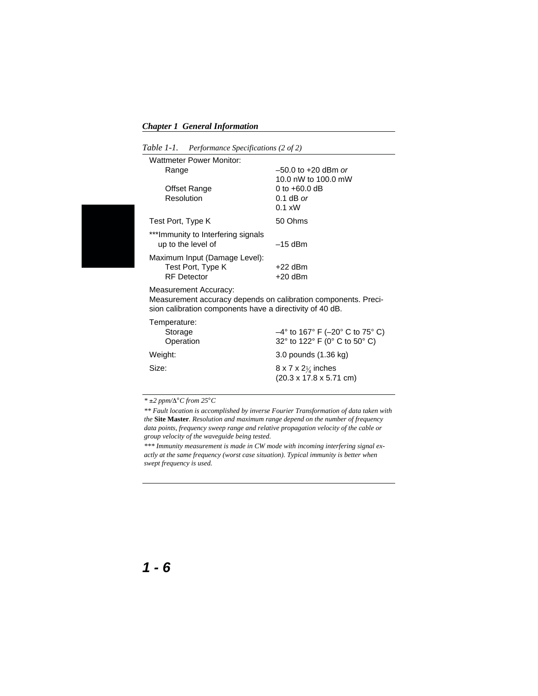|  | Table 1-1. |  | Performance Specifications (2 of 2) |  |  |
|--|------------|--|-------------------------------------|--|--|
|--|------------|--|-------------------------------------|--|--|

| <b>Wattmeter Power Monitor:</b>                          |                         |
|----------------------------------------------------------|-------------------------|
| Range                                                    | $-50.0$ to $+20$ dBm or |
|                                                          | 10.0 nW to 100.0 mW     |
| Offset Range                                             | 0 to $+60.0$ dB         |
| Resolution                                               | $0.1$ dB or             |
|                                                          | $0.1 \times W$          |
| Test Port, Type K                                        | 50 Ohms                 |
| ***Immunity to Interfering signals<br>up to the level of | $-15$ dBm               |
| Maximum Input (Damage Level):                            |                         |
| Test Port, Type K                                        | $+22$ dBm               |
| <b>RF</b> Detector                                       | $+20$ dBm               |
| Measurement Accuracy:                                    |                         |

Measurement accuracy depends on calibration components. Precision calibration components have a directivity of 40 dB.

| Temperature: |                                                                                |
|--------------|--------------------------------------------------------------------------------|
| Storage      | $-4^{\circ}$ to 167° F ( $-20^{\circ}$ C to 75° C)                             |
| Operation    | 32° to 122° F (0° C to 50° C)                                                  |
| Weight:      | 3.0 pounds (1.36 kg)                                                           |
| Size:        | $8 \times 7 \times 2\frac{1}{4}$ inches<br>$(20.3 \times 17.8 \times 5.71$ cm) |

 $*$   $\pm 2$  ppm/ $\Delta$ <sup>°</sup>C from 25<sup>°</sup>C

*\*\* Fault location is accomplished by inverse Fourier Transformation of data taken with the* **Site Master***. Resolution and maximum range depend on the number of frequency data points, frequency sweep range and relative propagation velocity of the cable or group velocity of the waveguide being tested.*

*\*\*\* Immunity measurement is made in CW mode with incoming interfering signal exactly at the same frequency (worst case situation). Typical immunity is better when swept frequency is used.*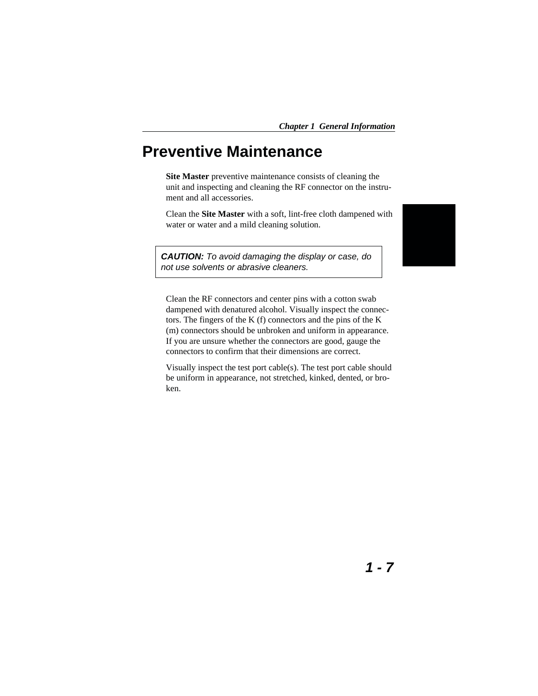### <span id="page-16-0"></span>**Preventive Maintenance**

**Site Master** preventive maintenance consists of cleaning the unit and inspecting and cleaning the RF connector on the instrument and all accessories.

Clean the **Site Master** with a soft, lint-free cloth dampened with water or water and a mild cleaning solution.

**CAUTION:** To avoid damaging the display or case, do not use solvents or abrasive cleaners.



Clean the RF connectors and center pins with a cotton swab dampened with denatured alcohol. Visually inspect the connectors. The fingers of the K (f) connectors and the pins of the K (m) connectors should be unbroken and uniform in appearance. If you are unsure whether the connectors are good, gauge the connectors to confirm that their dimensions are correct.

Visually inspect the test port cable(s). The test port cable should be uniform in appearance, not stretched, kinked, dented, or broken.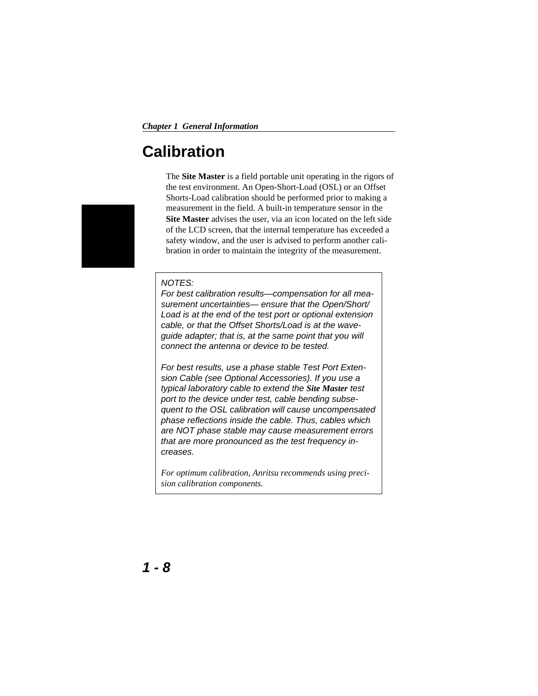### <span id="page-17-0"></span>**Calibration**

The **Site Master** is a field portable unit operating in the rigors of the test environment. An Open-Short-Load (OSL) or an Offset Shorts-Load calibration should be performed prior to making a measurement in the field. A built-in temperature sensor in the **Site Master** advises the user, via an icon located on the left side of the LCD screen, that the internal temperature has exceeded a safety window, and the user is advised to perform another calibration in order to maintain the integrity of the measurement.

#### NOTES:

For best calibration results—compensation for all measurement uncertainties-ensure that the Open/Short/ Load is at the end of the test port or optional extension cable, or that the Offset Shorts/Load is at the waveguide adapter; that is, at the same point that you will connect the antenna or device to be tested.

For best results, use a phase stable Test Port Extension Cable (see Optional Accessories). If you use a typical laboratory cable to extend the *Site Master* test port to the device under test, cable bending subsequent to the OSL calibration will cause uncompensated phase reflections inside the cable. Thus, cables which are NOT phase stable may cause measurement errors that are more pronounced as the test frequency increases.

*For optimum calibration, Anritsu recommends using precision calibration components.*

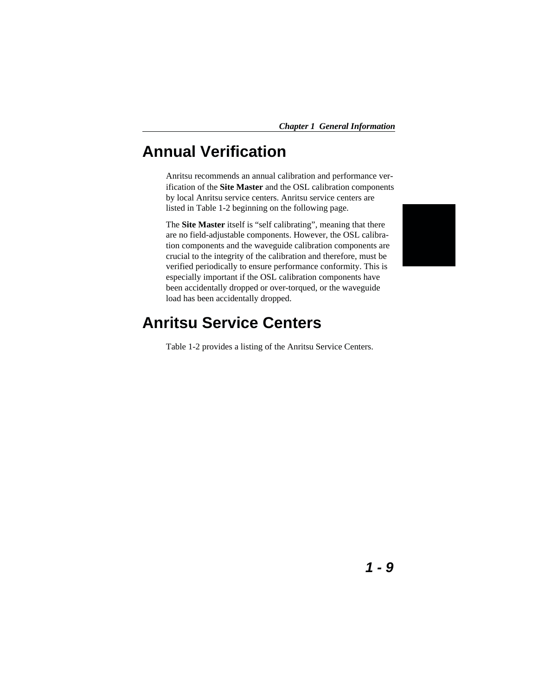### <span id="page-18-0"></span>**Annual Verification**

Anritsu recommends an annual calibration and performance verification of the **Site Master** and the OSL calibration components by local Anritsu service centers. Anritsu service centers are listed in Table 1-2 beginning on the following page.

The **Site Master** itself is "self calibrating", meaning that there are no field-adjustable components. However, the OSL calibration components and the waveguide calibration components are crucial to the integrity of the calibration and therefore, must be verified periodically to ensure performance conformity. This is especially important if the OSL calibration components have been accidentally dropped or over-torqued, or the waveguide load has been accidentally dropped.



### **Anritsu Service Centers**

Table 1-2 provides a listing of the Anritsu Service Centers.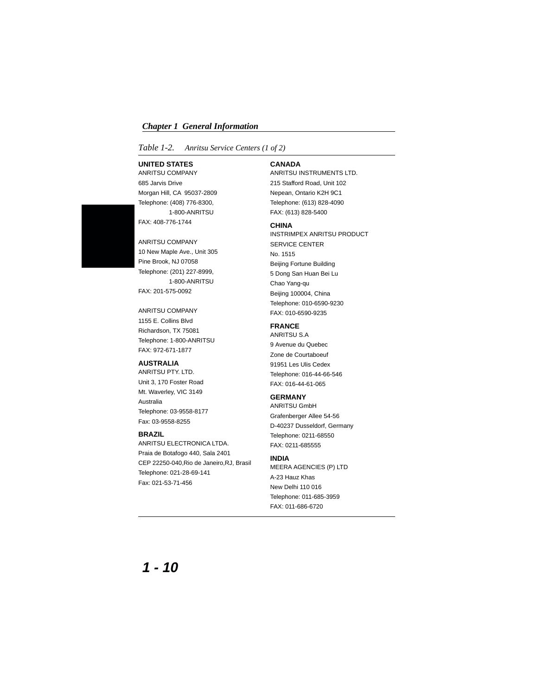<span id="page-19-0"></span>*Table 1-2. Anritsu Service Centers (1 of 2)*

#### **UNITED STATES**

ANRITSU COMPANY 685 Jarvis Drive Morgan Hill, CA 95037-2809 Telephone: (408) 776-8300, 1-800-ANRITSU FAX: 408-776-1744

ANRITSU COMPANY 10 New Maple Ave., Unit 305 Pine Brook, NJ 07058 Telephone: (201) 227-8999, 1-800-ANRITSU FAX: 201-575-0092

ANRITSU COMPANY 1155 E. Collins Blvd Richardson, TX 75081 Telephone: 1-800-ANRITSU FAX: 972-671-1877

#### **AUSTRALIA**

ANRITSU PTY. LTD. Unit 3, 170 Foster Road Mt. Waverley, VIC 3149 Australia Telephone: 03-9558-8177 Fax: 03-9558-8255

#### **BRAZIL**

ANRITSU ELECTRONICA LTDA. Praia de Botafogo 440, Sala 2401 CEP 22250-040,Rio de Janeiro,RJ, Brasil Telephone: 021-28-69-141 Fax: 021-53-71-456

#### **CANADA**

ANRITSU INSTRUMENTS LTD. 215 Stafford Road, Unit 102 Nepean, Ontario K2H 9C1 Telephone: (613) 828-4090 FAX: (613) 828-5400

#### **CHINA**

INSTRIMPEX ANRITSU PRODUCT SERVICE CENTER No. 1515 Beijing Fortune Building 5 Dong San Huan Bei Lu Chao Yang-qu Beijing 100004, China Telephone: 010-6590-9230 FAX: 010-6590-9235

#### **FRANCE**

ANRITSU S.A 9 Avenue du Quebec Zone de Courtaboeuf 91951 Les Ulis Cedex Telephone: 016-44-66-546 FAX: 016-44-61-065

#### **GERMANY**

ANRITSU GmbH Grafenberger Allee 54-56 D-40237 Dusseldorf, Germany Telephone: 0211-68550 FAX: 0211-685555

#### **INDIA**

MEERA AGENCIES (P) LTD A-23 Hauz Khas New Delhi 110 016 Telephone: 011-685-3959 FAX: 011-686-6720

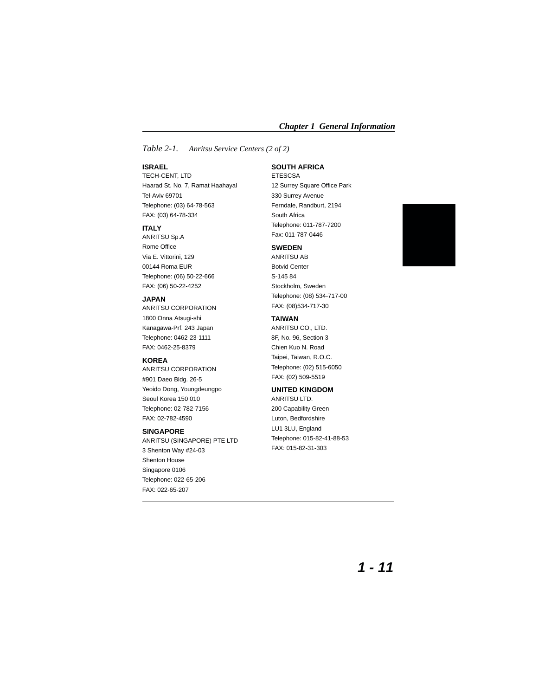#### *Table 2-1. Anritsu Service Centers (2 of 2)*

#### **ISRAEL**

TECH-CENT, LTD Haarad St. No. 7, Ramat Haahayal Tel-Aviv 69701 Telephone: (03) 64-78-563 FAX: (03) 64-78-334

#### **ITALY**

ANRITSU Sp.A Rome Office Via E. Vittorini, 129 00144 Roma EUR Telephone: (06) 50-22-666 FAX: (06) 50-22-4252

#### **JAPAN**

ANRITSU CORPORATION 1800 Onna Atsugi-shi Kanagawa-Prf. 243 Japan Telephone: 0462-23-1111 FAX: 0462-25-8379

#### **KOREA**

ANRITSU CORPORATION #901 Daeo Bldg. 26-5 Yeoido Dong, Youngdeungpo Seoul Korea 150 010 Telephone: 02-782-7156 FAX: 02-782-4590

#### **SINGAPORE**

ANRITSU (SINGAPORE) PTE LTD 3 Shenton Way #24-03 Shenton House Singapore 0106 Telephone: 022-65-206 FAX: 022-65-207

#### **SOUTH AFRICA**

ETESCSA 12 Surrey Square Office Park 330 Surrey Avenue Ferndale, Randburt, 2194 South Africa Telephone: 011-787-7200 Fax: 011-787-0446

#### **SWEDEN**

ANRITSU AB Botvid Center S-145 84 Stockholm, Sweden Telephone: (08) 534-717-00 FAX: (08)534-717-30

#### **TAIWAN**

ANRITSU CO., LTD. 8F, No. 96, Section 3 Chien Kuo N. Road Taipei, Taiwan, R.O.C. Telephone: (02) 515-6050 FAX: (02) 509-5519

#### **UNITED KINGDOM**

ANRITSU LTD. 200 Capability Green Luton, Bedfordshire LU1 3LU, England Telephone: 015-82-41-88-53 FAX: 015-82-31-303

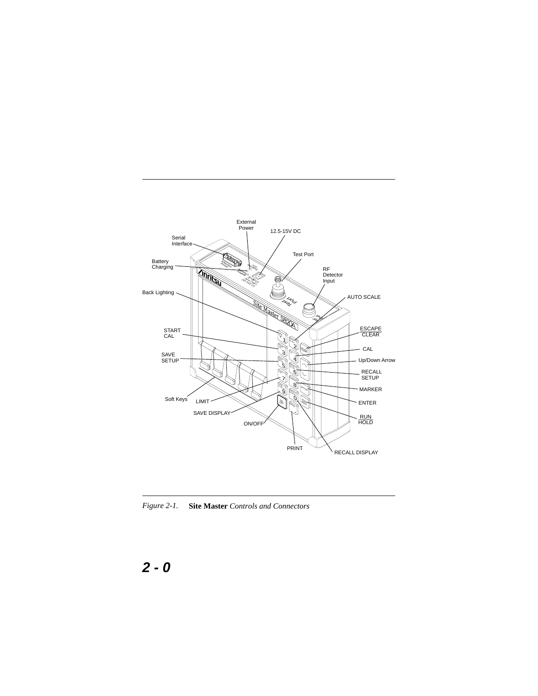

*Figure 2-1.* **Site Master** *Controls and Connectors*

### **2-0**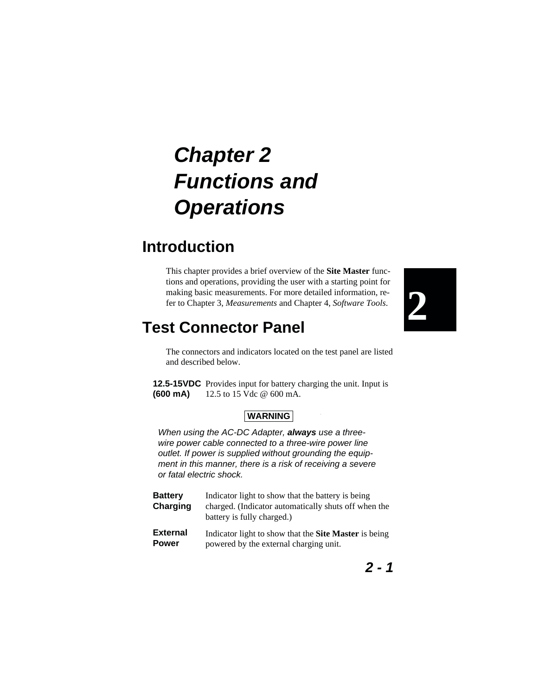## <span id="page-22-0"></span>**Chapter 2 Functions and Operations**

### **Introduction**

This chapter provides a brief overview of the **Site Master** functions and operations, providing the user with a starting point for making basic measurements. For more detailed information, refer to Chapter 3, *Measurements* and Chapter 4, *Software Tools*.



### **Test Connector Panel**

The connectors and indicators located on the test panel are listed and described below.

 $\bar{z}$ 

**12.5-15VDC** Provides input for battery charging the unit. Input is **(600 mA)** 12.5 to 15 Vdc @ 600 mA.

#### **WARNING**

When using the AC-DC Adapter, **always** use a threewire power cable connected to a three-wire power line outlet. If power is supplied without grounding the equipment in this manner, there is a risk of receiving a severe or fatal electric shock.

| <b>Battery</b><br>Charging | Indicator light to show that the battery is being<br>charged. (Indicator automatically shuts off when the<br>battery is fully charged.) |
|----------------------------|-----------------------------------------------------------------------------------------------------------------------------------------|
| <b>External</b>            | Indicator light to show that the Site Master is being                                                                                   |
| <b>Power</b>               | powered by the external charging unit.                                                                                                  |

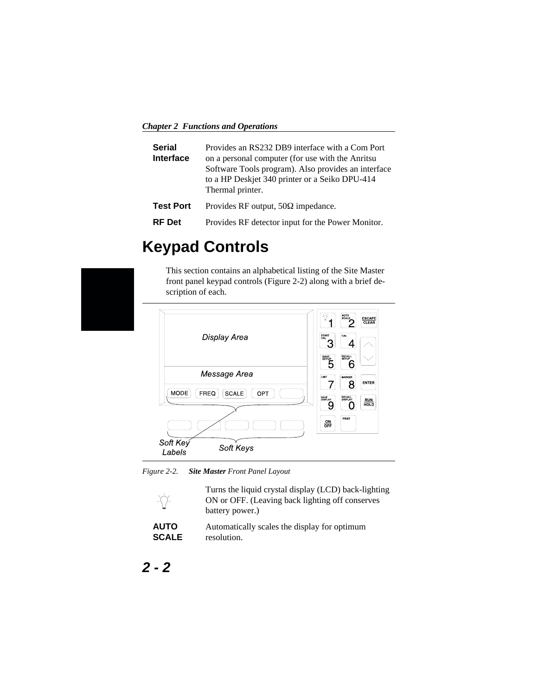<span id="page-23-0"></span>*Chapter 2 Functions and Operations*

| <b>Serial</b><br>Interface | Provides an RS232 DB9 interface with a Com Port<br>on a personal computer (for use with the Anritsu<br>Software Tools program). Also provides an interface<br>to a HP Deskjet 340 printer or a Seiko DPU-414<br>Thermal printer. |
|----------------------------|----------------------------------------------------------------------------------------------------------------------------------------------------------------------------------------------------------------------------------|
| <b>Test Port</b>           | Provides RF output, $50\Omega$ impedance.                                                                                                                                                                                        |
| <b>RF</b> Det              | Provides RF detector input for the Power Monitor.                                                                                                                                                                                |

### **Keypad Controls**

This section contains an alphabetical listing of the Site Master front panel keypad controls (Figure 2[-2](#page-23-0)) along with a brief description of each.



*Figure 2-2. Site Master Front Panel Layout*



| <b>AUTO</b>  | Automatically scales the display for optimum |
|--------------|----------------------------------------------|
| <b>SCALE</b> | resolution.                                  |

**2-2**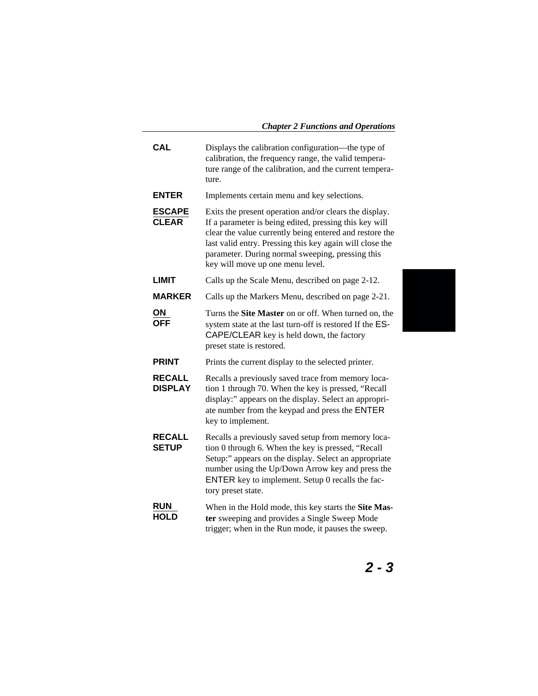| <b>CAL</b>                      | Displays the calibration configuration—the type of<br>calibration, the frequency range, the valid tempera-<br>ture range of the calibration, and the current tempera-<br>ture.                                                                                                                                                  |
|---------------------------------|---------------------------------------------------------------------------------------------------------------------------------------------------------------------------------------------------------------------------------------------------------------------------------------------------------------------------------|
| <b>ENTER</b>                    | Implements certain menu and key selections.                                                                                                                                                                                                                                                                                     |
| <b>ESCAPE</b><br><b>CLEAR</b>   | Exits the present operation and/or clears the display.<br>If a parameter is being edited, pressing this key will<br>clear the value currently being entered and restore the<br>last valid entry. Pressing this key again will close the<br>parameter. During normal sweeping, pressing this<br>key will move up one menu level. |
| <b>LIMIT</b>                    | Calls up the Scale Menu, described on page 2-12.                                                                                                                                                                                                                                                                                |
| <b>MARKER</b>                   | Calls up the Markers Menu, described on page 2-21.                                                                                                                                                                                                                                                                              |
| ΟN<br><b>OFF</b>                | Turns the Site Master on or off. When turned on, the<br>system state at the last turn-off is restored If the ES-<br>CAPE/CLEAR key is held down, the factory<br>preset state is restored.                                                                                                                                       |
| <b>PRINT</b>                    | Prints the current display to the selected printer.                                                                                                                                                                                                                                                                             |
| <b>RECALL</b><br><b>DISPLAY</b> | Recalls a previously saved trace from memory loca-<br>tion 1 through 70. When the key is pressed, "Recall<br>display:" appears on the display. Select an appropri-<br>ate number from the keypad and press the ENTER<br>key to implement.                                                                                       |
| <b>RECALL</b><br><b>SETUP</b>   | Recalls a previously saved setup from memory loca-<br>tion 0 through 6. When the key is pressed, "Recall<br>Setup:" appears on the display. Select an appropriate<br>number using the Up/Down Arrow key and press the<br>ENTER key to implement. Setup 0 recalls the fac-<br>tory preset state.                                 |
| <b>RUN</b><br><b>HOLD</b>       | When in the Hold mode, this key starts the Site Mas-<br>ter sweeping and provides a Single Sweep Mode<br>trigger; when in the Run mode, it pauses the sweep.                                                                                                                                                                    |

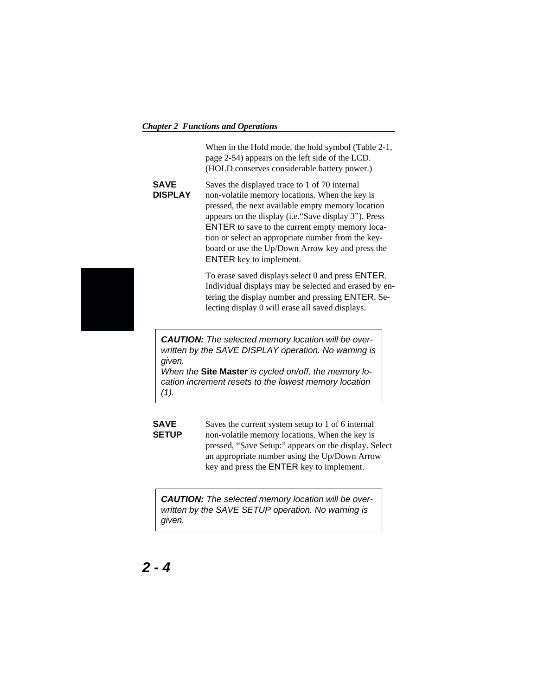#### *Chapter 2 Functions and Operations*

When in the Hold mode, the hold symbol (Table 2-1, page 2-54) appears on the left side of the LCD. (HOLD conserves considerable battery power.)

#### **SAVE DISPLAY**

Saves the displayed trace to 1 of 70 internal non-volatile memory locations. When the key is pressed, the next available empty memory location appears on the display (i.e."Save display 3"). Press ENTER to save to the current empty memory location or select an appropriate number from the keyboard or use the Up/Down Arrow key and press the ENTER key to implement.

To erase saved displays select 0 and press ENTER. Individual displays may be selected and erased by entering the display number and pressing ENTER. Selecting display 0 will erase all saved displays.

**CAUTION:** The selected memory location will be overwritten by the SAVE DISPLAY operation. No warning is given.

When the **Site Master** is cycled on/off, the memory location increment resets to the lowest memory location  $(1).$ 

**SAVE SETUP** Saves the current system setup to 1 of 6 internal non-volatile memory locations. When the key is pressed, "Save Setup:" appears on the display. Select an appropriate number using the Up/Down Arrow key and press the ENTER key to implement.

**CAUTION:** The selected memory location will be overwritten by the SAVE SETUP operation. No warning is given.

### **2-4**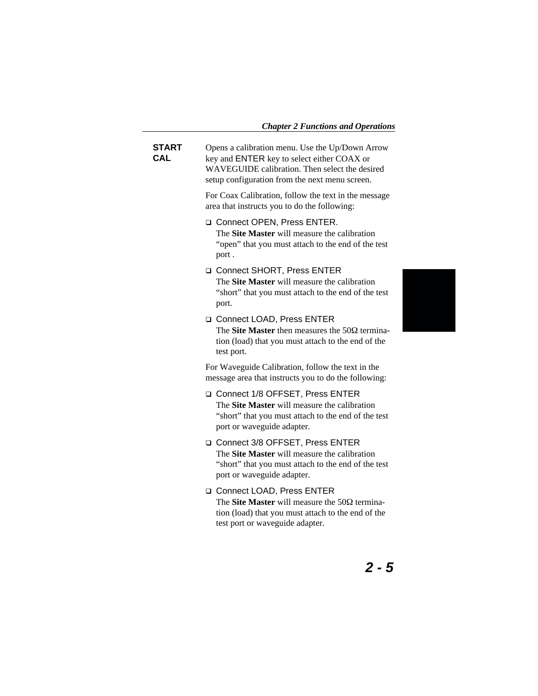### *Chapter 2 Functions and Operations*

| START<br>CAL | Opens a calibration menu. Use the Up/Down Arrow<br>key and ENTER key to select either COAX or<br>WAVEGUIDE calibration. Then select the desired<br>setup configuration from the next menu screen. |
|--------------|---------------------------------------------------------------------------------------------------------------------------------------------------------------------------------------------------|
|              | For Coax Calibration, follow the text in the message<br>area that instructs you to do the following:                                                                                              |
|              | Connect OPEN, Press ENTER.<br>The Site Master will measure the calibration<br>"open" that you must attach to the end of the test<br>port.                                                         |
|              | □ Connect SHORT, Press ENTER<br>The Site Master will measure the calibration<br>"short" that you must attach to the end of the test<br>port.                                                      |
|              | □ Connect LOAD, Press ENTER<br>The <b>Site Master</b> then measures the $50\Omega$ termina-<br>tion (load) that you must attach to the end of the<br>test port.                                   |
|              | For Waveguide Calibration, follow the text in the<br>message area that instructs you to do the following:                                                                                         |
|              | Connect 1/8 OFFSET, Press ENTER<br>The Site Master will measure the calibration<br>"short" that you must attach to the end of the test<br>port or waveguide adapter.                              |
|              | Connect 3/8 OFFSET, Press ENTER<br>The <b>Site Master</b> will measure the calibration<br>"short" that you must attach to the end of the test<br>port or waveguide adapter.                       |
|              | □ Connect LOAD, Press ENTER<br>The Site Master will measure the $50\Omega$ termina-<br>tion (load) that you must attach to the end of the<br>test port or waveguide adapter.                      |
|              |                                                                                                                                                                                                   |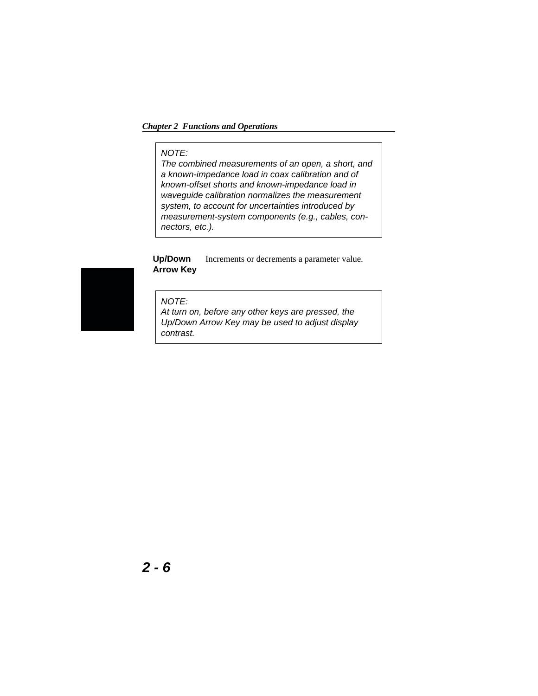#### *Chapter 2 Functions and Operations*

#### NOTE:

The combined measurements of an open, a short, and a known-impedance load in coax calibration and of known-offset shorts and known-impedance load in waveguide calibration normalizes the measurement system, to account for uncertainties introduced by measurement-system components (e.g., cables, connectors, etc.).

#### **Up/Down Arrow Key** Increments or decrements a parameter value.

#### NOTE:

At turn on, before any other keys are pressed, the Up/Down Arrow Key may be used to adjust display contrast.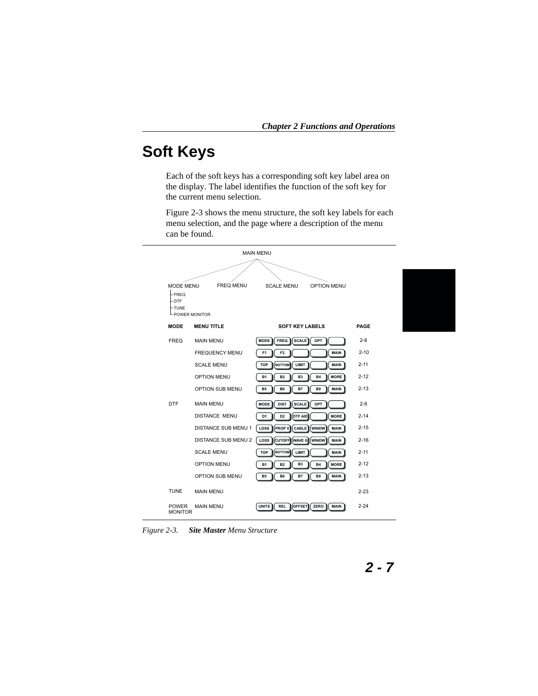### <span id="page-28-0"></span>**Soft Keys**

Each of the soft keys has a corresponding soft key label area on the display. The label identifies the function of the soft key for the current menu selection.

Figure 2-[3](#page-28-0) shows the menu structure, the soft key labels for each menu selection, and the page where a description of the menu can be found.



*Figure 2-3. Site Master Menu Structure*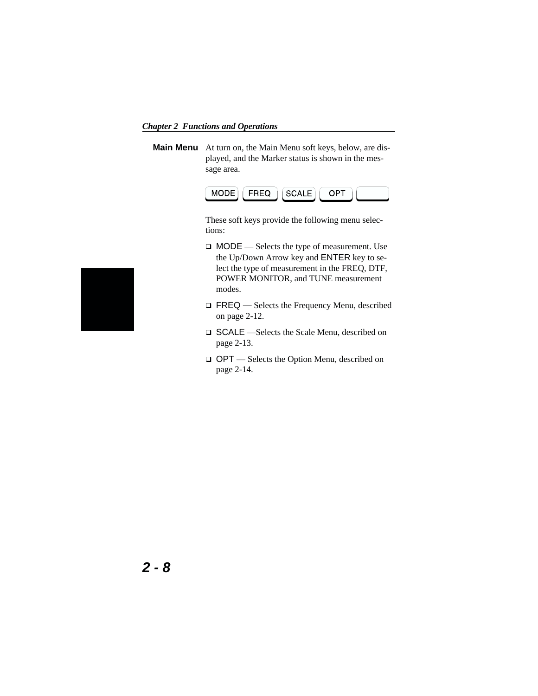*Chapter 2 Functions and Operations*

**Main Menu** At turn on, the Main Menu soft keys, below, are displayed, and the Marker status is shown in the message area.



These soft keys provide the following menu selections:

- MODE Selects the type of measurement. Use the Up/Down Arrow key and ENTER key to select the type of measurement in the FREQ, DTF, POWER MONITOR, and TUNE measurement modes.
- □ FREQ Selects the Frequency Menu, described on page 2-12.
- SCALE —Selects the Scale Menu, described on page 2-13.
- OPT Selects the Option Menu, described on page 2-14.

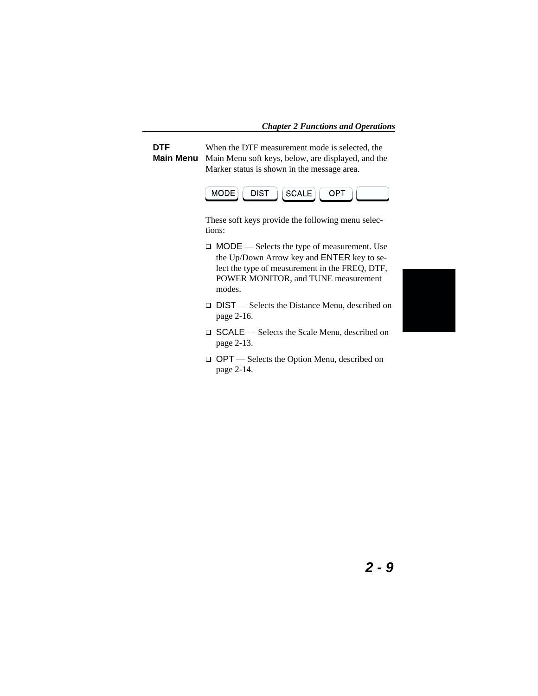**DTF Main Menu** When the DTF measurement mode is selected, the Main Menu soft keys, below, are displayed, and the Marker status is shown in the message area.



These soft keys provide the following menu selections:

- MODE Selects the type of measurement. Use the Up/Down Arrow key and ENTER key to select the type of measurement in the FREQ, DTF, POWER MONITOR, and TUNE measurement modes.
- □ DIST Selects the Distance Menu, described on page 2-16.
- SCALE Selects the Scale Menu, described on page 2-13.
- OPT Selects the Option Menu, described on page 2-14.

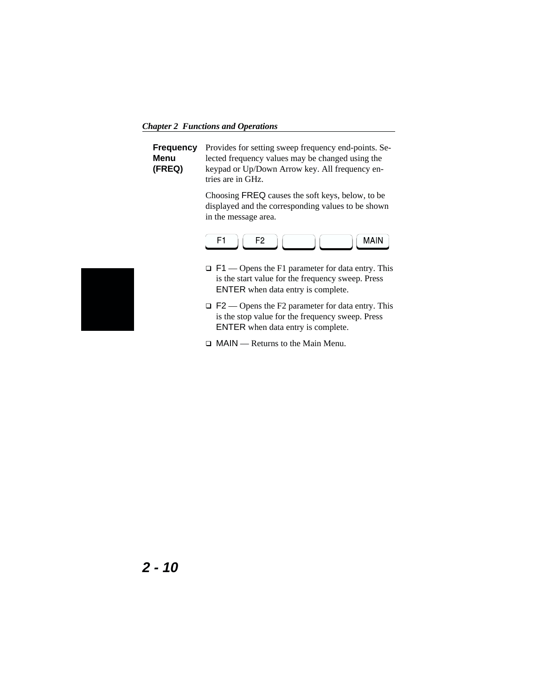*Chapter 2 Functions and Operations*

|        | <b>Frequency</b> Provides for setting sweep frequency end-points. Se- |
|--------|-----------------------------------------------------------------------|
| Menu   | lected frequency values may be changed using the                      |
| (FREQ) | keypad or Up/Down Arrow key. All frequency en-                        |
|        | tries are in GHz.                                                     |

Choosing FREQ causes the soft keys, below, to be displayed and the corresponding values to be shown in the message area.



- $\Box$  F1 Opens the F1 parameter for data entry. This is the start value for the frequency sweep. Press ENTER when data entry is complete.
- $\Box$  F2 Opens the F2 parameter for data entry. This is the stop value for the frequency sweep. Press ENTER when data entry is complete.
- MAIN Returns to the Main Menu.

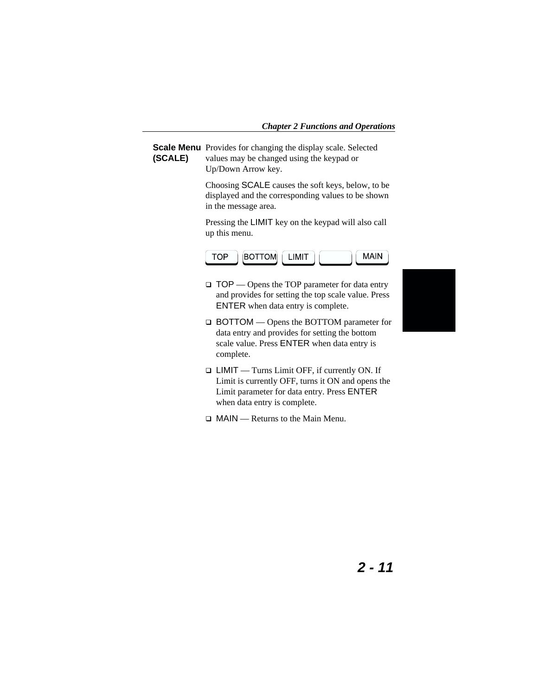**Scale Menu** Provides for changing the display scale. Selected **(SCALE)** values may be changed using the keypad or Up/Down Arrow key.

> Choosing SCALE causes the soft keys, below, to be displayed and the corresponding values to be shown in the message area.

Pressing the LIMIT key on the keypad will also call up this menu.



- $\Box$  TOP Opens the TOP parameter for data entry and provides for setting the top scale value. Press ENTER when data entry is complete.
- BOTTOM Opens the BOTTOM parameter for data entry and provides for setting the bottom scale value. Press ENTER when data entry is complete.
- LIMIT Turns Limit OFF, if currently ON. If Limit is currently OFF, turns it ON and opens the Limit parameter for data entry. Press ENTER when data entry is complete.
- $\Box$  MAIN Returns to the Main Menu.

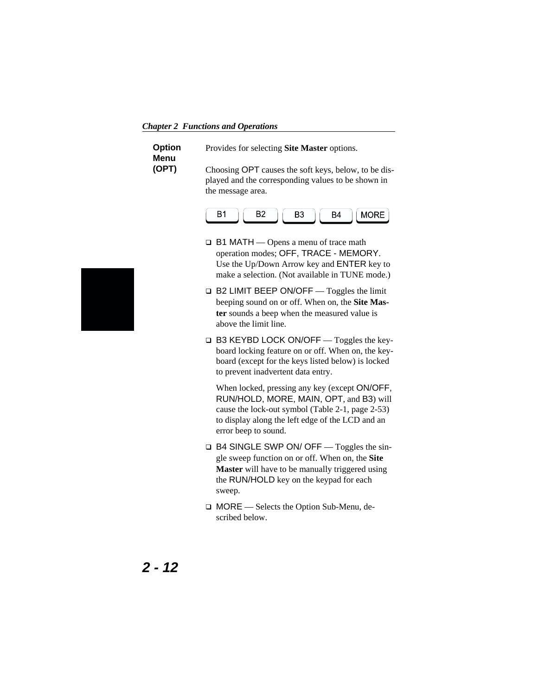*Chapter 2 Functions and Operations*

| Option | Provides for selecting <b>Site Master</b> options.                                                                              |
|--------|---------------------------------------------------------------------------------------------------------------------------------|
| Menu   |                                                                                                                                 |
| (OPT)  | Choosing OPT causes the soft keys, below, to be dis-<br>played and the corresponding values to be shown in<br>the message area. |



- $\Box$  B1 MATH Opens a menu of trace math operation modes; OFF, TRACE - MEMORY. Use the Up/Down Arrow key and ENTER key to make a selection. (Not available in TUNE mode.)
- $\Box$  B2 LIMIT BEEP ON/OFF Toggles the limit beeping sound on or off. When on, the **Site Master** sounds a beep when the measured value is above the limit line.
- □ B3 KEYBD LOCK ON/OFF Toggles the keyboard locking feature on or off. When on, the keyboard (except for the keys listed below) is locked to prevent inadvertent data entry.

When locked, pressing any key (except ON/OFF, RUN/HOLD, MORE, MAIN, OPT, and B3) will cause the lock-out symbol (Table 2-1, page 2-53) to display along the left edge of the LCD and an error beep to sound.

- $\Box$  B4 SINGLE SWP ON/ OFF Toggles the single sweep function on or off. When on, the **Site Master** will have to be manually triggered using the RUN/HOLD key on the keypad for each sweep.
- □ MORE Selects the Option Sub-Menu, described below.

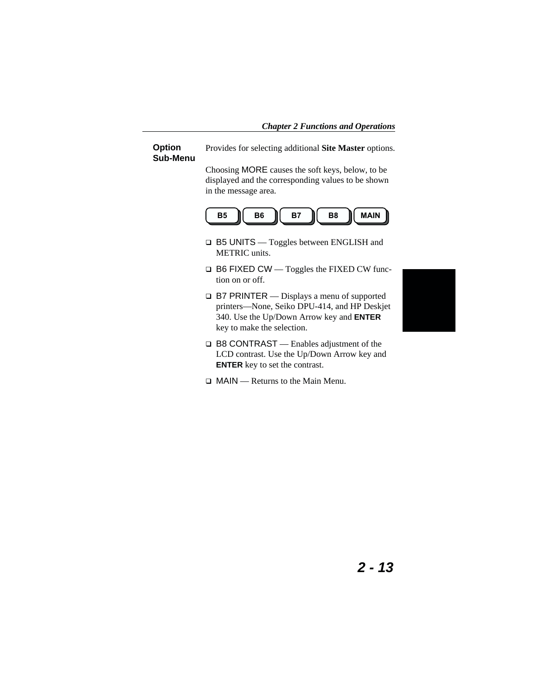#### **Option Sub-Menu**

Provides for selecting additional **Site Master** options.

Choosing MORE causes the soft keys, below, to be displayed and the corresponding values to be shown in the message area.



- □ B5 UNITS Toggles between ENGLISH and METRIC units.
- □ B6 FIXED CW Toggles the FIXED CW function on or off.
- □ B7 PRINTER Displays a menu of supported printers—None, Seiko DPU-414, and HP Deskjet 340. Use the Up/Down Arrow key and **ENTER** key to make the selection.
- □ B8 CONTRAST Enables adjustment of the LCD contrast. Use the Up/Down Arrow key and **ENTER** key to set the contrast.
- $\Box$  MAIN Returns to the Main Menu.

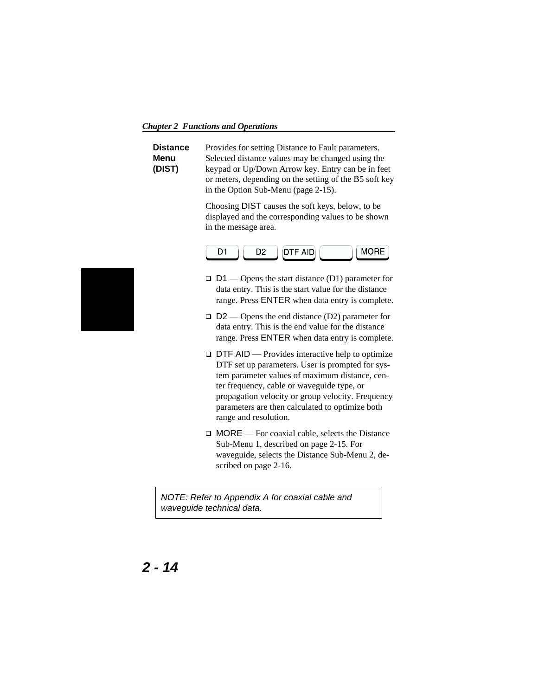*Chapter 2 Functions and Operations*

| Distance | Provides for setting Distance to Fault parameters.     |
|----------|--------------------------------------------------------|
| Menu     | Selected distance values may be changed using the      |
| (DIST)   | keypad or Up/Down Arrow key. Entry can be in feet      |
|          | or meters, depending on the setting of the B5 soft key |
|          | in the Option Sub-Menu (page 2-15).                    |

Choosing DIST causes the soft keys, below, to be displayed and the corresponding values to be shown in the message area.



- $\Box$  D1 Opens the start distance (D1) parameter for data entry. This is the start value for the distance range. Press ENTER when data entry is complete.
- $\Box$  D2 Opens the end distance (D2) parameter for data entry. This is the end value for the distance range. Press ENTER when data entry is complete.
- $\Box$  DTF AID Provides interactive help to optimize DTF set up parameters. User is prompted for system parameter values of maximum distance, center frequency, cable or waveguide type, or propagation velocity or group velocity. Frequency parameters are then calculated to optimize both range and resolution.
- $\Box$  MORE For coaxial cable, selects the Distance Sub-Menu 1, described on page [2-15.](#page-36-0) For waveguide, selects the Distance Sub-Menu 2, described on page [2-16.](#page-37-0)

NOTE: Refer to Appendix A for coaxial cable and waveguide technical data.

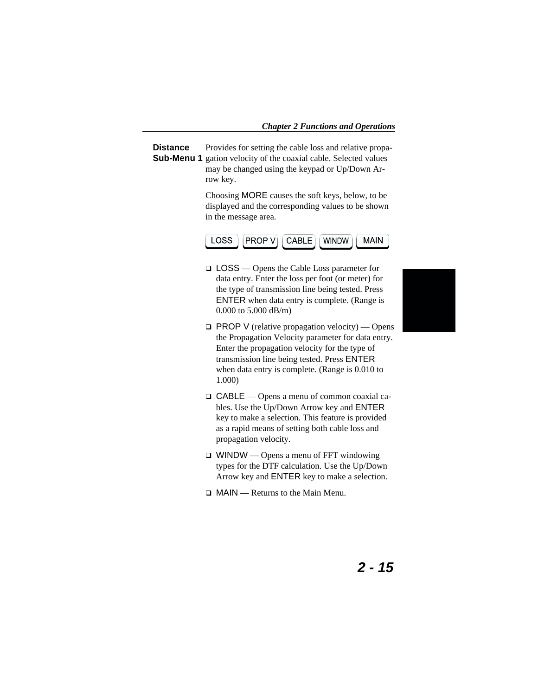**Distance** Sub-Menu 1 gation velocity of the coaxial cable. Selected values Provides for setting the cable loss and relative propamay be changed using the keypad or Up/Down Arrow key.

> Choosing MORE causes the soft keys, below, to be displayed and the corresponding values to be shown in the message area.



- LOSS Opens the Cable Loss parameter for data entry. Enter the loss per foot (or meter) for the type of transmission line being tested. Press ENTER when data entry is complete. (Range is 0.000 to 5.000 dB/m)
- $\Box$  PROP V (relative propagation velocity) Opens the Propagation Velocity parameter for data entry. Enter the propagation velocity for the type of transmission line being tested. Press ENTER when data entry is complete. (Range is 0.010 to 1.000)
- CABLE Opens a menu of common coaxial cables. Use the Up/Down Arrow key and ENTER key to make a selection. This feature is provided as a rapid means of setting both cable loss and propagation velocity.
- $\Box$  WINDW Opens a menu of FFT windowing types for the DTF calculation. Use the Up/Down Arrow key and ENTER key to make a selection.
- $\Box$  MAIN Returns to the Main Menu.

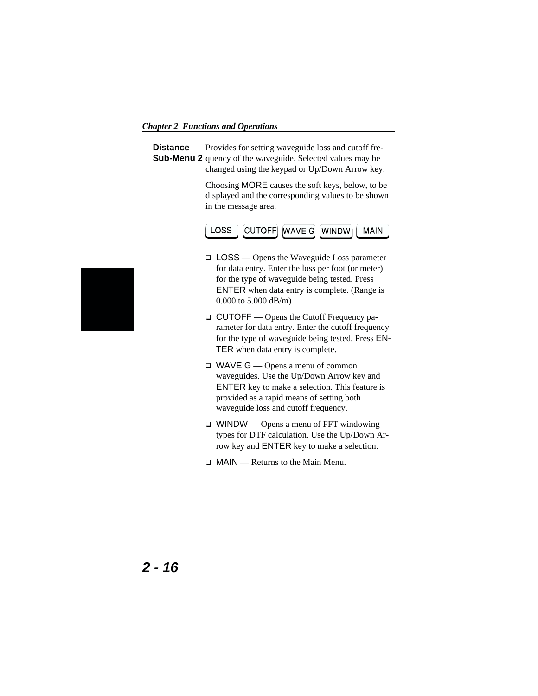*Chapter 2 Functions and Operations*

**Distance Sub-Menu 2** quency of the waveguide. Selected values may be Provides for setting waveguide loss and cutoff frechanged using the keypad or Up/Down Arrow key.

> Choosing MORE causes the soft keys, below, to be displayed and the corresponding values to be shown in the message area.



- □ LOSS Opens the Waveguide Loss parameter for data entry. Enter the loss per foot (or meter) for the type of waveguide being tested. Press ENTER when data entry is complete. (Range is 0.000 to 5.000 dB/m)
- □ CUTOFF Opens the Cutoff Frequency parameter for data entry. Enter the cutoff frequency for the type of waveguide being tested. Press EN-TER when data entry is complete.
- $\Box$  WAVE  $G$  Opens a menu of common waveguides. Use the Up/Down Arrow key and ENTER key to make a selection. This feature is provided as a rapid means of setting both waveguide loss and cutoff frequency.
- $\Box$  WINDW Opens a menu of FFT windowing types for DTF calculation. Use the Up/Down Arrow key and ENTER key to make a selection.
- $\Box$  MAIN Returns to the Main Menu.



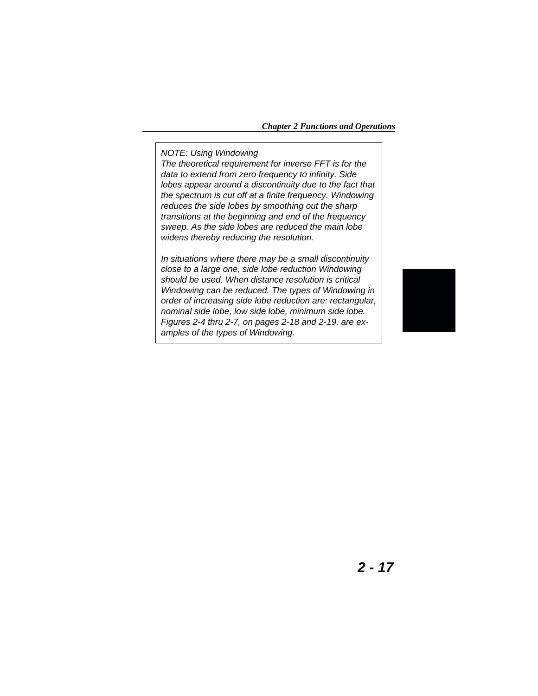NOTE: Using Windowing

The theoretical requirement for inverse FFT is for the data to extend from zero frequency to infinity. Side lobes appear around a discontinuity due to the fact that the spectrum is cut off at a finite frequency. Windowing reduces the side lobes by smoothing out the sharp transitions at the beginning and end of the frequency sweep. As the side lobes are reduced the main lobe widens thereby reducing the resolution.

In situations where there may be a small discontinuity close to a large one, side lobe reduction Windowing should be used. When distance resolution is critical Windowing can be reduced. The types of Windowing in order of increasing side lobe reduction are: rectangular, nominal side lobe, low side lobe, minimum side lobe. Figures 2[-4](#page-39-0) thru 2-[7](#page-40-0), on pages [2-18](#page-39-0) and [2-19,](#page-40-0) are examples of the types of Windowing.

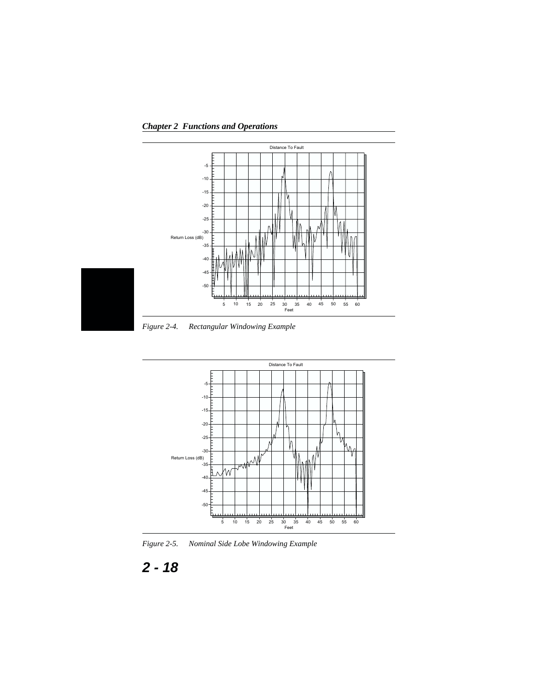<span id="page-39-0"></span>*Chapter 2 Functions and Operations*



*Figure 2-4. Rectangular Windowing Example*



*Figure 2-5. Nominal Side Lobe Windowing Example*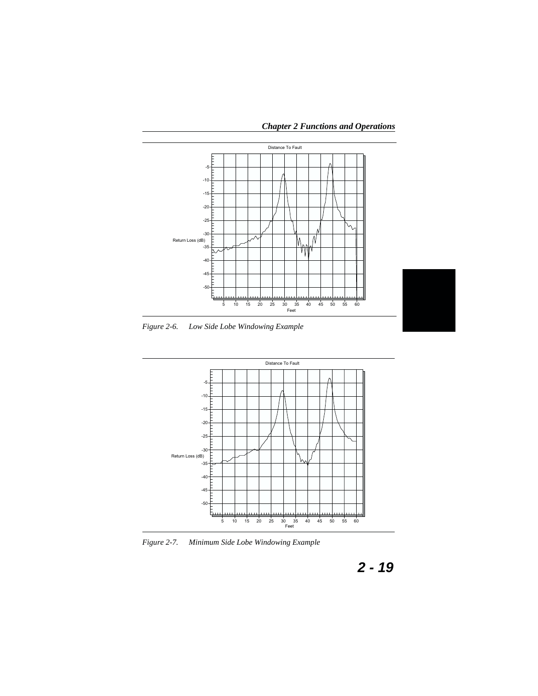

<span id="page-40-0"></span>*Chapter 2 Functions and Operations*

*Figure 2-6. Low Side Lobe Windowing Example*



*Figure 2-7. Minimum Side Lobe Windowing Example*

$$
2-19
$$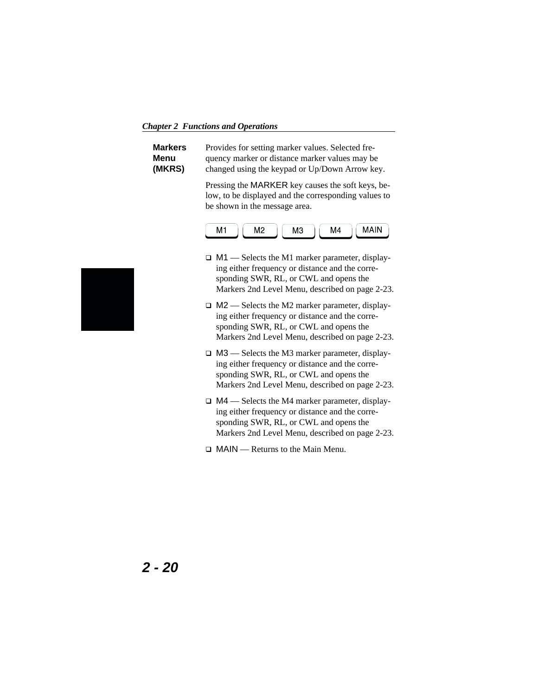*Chapter 2 Functions and Operations*

| <b>Markers</b> | Provides for setting marker values. Selected fre- |
|----------------|---------------------------------------------------|
| Menu           | quency marker or distance marker values may be    |
| (MKRS)         | changed using the keypad or Up/Down Arrow key.    |

Pressing the MARKER key causes the soft keys, below, to be displayed and the corresponding values to be shown in the message area.



- □ M1 Selects the M1 marker parameter, displaying either frequency or distance and the corresponding SWR, RL, or CWL and opens the Markers 2nd Level Menu, described on page 2-23.
- $\Box$  M2 Selects the M2 marker parameter, displaying either frequency or distance and the corresponding SWR, RL, or CWL and opens the Markers 2nd Level Menu, described on page 2-23.
- □ M3 Selects the M3 marker parameter, displaying either frequency or distance and the corresponding SWR, RL, or CWL and opens the Markers 2nd Level Menu, described on page 2-23.
- $\Box$  M4 Selects the M4 marker parameter, displaying either frequency or distance and the corresponding SWR, RL, or CWL and opens the Markers 2nd Level Menu, described on page 2-23.
- □ MAIN Returns to the Main Menu.

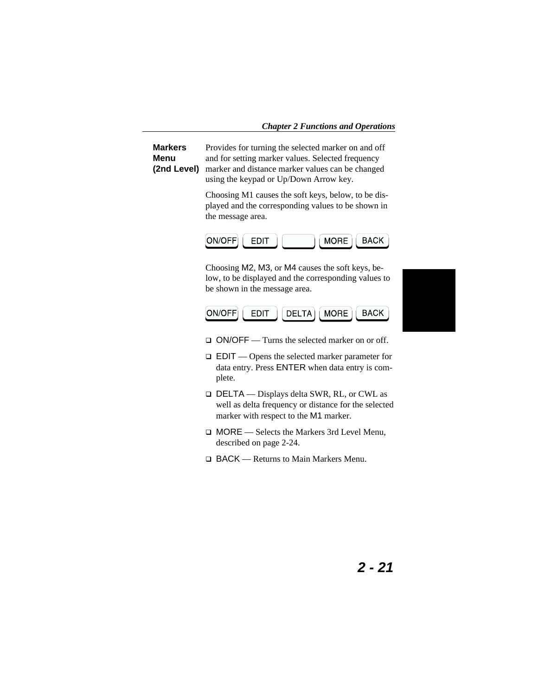**Markers Menu (2nd Level)** Provides for turning the selected marker on and off and for setting marker values. Selected frequency marker and distance marker values can be changed using the keypad or Up/Down Arrow key.

> Choosing M1 causes the soft keys, below, to be displayed and the corresponding values to be shown in the message area.



Choosing M2, M3, or M4 causes the soft keys, below, to be displayed and the corresponding values to be shown in the message area.



- □ ON/OFF Turns the selected marker on or off.
- EDIT Opens the selected marker parameter for data entry. Press ENTER when data entry is complete.
- DELTA Displays delta SWR, RL, or CWL as well as delta frequency or distance for the selected marker with respect to the M1 marker.
- □ MORE Selects the Markers 3rd Level Menu, described on page 2-24.
- □ BACK Returns to Main Markers Menu.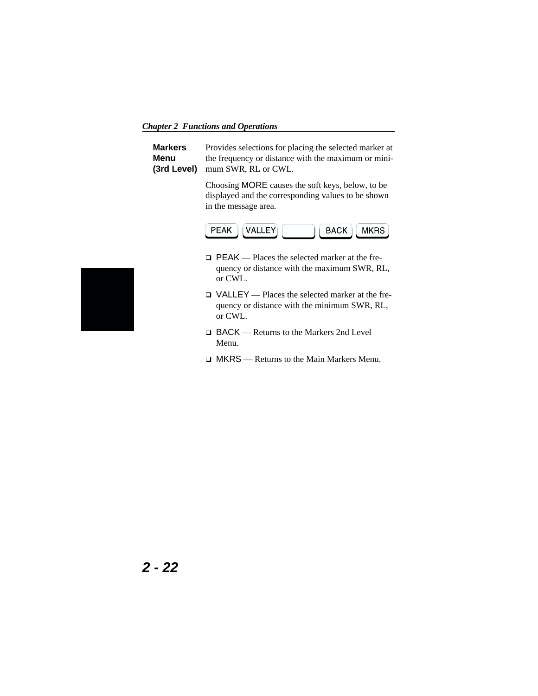*Chapter 2 Functions and Operations*

**Markers Menu (3rd Level)** Provides selections for placing the selected marker at the frequency or distance with the maximum or minimum SWR, RL or CWL.

> Choosing MORE causes the soft keys, below, to be displayed and the corresponding values to be shown in the message area.



- □ PEAK Places the selected marker at the frequency or distance with the maximum SWR, RL, or CWL.
- VALLEY Places the selected marker at the frequency or distance with the minimum SWR, RL, or CWL.
- □ BACK Returns to the Markers 2nd Level Menu.
- □ MKRS Returns to the Main Markers Menu.

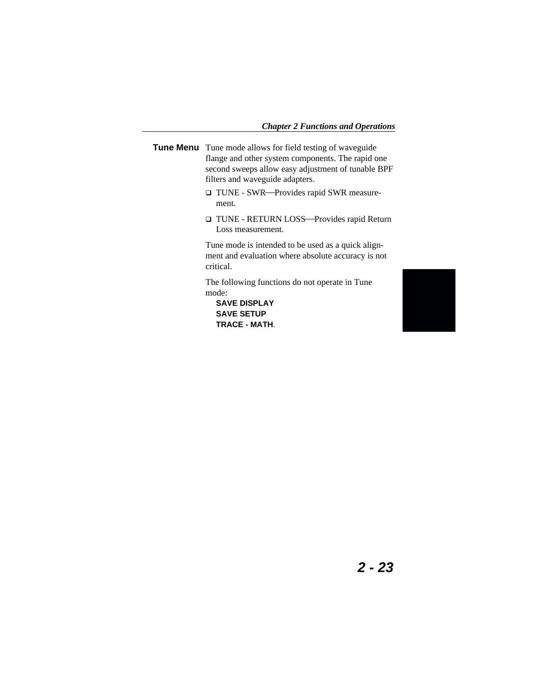- **Tune Menu** Tune mode allows for field testing of waveguide flange and other system components. The rapid one second sweeps allow easy adjustment of tunable BPF filters and waveguide adapters.
	- □ TUNE SWR—Provides rapid SWR measurement.
	- □ TUNE RETURN LOSS-Provides rapid Return Loss measurement.

Tune mode is intended to be used as a quick alignment and evaluation where absolute accuracy is not critical.

The following functions do not operate in Tune mode:

**SAVE DISPLAY SAVE SETUP TRACE - MATH**.

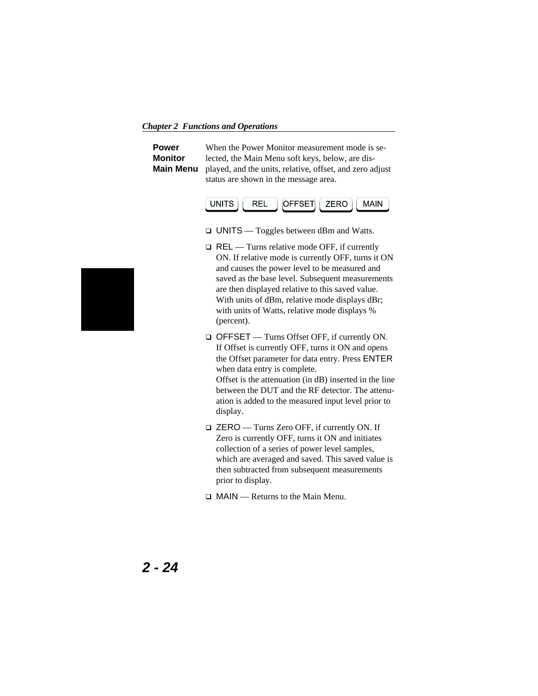*Chapter 2 Functions and Operations*

| <b>Power</b>   | When the Power Monitor measurement mode is se-                            |
|----------------|---------------------------------------------------------------------------|
| <b>Monitor</b> | lected, the Main Menu soft keys, below, are dis-                          |
|                | <b>Main Menu</b> played, and the units, relative, offset, and zero adjust |
|                | status are shown in the message area.                                     |



- UNITS Toggles between dBm and Watts.
- □ REL Turns relative mode OFF, if currently ON. If relative mode is currently OFF, turns it ON and causes the power level to be measured and saved as the base level. Subsequent measurements are then displayed relative to this saved value. With units of dBm, relative mode displays dBr; with units of Watts, relative mode displays % (percent).
- OFFSET Turns Offset OFF, if currently ON. If Offset is currently OFF, turns it ON and opens the Offset parameter for data entry. Press ENTER when data entry is complete. Offset is the attenuation (in dB) inserted in the line between the DUT and the RF detector. The attenuation is added to the measured input level prior to display.
- □ ZERO Turns Zero OFF, if currently ON. If Zero is currently OFF, turns it ON and initiates collection of a series of power level samples, which are averaged and saved. This saved value is then subtracted from subsequent measurements prior to display.
- $\Box$  MAIN Returns to the Main Menu.

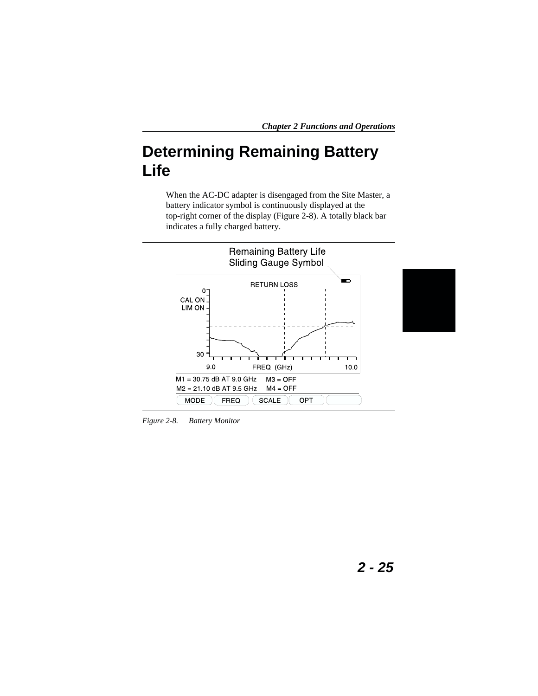## **Determining Remaining Battery Life**

When the AC-DC adapter is disengaged from the Site Master, a battery indicator symbol is continuously displayed at the top-right corner of the display (Figure 2-8). A totally black bar indicates a fully charged battery.



*Figure 2-8. Battery Monitor*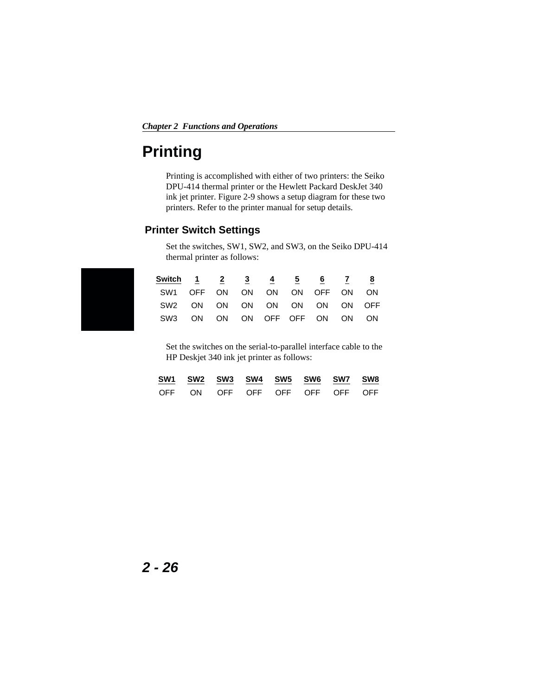## **Printing**

Printing is accomplished with either of two printers: the Seiko DPU-414 thermal printer or the Hewlett Packard DeskJet 340 ink jet printer. Figure 2[-9](#page-48-0) shows a setup diagram for these two printers. Refer to the printer manual for setup details.

#### **Printer Switch Settings**

Set the switches, SW1, SW2, and SW3, on the Seiko DPU-414 thermal printer as follows:

| Switch 1 2 3 4 5 6 7 8        |  |  |  |  |
|-------------------------------|--|--|--|--|
| SW1 OFF ON ON ON ON OFF ON ON |  |  |  |  |
| SW2 ON ON ON ON ON ON ON OFF  |  |  |  |  |
| SW3 ON ON ON OFF OFF ON ON ON |  |  |  |  |

Set the switches on the serial-to-parallel interface cable to the HP Deskjet 340 ink jet printer as follows:

|  |  | SW1 SW2 SW3 SW4 SW5 SW6 SW7 SW8 |  |  |
|--|--|---------------------------------|--|--|
|  |  | OFF ON OFF OFF OFF OFF OFF OFF  |  |  |

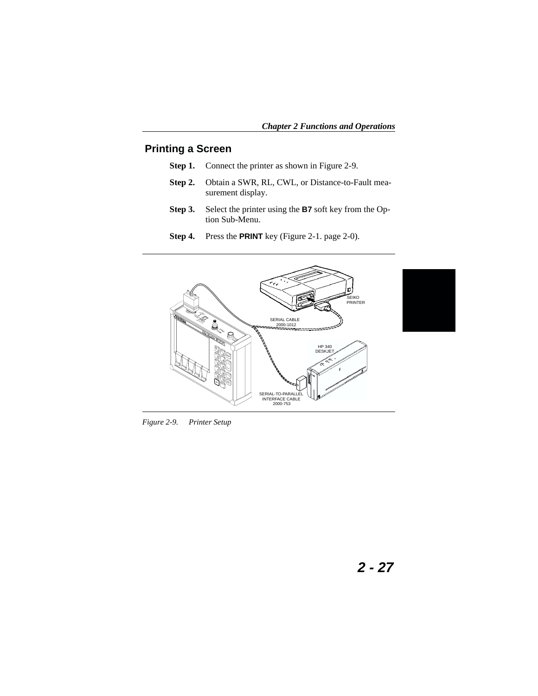### <span id="page-48-0"></span>**Printing a Screen**

- **Step 1.** Connect the printer as shown in Figure 2[-9](#page-48-0).
- **Step 2.** Obtain a SWR, RL, CWL, or Distance-to-Fault measurement display.
- **Step 3.** Select the printer using the **B7** soft key from the Option Sub-Menu.
- **Step 4.** Press the **PRINT** key (Figure 2-1. page 2-0).



*Figure 2-9. Printer Setup*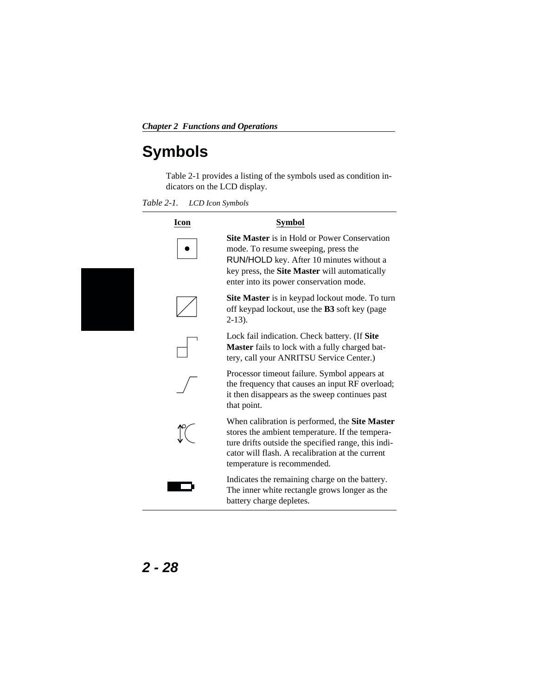## <span id="page-49-0"></span>**Symbols**

Table 2-[1](#page-49-0) provides a listing of the symbols used as condition indicators on the LCD display.

*Table 2-1. LCD Icon Symbols*

| Icon | <b>Symbol</b>                                                                                                                                                                                                                               |
|------|---------------------------------------------------------------------------------------------------------------------------------------------------------------------------------------------------------------------------------------------|
|      | <b>Site Master</b> is in Hold or Power Conservation<br>mode. To resume sweeping, press the<br>RUN/HOLD key. After 10 minutes without a<br>key press, the <b>Site Master</b> will automatically<br>enter into its power conservation mode.   |
|      | Site Master is in keypad lockout mode. To turn<br>off keypad lockout, use the <b>B3</b> soft key (page<br>$2-13$ ).                                                                                                                         |
|      | Lock fail indication. Check battery. (If Site<br><b>Master</b> fails to lock with a fully charged bat-<br>tery, call your ANRITSU Service Center.)                                                                                          |
|      | Processor timeout failure. Symbol appears at<br>the frequency that causes an input RF overload;<br>it then disappears as the sweep continues past<br>that point.                                                                            |
|      | When calibration is performed, the Site Master<br>stores the ambient temperature. If the tempera-<br>ture drifts outside the specified range, this indi-<br>cator will flash. A recalibration at the current<br>temperature is recommended. |
|      | Indicates the remaining charge on the battery.<br>The inner white rectangle grows longer as the<br>battery charge depletes.                                                                                                                 |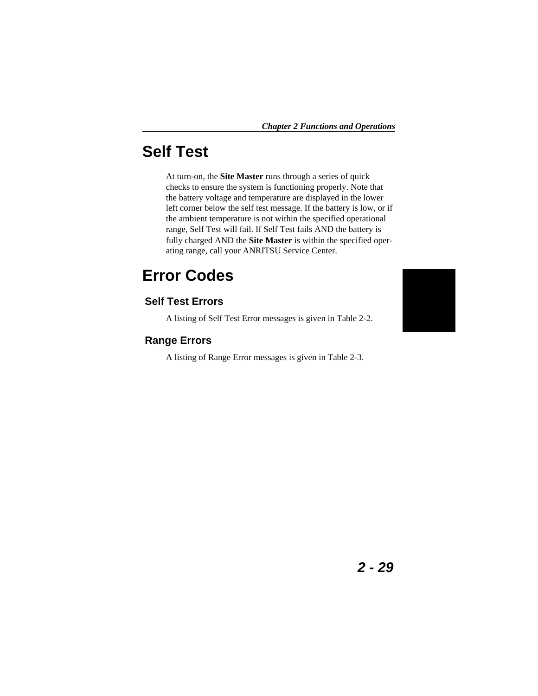## **Self Test**

At turn-on, the **Site Master** runs through a series of quick checks to ensure the system is functioning properly. Note that the battery voltage and temperature are displayed in the lower left corner below the self test message. If the battery is low, or if the ambient temperature is not within the specified operational range, Self Test will fail. If Self Test fails AND the battery is fully charged AND the **Site Master** is within the specified operating range, call your ANRITSU Service Center.

## **Error Codes**

### **Self Test Errors**

A listing of Self Test Error messages is given in Table [2-2](#page-51-0).

#### **Range Errors**

A listing of Range Error messages is given in Table 2-[3.](#page-52-0)

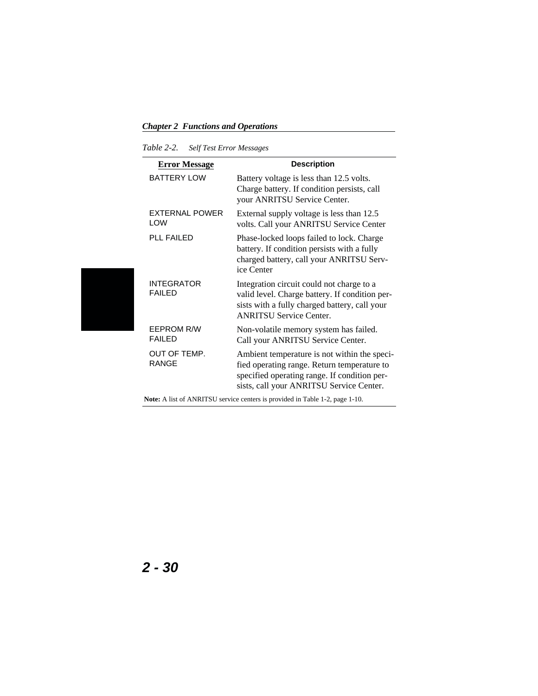#### <span id="page-51-0"></span>*Table 2-2. Self Test Error Messages*

| <b>Error Message</b>                | <b>Description</b>                                                                                                                                                                      |
|-------------------------------------|-----------------------------------------------------------------------------------------------------------------------------------------------------------------------------------------|
| <b>BATTERY LOW</b>                  | Battery voltage is less than 12.5 volts.<br>Charge battery. If condition persists, call<br>your ANRITSU Service Center.                                                                 |
| <b>EXTERNAL POWER</b><br>LOW        | External supply voltage is less than 12.5<br>volts. Call your ANRITSU Service Center                                                                                                    |
| <b>PLL FAILED</b>                   | Phase-locked loops failed to lock. Charge<br>battery. If condition persists with a fully<br>charged battery, call your ANRITSU Serv-<br>ice Center                                      |
| <b>INTEGRATOR</b><br><b>FAILED</b>  | Integration circuit could not charge to a<br>valid level. Charge battery. If condition per-<br>sists with a fully charged battery, call your<br><b>ANRITSU Service Center.</b>          |
| <b>FFPROM R/W</b><br><b>FAIL FD</b> | Non-volatile memory system has failed.<br>Call your ANRITSU Service Center.                                                                                                             |
| OUT OF TEMP.<br><b>RANGE</b>        | Ambient temperature is not within the speci-<br>fied operating range. Return temperature to<br>specified operating range. If condition per-<br>sists, call your ANRITSU Service Center. |

**Note:** A list of ANRITSU service centers is provided in Table [1](#page-19-0)-[2,](#page-19-0) page [1-10.](#page-19-0)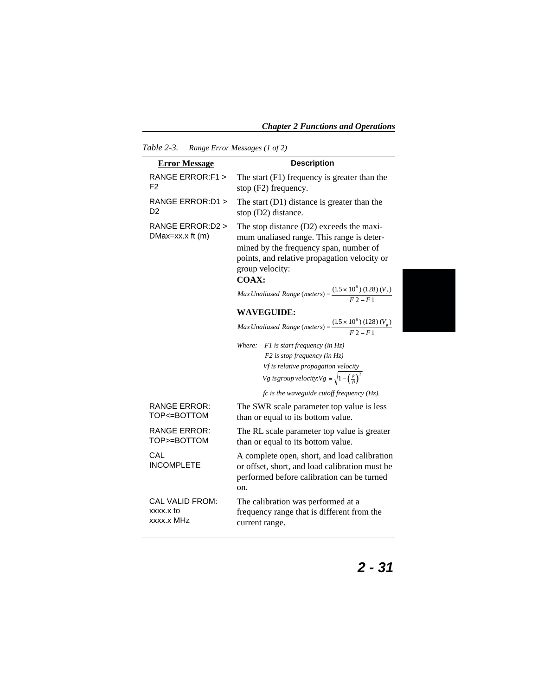<span id="page-52-0"></span>*Chapter 2 Functions and Operations*

| Table 2-3.                                 | Range Error Messages (1 of 2)                                                                                                                                                                               |  |  |
|--------------------------------------------|-------------------------------------------------------------------------------------------------------------------------------------------------------------------------------------------------------------|--|--|
| <b>Error Message</b>                       | <b>Description</b>                                                                                                                                                                                          |  |  |
| RANGE ERROR:F1 ><br>F2                     | The start $(F1)$ frequency is greater than the<br>stop (F2) frequency.                                                                                                                                      |  |  |
| RANGE ERROR: D1 ><br>D2                    | The start (D1) distance is greater than the<br>stop (D2) distance.                                                                                                                                          |  |  |
| RANGE ERROR:D2 ><br>$DMax=xx.x$ ft $(m)$   | The stop distance (D2) exceeds the maxi-<br>mum unaliased range. This range is deter-<br>mined by the frequency span, number of<br>points, and relative propagation velocity or<br>group velocity:<br>COAX: |  |  |
|                                            | Max Unaliased Range (meters) = $\frac{(1.5 \times 10^8) (128) (V_f)}{E2 - E1}$                                                                                                                              |  |  |
|                                            | <b>WAVEGUIDE:</b>                                                                                                                                                                                           |  |  |
|                                            | Max Unaliased Range (meters) = $\frac{(1.5 \times 10^8) (128) (V_g)}{F2 - F1}$                                                                                                                              |  |  |
|                                            | Where: $FI$ is start frequency (in $Hz$ )                                                                                                                                                                   |  |  |
|                                            | $F2$ is stop frequency (in Hz)                                                                                                                                                                              |  |  |
|                                            | <i>Vf</i> is relative propagation velocity<br>Vg is group velocity. $Vg = \sqrt{1 - \left(\frac{f}{f_1}\right)^2}$                                                                                          |  |  |
|                                            | $fc$ is the waveguide cutoff frequency (Hz).                                                                                                                                                                |  |  |
| <b>RANGE ERROR:</b><br>TOP<=BOTTOM         | The SWR scale parameter top value is less<br>than or equal to its bottom value.                                                                                                                             |  |  |
| <b>RANGE ERROR:</b><br>TOP>=BOTTOM         | The RL scale parameter top value is greater<br>than or equal to its bottom value.                                                                                                                           |  |  |
| CAL<br><b>INCOMPLETE</b>                   | A complete open, short, and load calibration<br>or offset, short, and load calibration must be<br>performed before calibration can be turned<br>on.                                                         |  |  |
| CAL VALID FROM:<br>xxxx.x to<br>xxxx.x MHz | The calibration was performed at a<br>frequency range that is different from the<br>current range.                                                                                                          |  |  |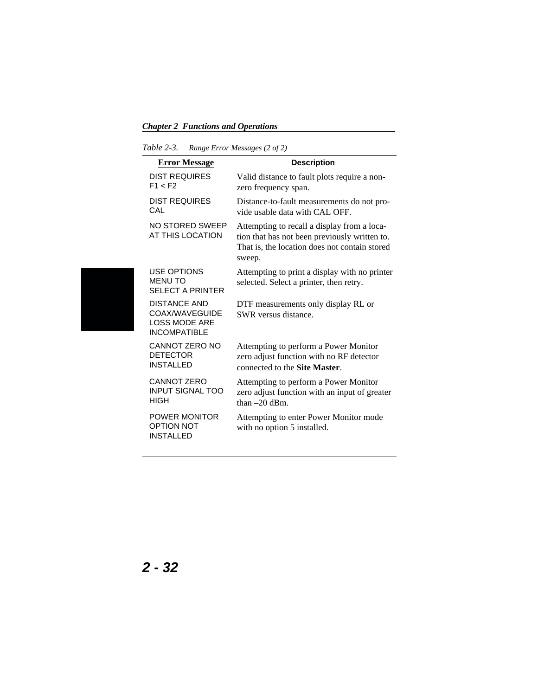*Table 2-3. Range Error Messages (2 of 2)*

| <b>Error Message</b>                                                                 | <b>Description</b>                                                                                                                                      |
|--------------------------------------------------------------------------------------|---------------------------------------------------------------------------------------------------------------------------------------------------------|
| <b>DIST REQUIRES</b><br>F1 < F2                                                      | Valid distance to fault plots require a non-<br>zero frequency span.                                                                                    |
| <b>DIST REQUIRES</b><br>CAL                                                          | Distance-to-fault measurements do not pro-<br>vide usable data with CAL OFF.                                                                            |
| NO STORED SWEEP<br>AT THIS LOCATION                                                  | Attempting to recall a display from a loca-<br>tion that has not been previously written to.<br>That is, the location does not contain stored<br>sweep. |
| <b>USE OPTIONS</b><br><b>MENU TO</b><br><b>SELECT A PRINTER</b>                      | Attempting to print a display with no printer<br>selected. Select a printer, then retry.                                                                |
| <b>DISTANCE AND</b><br>COAX/WAVEGUIDE<br><b>LOSS MODE ARE</b><br><b>INCOMPATIBLE</b> | DTF measurements only display RL or<br>SWR versus distance.                                                                                             |
| <b>CANNOT ZERO NO</b><br><b>DETECTOR</b><br><b>INSTALLED</b>                         | Attempting to perform a Power Monitor<br>zero adjust function with no RF detector<br>connected to the Site Master.                                      |
| <b>CANNOT ZERO</b><br><b>INPUT SIGNAL TOO</b><br>HIGH                                | Attempting to perform a Power Monitor<br>zero adjust function with an input of greater<br>than $-20$ dBm.                                               |
| <b>POWER MONITOR</b><br><b>OPTION NOT</b><br><b>INSTALLED</b>                        | Attempting to enter Power Monitor mode<br>with no option 5 installed.                                                                                   |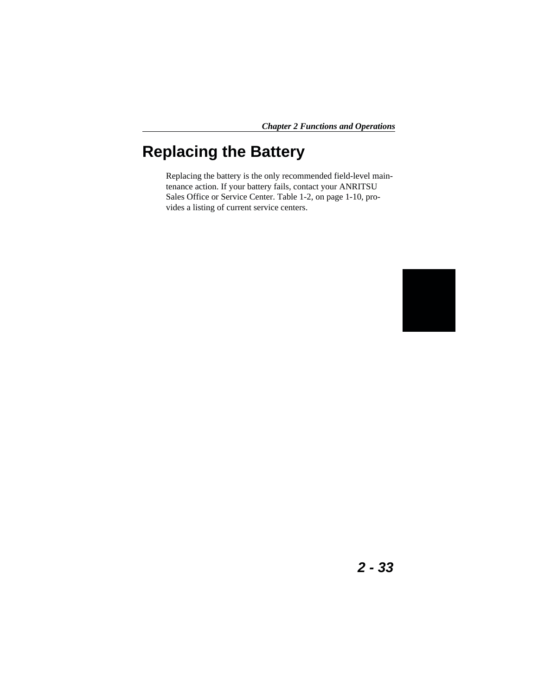## **Replacing the Battery**

Replacing the battery is the only recommended field-level maintenance action. If your battery fails, contact your ANRITSU Sales Office or Service Center. Table [1-2](#page-19-0), on page [1-10](#page-19-0), provides a listing of current service centers.

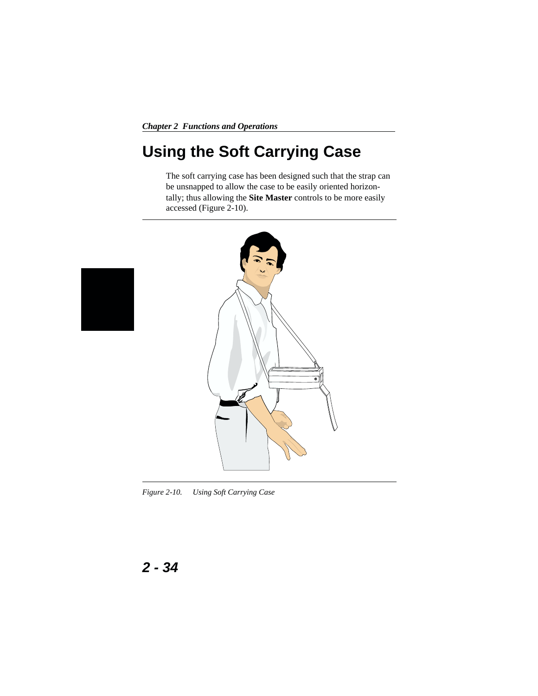## <span id="page-55-0"></span>**Using the Soft Carrying Case**

The soft carrying case has been designed such that the strap can be unsnapped to allow the case to be easily oriented horizontally; thus allowing the **Site Master** controls to be more easily accessed (Figure 2-[10\)](#page-55-0).



*Figure 2-10. Using Soft Carrying Case*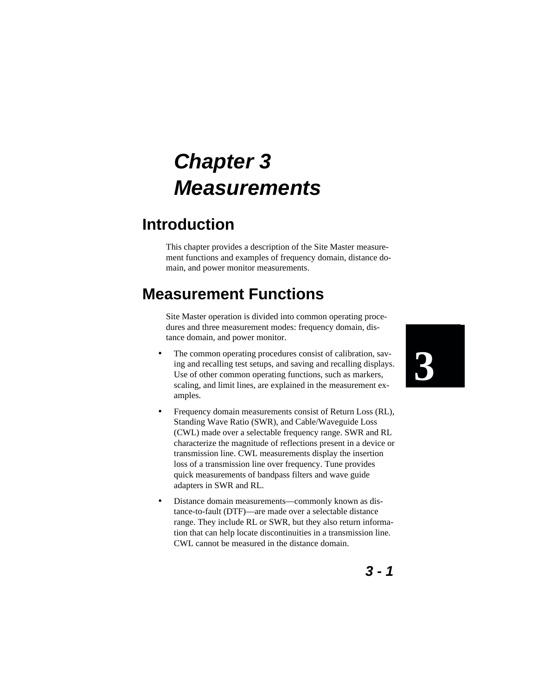# **Chapter 3 Measurements**

## **Introduction**

This chapter provides a description of the Site Master measurement functions and examples of frequency domain, distance domain, and power monitor measurements.

## **Measurement Functions**

Site Master operation is divided into common operating procedures and three measurement modes: frequency domain, distance domain, and power monitor.

- The common operating procedures consist of calibration, saving and recalling test setups, and saving and recalling displays. Use of other common operating functions, such as markers, scaling, and limit lines, are explained in the measurement examples.
- Frequency domain measurements consist of Return Loss (RL), Standing Wave Ratio (SWR), and Cable/Waveguide Loss (CWL) made over a selectable frequency range. SWR and RL characterize the magnitude of reflections present in a device or transmission line. CWL measurements display the insertion loss of a transmission line over frequency. Tune provides quick measurements of bandpass filters and wave guide adapters in SWR and RL.
- Distance domain measurements—commonly known as distance-to-fault (DTF)—are made over a selectable distance range. They include RL or SWR, but they also return information that can help locate discontinuities in a transmission line. CWL cannot be measured in the distance domain.

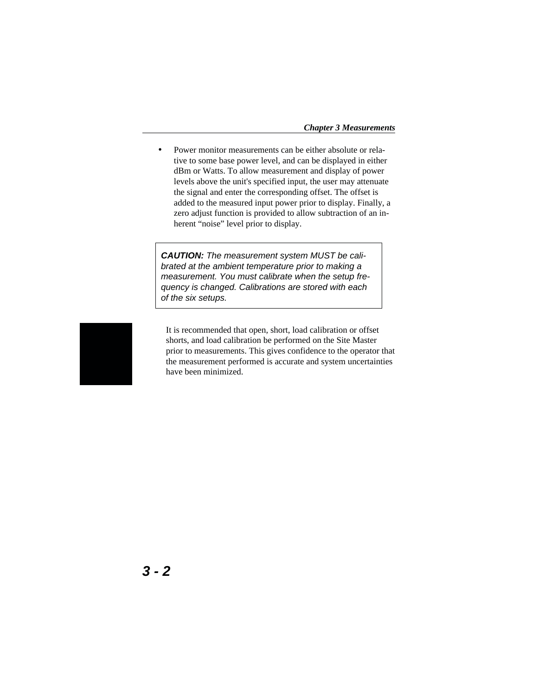Power monitor measurements can be either absolute or relative to some base power level, and can be displayed in either dBm or Watts. To allow measurement and display of power levels above the unit's specified input, the user may attenuate the signal and enter the corresponding offset. The offset is added to the measured input power prior to display. Finally, a zero adjust function is provided to allow subtraction of an inherent "noise" level prior to display.

**CAUTION:** The measurement system MUST be calibrated at the ambient temperature prior to making a measurement. You must calibrate when the setup frequency is changed. Calibrations are stored with each of the six setups.



It is recommended that open, short, load calibration or offset shorts, and load calibration be performed on the Site Master prior to measurements. This gives confidence to the operator that the measurement performed is accurate and system uncertainties have been minimized.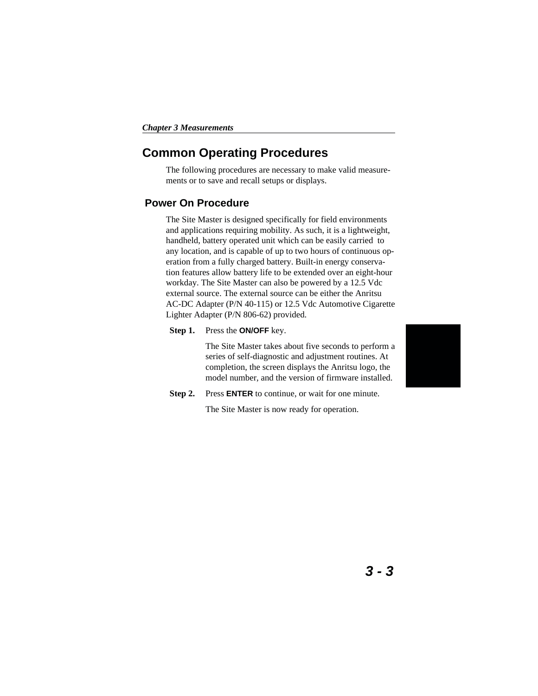### **Common Operating Procedures**

The following procedures are necessary to make valid measurements or to save and recall setups or displays.

#### **Power On Procedure**

The Site Master is designed specifically for field environments and applications requiring mobility. As such, it is a lightweight, handheld, battery operated unit which can be easily carried to any location, and is capable of up to two hours of continuous operation from a fully charged battery. Built-in energy conservation features allow battery life to be extended over an eight-hour workday. The Site Master can also be powered by a 12.5 Vdc external source. The external source can be either the Anritsu AC-DC Adapter (P/N 40-115) or 12.5 Vdc Automotive Cigarette Lighter Adapter (P/N 806-62) provided.

#### **Step 1.** Press the **ON/OFF** key.

The Site Master takes about five seconds to perform a series of self-diagnostic and adjustment routines. At completion, the screen displays the Anritsu logo, the model number, and the version of firmware installed.

**Step 2.** Press **ENTER** to continue, or wait for one minute.

The Site Master is now ready for operation.

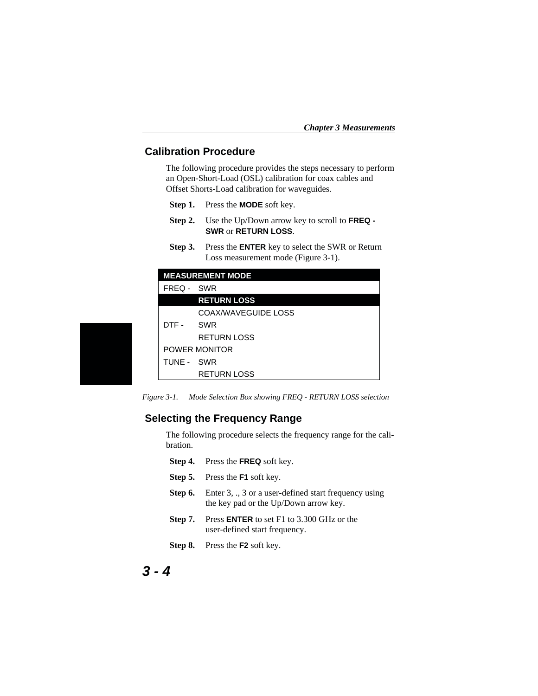#### <span id="page-59-0"></span>**Calibration Procedure**

The following procedure provides the steps necessary to perform an Open-Short-Load (OSL) calibration for coax cables and Offset Shorts-Load calibration for waveguides.

- **Step 1.** Press the **MODE** soft key.
- **Step 2.** Use the Up/Down arrow key to scroll to **FREQ - SWR** or **RETURN LOSS**.
- **Step 3.** Press the **ENTER** key to select the SWR or Return Loss measurement mode (Figure 3[-1](#page-59-0)).

|            | <b>MEASUREMENT MODE</b> |
|------------|-------------------------|
| FREQ - SWR |                         |
|            | <b>RETURN LOSS</b>      |
|            | COAX/WAVEGUIDE LOSS     |
| DTF - SWR  |                         |
|            | <b>RETURN LOSS</b>      |
|            | POWER MONITOR           |
| TUNE - SWR |                         |
|            | <b>RETURN LOSS</b>      |

*Figure 3-1. Mode Selection Box showing FREQ - RETURN LOSS selection*

#### **Selecting the Frequency Range**

The following procedure selects the frequency range for the calibration.

- **Step 4.** Press the **FREQ** soft key.
- **Step 5.** Press the **F1** soft key.
- **Step 6.** Enter 3, ., 3 or a user-defined start frequency using the key pad or the Up/Down arrow key.
- **Step 7.** Press **ENTER** to set F1 to 3.300 GHz or the user-defined start frequency.
- **Step 8.** Press the **F2** soft key.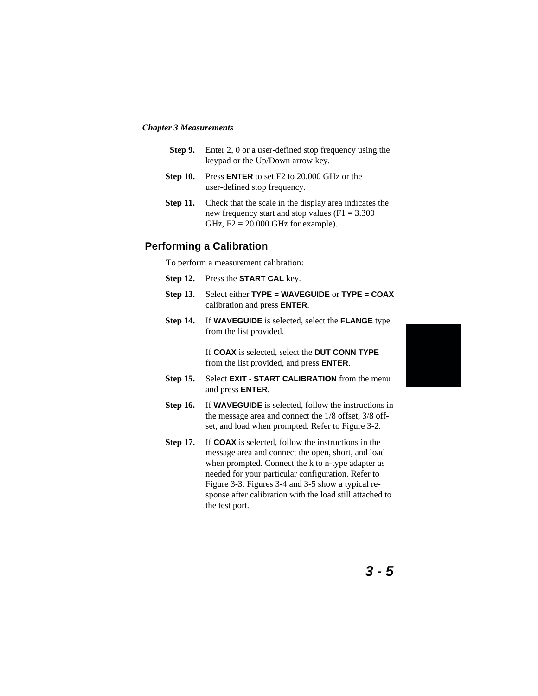- **Step 9.** Enter 2, 0 or a user-defined stop frequency using the keypad or the Up/Down arrow key.
- **Step 10.** Press **ENTER** to set F2 to 20.000 GHz or the user-defined stop frequency.
- **Step 11.** Check that the scale in the display area indicates the new frequency start and stop values ( $F1 = 3.300$ GHz,  $F2 = 20.000$  GHz for example).

#### **Performing a Calibration**

To perform a measurement calibration:

- **Step 12.** Press the **START CAL** key.
- **Step 13.** Select either **TYPE = WAVEGUIDE** or **TYPE = COAX** calibration and press **ENTER**.
- **Step 14.** If **WAVEGUIDE** is selected, select the **FLANGE** type from the list provided.

If **COAX** is selected, select the **DUT CONN TYPE** from the list provided, and press **ENTER**.

- **Step 15.** Select **EXIT START CALIBRATION** from the menu and press **ENTER**.
- **Step 16.** If **WAVEGUIDE** is selected, follow the instructions in the message area and connect the 1/8 offset, 3/8 offset, and load when prompted. Refer to Figure 3[-2](#page-61-0).
- **Step 17.** If **COAX** is selected, follow the instructions in the message area and connect the open, short, and load when prompted. Connect the k to n-type adapter as needed for your particular configuration. Refer to Figure 3-[3.](#page-61-0) Figures [3](#page-62-0)-[4](#page-62-0) and [3](#page-62-0)-[5](#page-62-0) show a typical response after calibration with the load still attached to the test port.

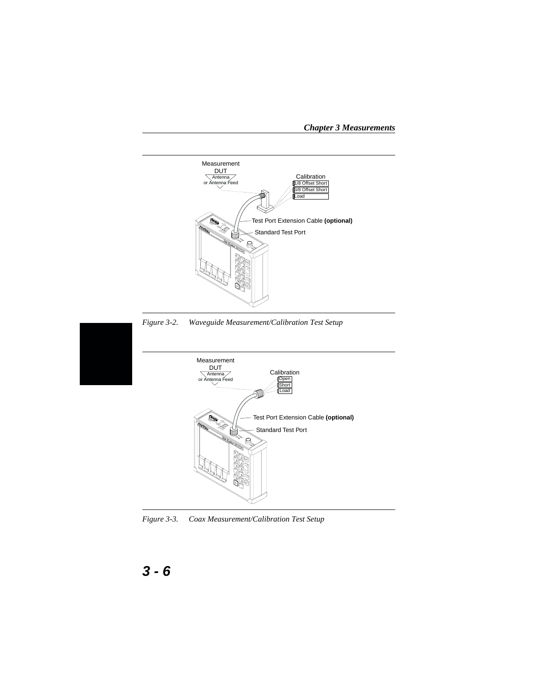

<span id="page-61-0"></span>*Chapter 3 Measurements*

*Figure 3-3. Coax Measurement/Calibration Test Setup*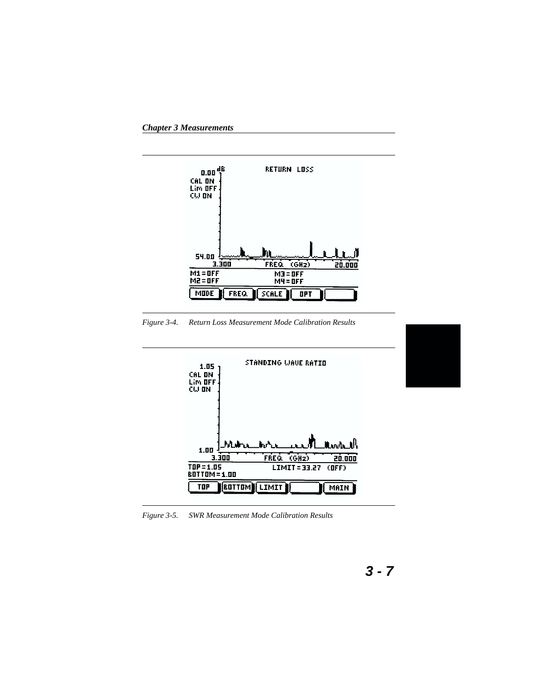<span id="page-62-0"></span>*Chapter 3 Measurements*



*Figure 3-4. Return Loss Measurement Mode Calibration Results*



*Figure 3-5. SWR Measurement Mode Calibration Results*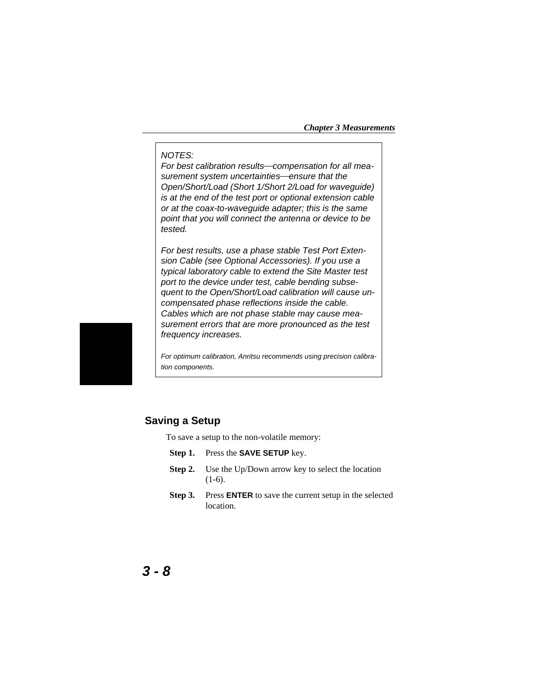#### <span id="page-63-0"></span>NOTES:

For best calibration results-compensation for all measurement system uncertainties—ensure that the Open/Short/Load (Short 1/Short 2/Load for waveguide) is at the end of the test port or optional extension cable or at the coax-to-waveguide adapter; this is the same point that you will connect the antenna or device to be tested.

For best results, use a phase stable Test Port Extension Cable (see Optional Accessories). If you use a typical laboratory cable to extend the Site Master test port to the device under test, cable bending subsequent to the Open/Short/Load calibration will cause uncompensated phase reflections inside the cable. Cables which are not phase stable may cause measurement errors that are more pronounced as the test frequency increases.

For optimum calibration, Anritsu recommends using precision calibration components.

#### **Saving a Setup**

To save a setup to the non-volatile memory:

- **Step 1.** Press the **SAVE SETUP** key.
- **Step 2.** Use the Up/Down arrow key to select the location  $(1-6)$ .
- **Step 3.** Press **ENTER** to save the current setup in the selected location.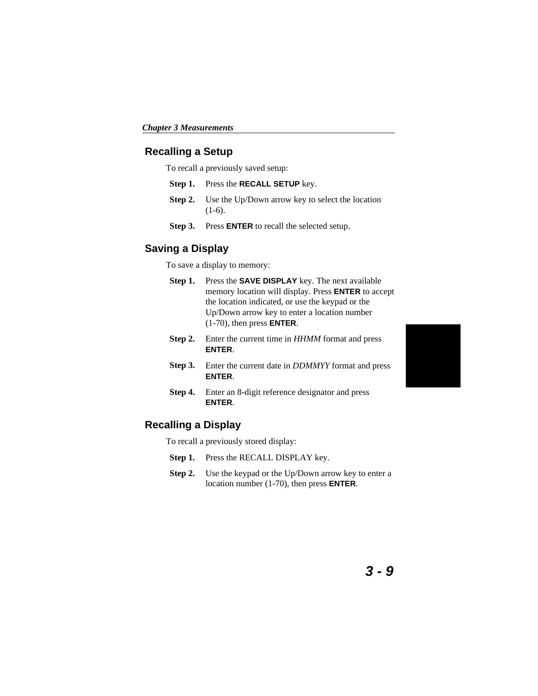#### **Recalling a Setup**

To recall a previously saved setup:

- **Step 1.** Press the **RECALL SETUP** key.
- **Step 2.** Use the Up/Down arrow key to select the location (1-6).
- **Step 3.** Press **ENTER** to recall the selected setup.

#### **Saving a Display**

To save a display to memory:

- **Step 1.** Press the **SAVE DISPLAY** key. The next available memory location will display. Press **ENTER** to accept the location indicated, or use the keypad or the Up/Down arrow key to enter a location number (1-70), then press **ENTER**.
- **Step 2.** Enter the current time in *HHMM* format and press **ENTER**.
- **Step 3.** Enter the current date in *DDMMYY* format and press **ENTER**.
- **Step 4.** Enter an 8-digit reference designator and press **ENTER**.

#### **Recalling a Display**

To recall a previously stored display:

- Step 1. Press the RECALL DISPLAY key.
- **Step 2.** Use the keypad or the Up/Down arrow key to enter a location number (1-70), then press **ENTER**.

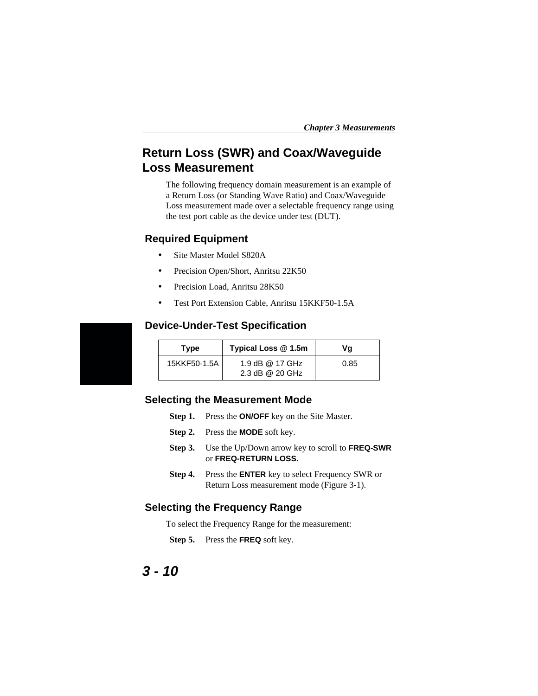### **Return Loss (SWR) and Coax/Waveguide Loss Measurement**

The following frequency domain measurement is an example of a Return Loss (or Standing Wave Ratio) and Coax/Waveguide Loss measurement made over a selectable frequency range using the test port cable as the device under test (DUT).

#### **Required Equipment**

- Site Master Model S820A
- Precision Open/Short, Anritsu 22K50
- Precision Load, Anritsu 28K50
- Test Port Extension Cable, Anritsu 15KKF50-1.5A

#### **Device-Under-Test Specification**

| Type         | Typical Loss @ 1.5m                | Vq   |
|--------------|------------------------------------|------|
| 15KKF50-1.5A | 1.9 dB @ 17 GHz<br>2.3 dB @ 20 GHz | 0.85 |

#### **Selecting the Measurement Mode**

- **Step 1.** Press the **ON/OFF** key on the Site Master.
- **Step 2.** Press the **MODE** soft key.
- **Step 3.** Use the Up/Down arrow key to scroll to **FREQ-SWR** or **FREQ-RETURN LOSS.**
- **Step 4.** Press the **ENTER** key to select Frequency SWR or Return Loss measurement mode (Figure [3-1\)](#page-59-0).

#### **Selecting the Frequency Range**

To select the Frequency Range for the measurement:

**Step 5.** Press the **FREQ** soft key.

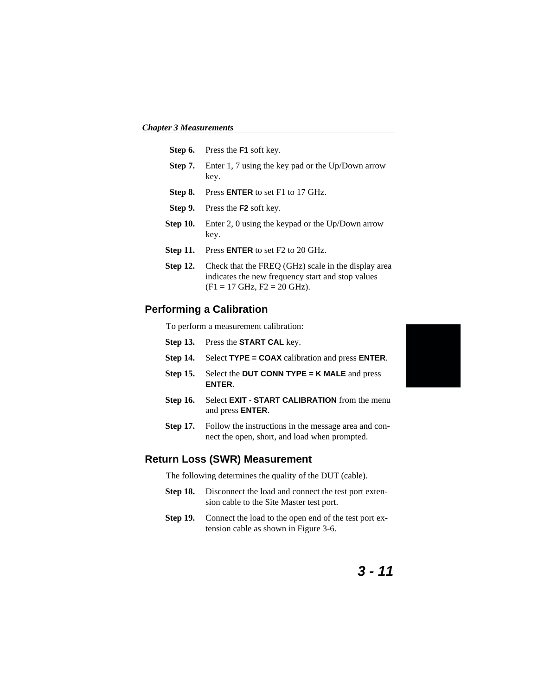<span id="page-66-0"></span>*Chapter 3 Measurements*

|                 | <b>Step 6.</b> Press the <b>F1</b> soft key.                                                                                                              |
|-----------------|-----------------------------------------------------------------------------------------------------------------------------------------------------------|
| Step 7.         | Enter 1, 7 using the key pad or the Up/Down arrow<br>key.                                                                                                 |
| Step 8.         | Press <b>ENTER</b> to set F1 to 17 GHz.                                                                                                                   |
| Step 9.         | Press the <b>F2</b> soft key.                                                                                                                             |
| Step 10.        | Enter 2, 0 using the keypad or the $Up/Down$ arrow<br>key.                                                                                                |
| <b>Step 11.</b> | Press <b>ENTER</b> to set F2 to 20 GHz.                                                                                                                   |
| <b>Step 12.</b> | Check that the FREQ (GHz) scale in the display area<br>indicates the new frequency start and stop values<br>$(F1 = 17 \text{ GHz}, F2 = 20 \text{ GHz}).$ |

#### **Performing a Calibration**

To perform a measurement calibration:

- **Step 13.** Press the **START CAL** key.
- **Step 14.** Select **TYPE = COAX** calibration and press **ENTER**.
- **Step 15.** Select the **DUT CONN TYPE = K MALE** and press **ENTER**.
- **Step 16.** Select **EXIT START CALIBRATION** from the menu and press **ENTER**.
- **Step 17.** Follow the instructions in the message area and connect the open, short, and load when prompted.

#### **Return Loss (SWR) Measurement**

The following determines the quality of the DUT (cable).

- **Step 18.** Disconnect the load and connect the test port extension cable to the Site Master test port.
- **Step 19.** Connect the load to the open end of the test port extension cable as shown in Figure 3-[6.](#page-67-0)

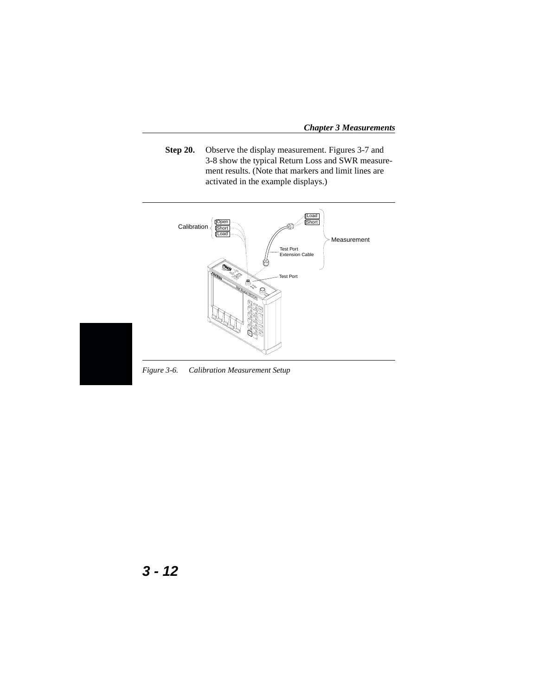<span id="page-67-0"></span>*Chapter 3 Measurements*

**Step 20.** Observe the display measurement. Figures 3[-7](#page-68-0) and 3[-8](#page-68-0) show the typical Return Loss and SWR measurement results. (Note that markers and limit lines are activated in the example displays.)





*Figure 3-6. Calibration Measurement Setup*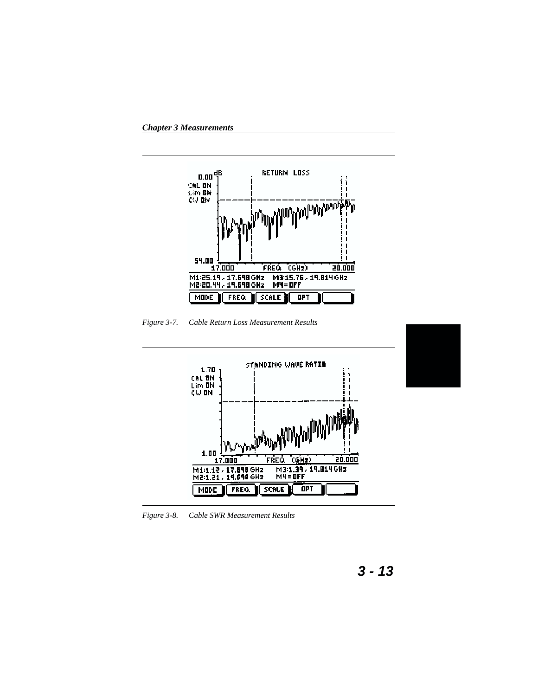<span id="page-68-0"></span>

*Figure 3-7. Cable Return Loss Measurement Results*



*Figure 3-8. Cable SWR Measurement Results*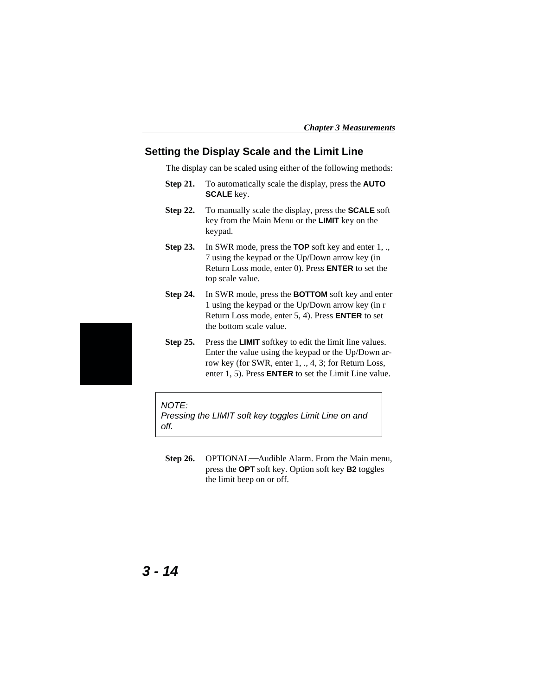#### **Setting the Display Scale and the Limit Line**

The display can be scaled using either of the following methods:

- **Step 21.** To automatically scale the display, press the **AUTO SCALE** key.
- **Step 22.** To manually scale the display, press the **SCALE** soft key from the Main Menu or the **LIMIT** key on the keypad.
- **Step 23.** In SWR mode, press the **TOP** soft key and enter 1, ., 7 using the keypad or the Up/Down arrow key (in Return Loss mode, enter 0). Press **ENTER** to set the top scale value.
- **Step 24.** In SWR mode, press the **BOTTOM** soft key and enter 1 using the keypad or the Up/Down arrow key (in r Return Loss mode, enter 5, 4). Press **ENTER** to set the bottom scale value.
- **Step 25.** Press the **LIMIT** softkey to edit the limit line values. Enter the value using the keypad or the Up/Down arrow key (for SWR, enter 1, ., 4, 3; for Return Loss, enter 1, 5). Press **ENTER** to set the Limit Line value.

#### NOTE:

Pressing the LIMIT soft key toggles Limit Line on and off.

**Step 26.** OPTIONAL—Audible Alarm. From the Main menu, press the **OPT** soft key. Option soft key **B2** toggles the limit beep on or off.

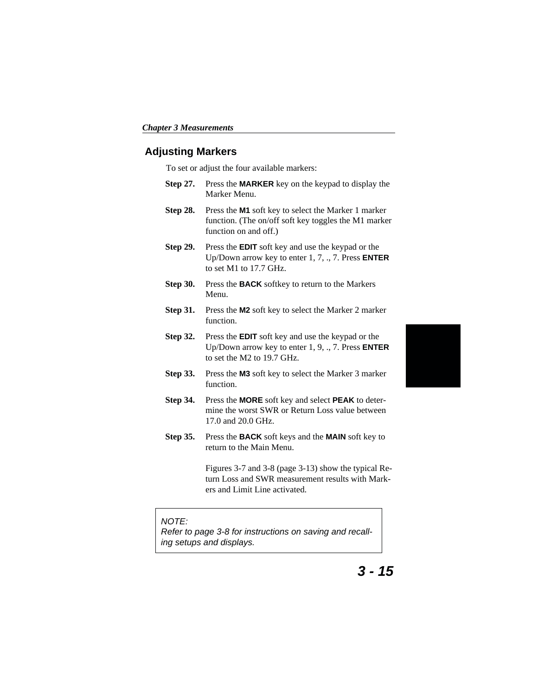#### **Adjusting Markers**

To set or adjust the four available markers:

- **Step 27.** Press the **MARKER** key on the keypad to display the Marker Menu.
- **Step 28.** Press the **M1** soft key to select the Marker 1 marker function. (The on/off soft key toggles the M1 marker function on and off.)
- **Step 29.** Press the **EDIT** soft key and use the keypad or the Up/Down arrow key to enter 1, 7, ., 7. Press **ENTER** to set M1 to 17.7 GHz.
- **Step 30.** Press the **BACK** softkey to return to the Markers Menu.
- **Step 31.** Press the **M2** soft key to select the Marker 2 marker function.
- **Step 32.** Press the **EDIT** soft key and use the keypad or the Up/Down arrow key to enter 1, 9, ., 7. Press **ENTER** to set the M2 to 19.7 GHz.
- **Step 33.** Press the **M3** soft key to select the Marker 3 marker function.
- **Step 34.** Press the **MORE** soft key and select **PEAK** to determine the worst SWR or Return Loss value between 17.0 and 20.0 GHz.
- **Step 35.** Press the **BACK** soft keys and the **MAIN** soft key to return to the Main Menu.

Figures 3-[7](#page-68-0) and 3-[8](#page-68-0) (page [3-13](#page-68-0)) show the typical Return Loss and SWR measurement results with Markers and Limit Line activated.

#### NOTE:

Refer to page [3-8](#page-63-0) for instructions on saving and recalling setups and displays.



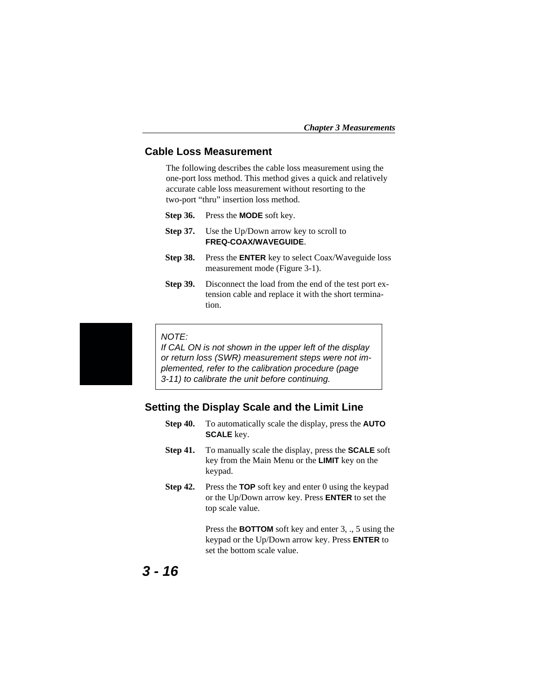#### **Cable Loss Measurement**

The following describes the cable loss measurement using the one-port loss method. This method gives a quick and relatively accurate cable loss measurement without resorting to the two-port "thru" insertion loss method.

- **Step 36.** Press the **MODE** soft key.
- **Step 37.** Use the Up/Down arrow key to scroll to **FREQ-COAX/WAVEGUIDE**.
- **Step 38.** Press the **ENTER** key to select Coax/Waveguide loss measurement mode (Figure [3](#page-59-0)-[1\)](#page-59-0).
- **Step 39.** Disconnect the load from the end of the test port extension cable and replace it with the short termination.



#### NOTE:

If CAL ON is not shown in the upper left of the display or return loss (SWR) measurement steps were not implemented, refer to the calibration procedure (page [3-11](#page-66-0)) to calibrate the unit before continuing.

#### **Setting the Display Scale and the Limit Line**

- **Step 40.** To automatically scale the display, press the **AUTO SCALE** key.
- **Step 41.** To manually scale the display, press the **SCALE** soft key from the Main Menu or the **LIMIT** key on the keypad.
- **Step 42.** Press the **TOP** soft key and enter 0 using the keypad or the Up/Down arrow key. Press **ENTER** to set the top scale value.

Press the **BOTTOM** soft key and enter 3, ., 5 using the keypad or the Up/Down arrow key. Press **ENTER** to set the bottom scale value.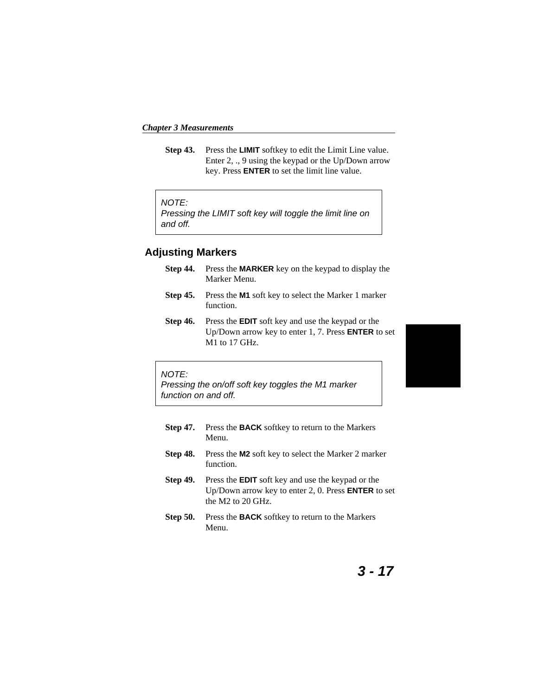*Chapter 3 Measurements*

**Step 43.** Press the **LIMIT** softkey to edit the Limit Line value. Enter 2, ., 9 using the keypad or the Up/Down arrow key. Press **ENTER** to set the limit line value.

#### NOTE:

Pressing the LIMIT soft key will toggle the limit line on and off.

#### **Adjusting Markers**

- **Step 44.** Press the **MARKER** key on the keypad to display the Marker Menu.
- **Step 45.** Press the **M1** soft key to select the Marker 1 marker function.
- **Step 46.** Press the **EDIT** soft key and use the keypad or the Up/Down arrow key to enter 1, 7. Press **ENTER** to set M1 to 17 GHz.



#### NOTE:

Pressing the on/off soft key toggles the M1 marker function on and off.

- **Step 47.** Press the **BACK** softkey to return to the Markers Menu.
- **Step 48.** Press the **M2** soft key to select the Marker 2 marker function.
- **Step 49.** Press the **EDIT** soft key and use the keypad or the Up/Down arrow key to enter 2, 0. Press **ENTER** to set the M2 to 20 GHz.
- **Step 50.** Press the **BACK** softkey to return to the Markers Menu.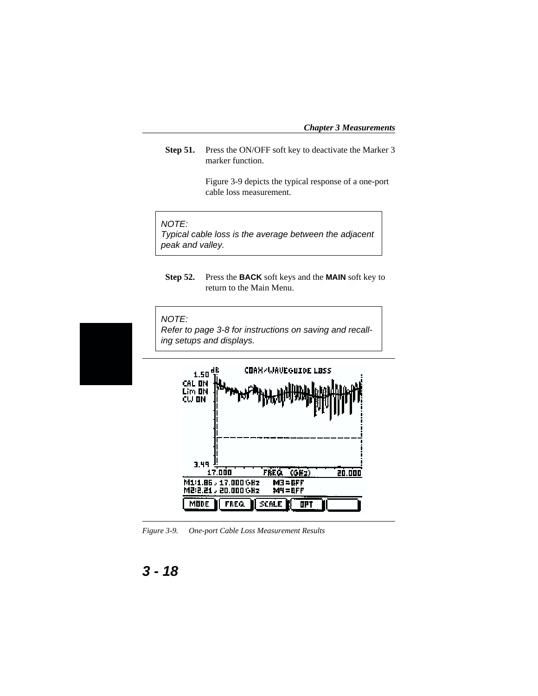<span id="page-73-0"></span>**Step 51.** Press the ON/OFF soft key to deactivate the Marker 3 marker function.

> Figure 3-[9](#page-73-0) depicts the typical response of a one-port cable loss measurement.

#### NOTE:

Typical cable loss is the average between the adjacent peak and valley.

**Step 52.** Press the **BACK** soft keys and the **MAIN** soft key to return to the Main Menu.



*Figure 3-9. One-port Cable Loss Measurement Results*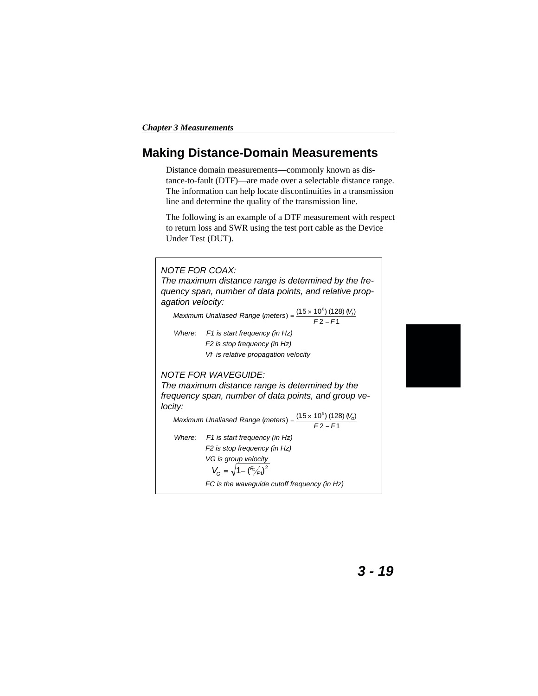## **Making Distance-Domain Measurements**

Distance domain measurements—commonly known as distance-to-fault (DTF)—are made over a selectable distance range. The information can help locate discontinuities in a transmission line and determine the quality of the transmission line.

The following is an example of a DTF measurement with respect to return loss and SWR using the test port cable as the Device Under Test (DUT).



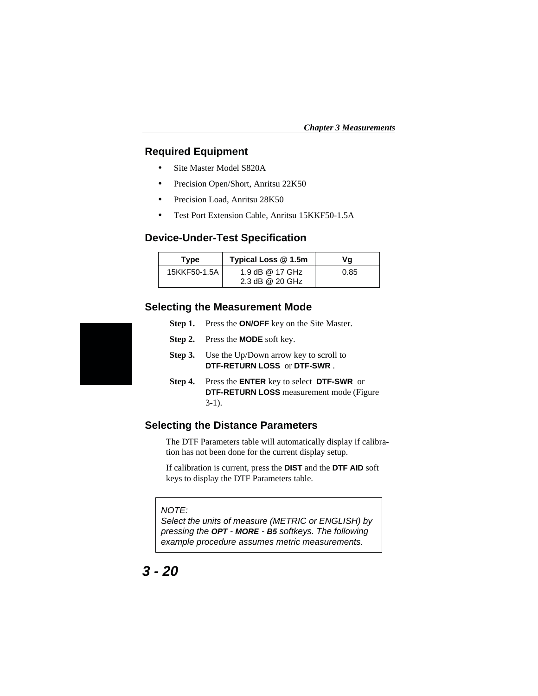#### **Required Equipment**

- Site Master Model S820A
- Precision Open/Short, Anritsu 22K50
- Precision Load, Anritsu 28K50
- Test Port Extension Cable, Anritsu 15KKF50-1.5A

#### **Device-Under-Test Specification**

| Type         | Typical Loss @ 1.5m | Va   |
|--------------|---------------------|------|
| 15KKF50-1.5A | 1.9 dB @ 17 GHz     | 0.85 |
|              | 2.3 dB @ 20 GHz     |      |

#### **Selecting the Measurement Mode**

- **Step 1.** Press the **ON/OFF** key on the Site Master.
- **Step 2.** Press the **MODE** soft key.
- **Step 3.** Use the Up/Down arrow key to scroll to **DTF-RETURN LOSS** or **DTF-SWR** .
- **Step 4.** Press the **ENTER** key to select **DTF-SWR** or **DTF-RETURN LOSS** measurement mode (Figure  $3-1$  $3-1$ ).

#### **Selecting the Distance Parameters**

The DTF Parameters table will automatically display if calibration has not been done for the current display setup.

If calibration is current, press the **DIST** and the **DTF AID** soft keys to display the DTF Parameters table.

#### NOTE:

Select the units of measure (METRIC or ENGLISH) by pressing the **OPT** - **MORE** - **B5** softkeys. The following example procedure assumes metric measurements.

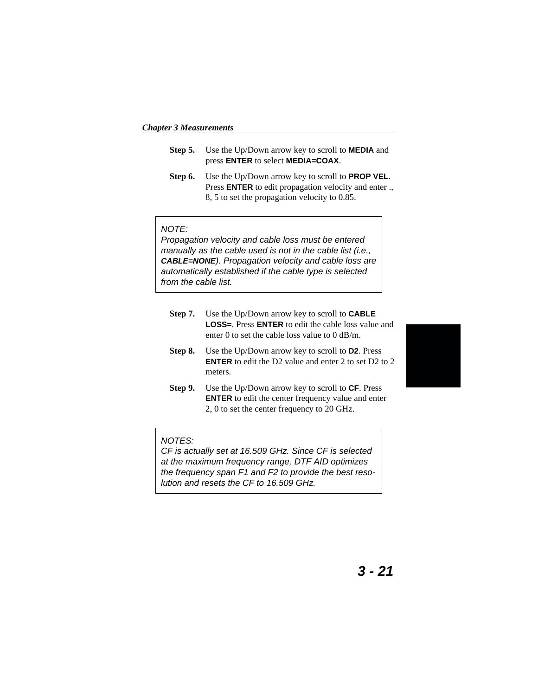*Chapter 3 Measurements*

- **Step 5.** Use the Up/Down arrow key to scroll to **MEDIA** and press **ENTER** to select **MEDIA=COAX**.
- **Step 6.** Use the Up/Down arrow key to scroll to **PROP VEL**. Press **ENTER** to edit propagation velocity and enter ., 8, 5 to set the propagation velocity to 0.85.

#### NOTE:

Propagation velocity and cable loss must be entered manually as the cable used is not in the cable list (i.e., **CABLE=NONE**). Propagation velocity and cable loss are automatically established if the cable type is selected from the cable list.

- **Step 7.** Use the Up/Down arrow key to scroll to **CABLE LOSS=**. Press **ENTER** to edit the cable loss value and enter 0 to set the cable loss value to 0 dB/m.
- **Step 8.** Use the Up/Down arrow key to scroll to **D2**. Press **ENTER** to edit the D2 value and enter 2 to set D2 to 2 meters.
- **Step 9.** Use the Up/Down arrow key to scroll to **CF**. Press **ENTER** to edit the center frequency value and enter 2, 0 to set the center frequency to 20 GHz.

#### NOTES:

CF is actually set at 16.509 GHz. Since CF is selected at the maximum frequency range, DTF AID optimizes the frequency span F1 and F2 to provide the best resolution and resets the CF to 16.509 GHz.

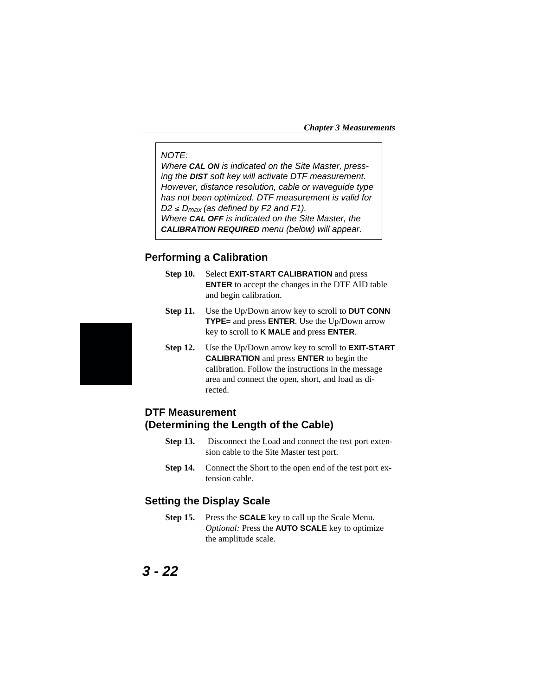*Chapter 3 Measurements*

#### NOTE:

Where **CAL ON** is indicated on the Site Master, pressing the **DIST** soft key will activate DTF measurement. However, distance resolution, cable or waveguide type has not been optimized. DTF measurement is valid for  $D2 \leq D_{\text{max}}$  (as defined by F2 and F1). Where **CAL OFF** is indicated on the Site Master, the **CALIBRATION REQUIRED** menu (below) will appear.

#### **Performing a Calibration**

- **Step 10.** Select **EXIT-START CALIBRATION** and press **ENTER** to accept the changes in the DTF AID table and begin calibration.
- **Step 11.** Use the Up/Down arrow key to scroll to **DUT CONN TYPE=** and press **ENTER**. Use the Up/Down arrow key to scroll to **K MALE** and press **ENTER**.
- **Step 12.** Use the Up/Down arrow key to scroll to **EXIT-START CALIBRATION** and press **ENTER** to begin the calibration. Follow the instructions in the message area and connect the open, short, and load as directed.

## **DTF Measurement (Determining the Length of the Cable)**

- **Step 13.** Disconnect the Load and connect the test port extension cable to the Site Master test port.
- **Step 14.** Connect the Short to the open end of the test port extension cable.

#### **Setting the Display Scale**

**Step 15.** Press the **SCALE** key to call up the Scale Menu. *Optional:* Press the **AUTO SCALE** key to optimize the amplitude scale.

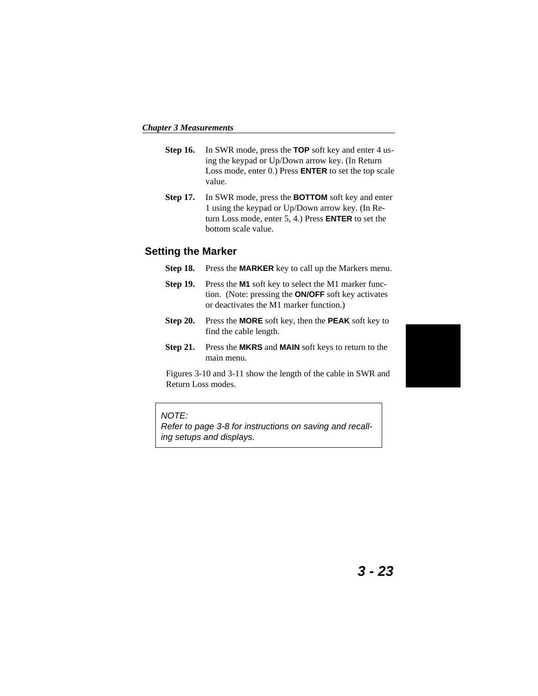- **Step 16.** In SWR mode, press the **TOP** soft key and enter 4 using the keypad or Up/Down arrow key. (In Return Loss mode, enter 0.) Press **ENTER** to set the top scale value.
- **Step 17.** In SWR mode, press the **BOTTOM** soft key and enter 1 using the keypad or Up/Down arrow key. (In Return Loss mode, enter 5, 4.) Press **ENTER** to set the bottom scale value.

#### **Setting the Marker**

- **Step 18.** Press the **MARKER** key to call up the Markers menu.
- **Step 19.** Press the **M1** soft key to select the M1 marker function. (Note: pressing the **ON/OFF** soft key activates or deactivates the M1 marker function.)
- **Step 20.** Press the **MORE** soft key, then the **PEAK** soft key to find the cable length.
- **Step 21.** Press the **MKRS** and **MAIN** soft keys to return to the main menu.

Figures 3-[10](#page-79-0) and 3-[11](#page-79-0) show the length of the cable in SWR and Return Loss modes.



#### NOTE:

Refer to page [3-8](#page-63-0) for instructions on saving and recalling setups and displays.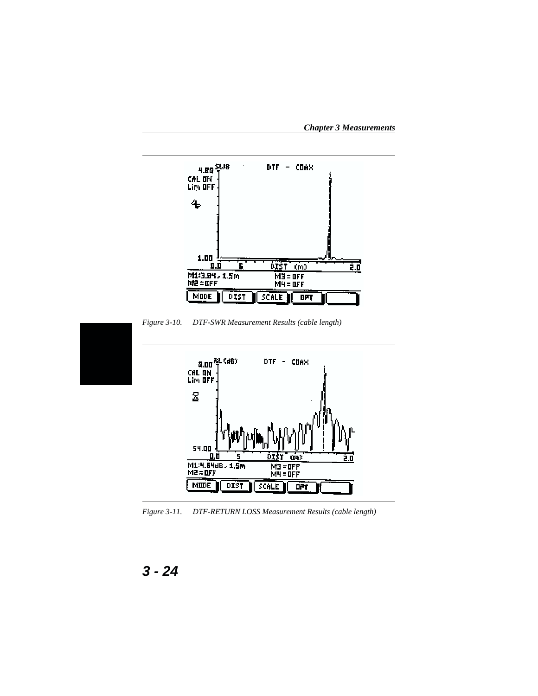<span id="page-79-0"></span>*Chapter 3 Measurements*



*Figure 3-11. DTF-RETURN LOSS Measurement Results (cable length)*

DIST

**SCALE** 

**DPT** 



MODE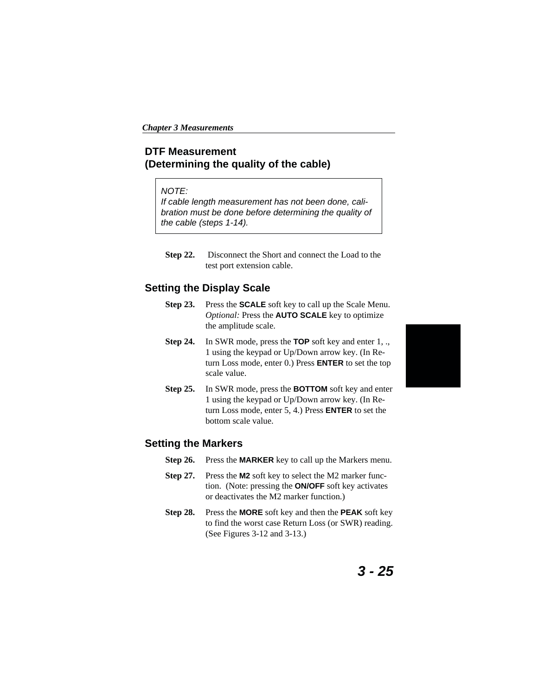## **DTF Measurement (Determining the quality of the cable)**

#### NOTE:

If cable length measurement has not been done, calibration must be done before determining the quality of the cable (steps 1-14).

**Step 22.** Disconnect the Short and connect the Load to the test port extension cable.

### **Setting the Display Scale**

- **Step 23.** Press the **SCALE** soft key to call up the Scale Menu. *Optional:* Press the **AUTO SCALE** key to optimize the amplitude scale.
- **Step 24.** In SWR mode, press the **TOP** soft key and enter 1, ., 1 using the keypad or Up/Down arrow key. (In Return Loss mode, enter 0.) Press **ENTER** to set the top scale value.
- **Step 25.** In SWR mode, press the **BOTTOM** soft key and enter 1 using the keypad or Up/Down arrow key. (In Return Loss mode, enter 5, 4.) Press **ENTER** to set the bottom scale value.

#### **Setting the Markers**

- **Step 26.** Press the **MARKER** key to call up the Markers menu.
- **Step 27.** Press the **M2** soft key to select the M2 marker function. (Note: pressing the **ON/OFF** soft key activates or deactivates the M2 marker function.)
- **Step 28.** Press the **MORE** soft key and then the **PEAK** soft key to find the worst case Return Loss (or SWR) reading. (See Figures 3[-12](#page-81-0) and 3-[13.](#page-81-0))

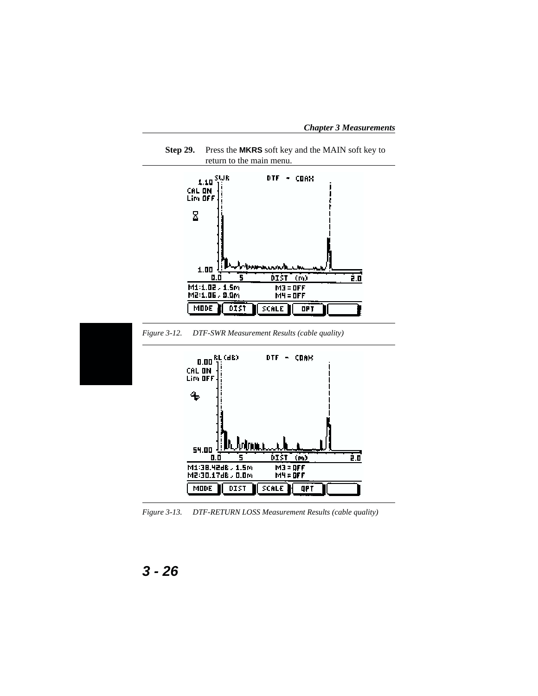<span id="page-81-0"></span>*Chapter 3 Measurements*



*Figure 3-13. DTF-RETURN LOSS Measurement Results (cable quality)*

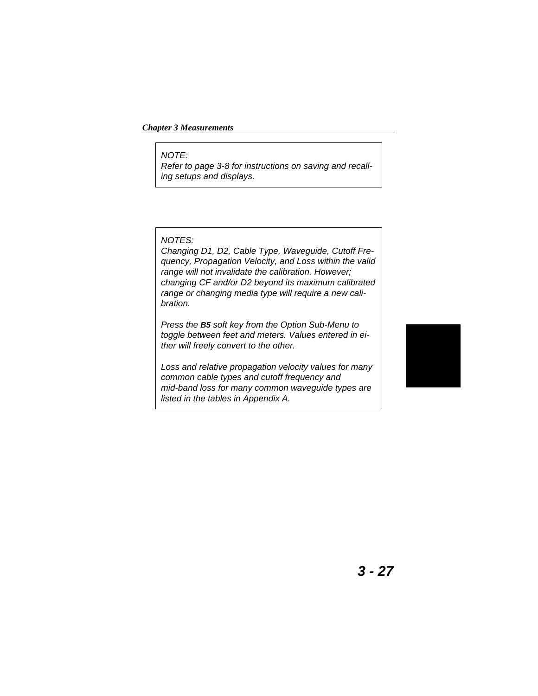#### *Chapter 3 Measurements*

NOTE:

Refer to page [3-8](#page-63-0) for instructions on saving and recalling setups and displays.

#### NOTES:

Changing D1, D2, Cable Type, Waveguide, Cutoff Frequency, Propagation Velocity, and Loss within the valid range will not invalidate the calibration. However; changing CF and/or D2 beyond its maximum calibrated range or changing media type will require a new calibration.

Press the **B5** soft key from the Option Sub-Menu to toggle between feet and meters. Values entered in either will freely convert to the other.

Loss and relative propagation velocity values for many common cable types and cutoff frequency and mid-band loss for many common waveguide types are listed in the tables in Appendix A.

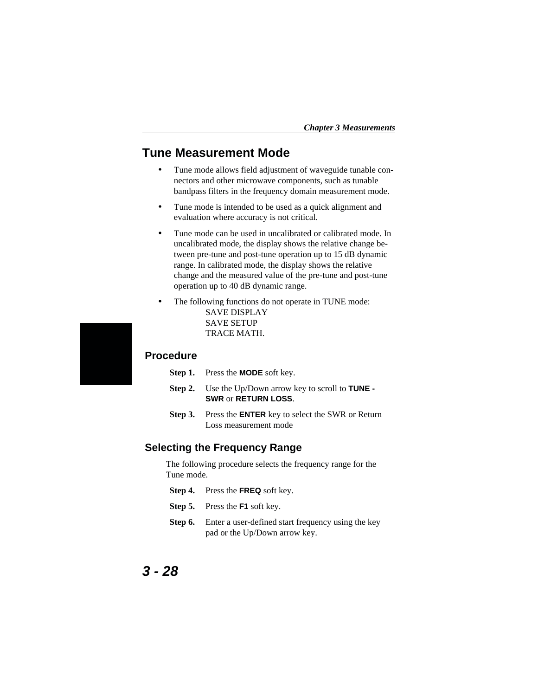## **Tune Measurement Mode**

- Tune mode allows field adjustment of waveguide tunable connectors and other microwave components, such as tunable bandpass filters in the frequency domain measurement mode.
- Tune mode is intended to be used as a quick alignment and evaluation where accuracy is not critical.
- Tune mode can be used in uncalibrated or calibrated mode. In uncalibrated mode, the display shows the relative change between pre-tune and post-tune operation up to 15 dB dynamic range. In calibrated mode, the display shows the relative change and the measured value of the pre-tune and post-tune operation up to 40 dB dynamic range.
- The following functions do not operate in TUNE mode: SAVE DISPLAY SAVE SETUP TRACE MATH.

#### **Procedure**

- **Step 1.** Press the **MODE** soft key.
- **Step 2.** Use the Up/Down arrow key to scroll to **TUNE - SWR** or **RETURN LOSS**.
- **Step 3.** Press the **ENTER** key to select the SWR or Return Loss measurement mode

#### **Selecting the Frequency Range**

The following procedure selects the frequency range for the Tune mode.

- **Step 4.** Press the **FREQ** soft key.
- **Step 5.** Press the **F1** soft key.
- **Step 6.** Enter a user-defined start frequency using the key pad or the Up/Down arrow key.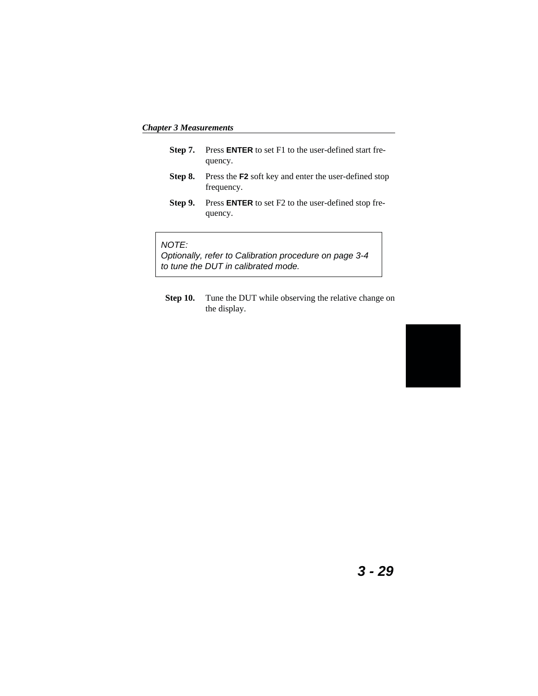*Chapter 3 Measurements*

- **Step 7.** Press **ENTER** to set F1 to the user-defined start frequency.
- **Step 8.** Press the **F2** soft key and enter the user-defined stop frequency.
- **Step 9.** Press **ENTER** to set F2 to the user-defined stop frequency.

#### NOTE:

Optionally, refer to Calibration procedure on page [3-4](#page-59-0) to tune the DUT in calibrated mode.

**Step 10.** Tune the DUT while observing the relative change on the display.

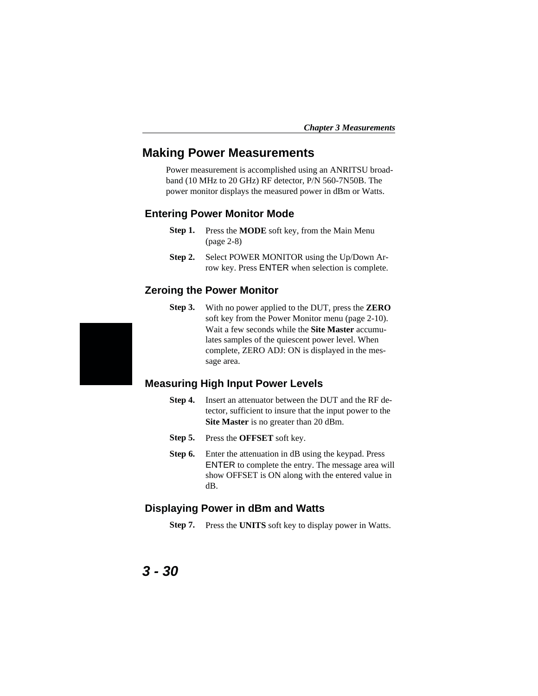## **Making Power Measurements**

Power measurement is accomplished using an ANRITSU broadband (10 MHz to 20 GHz) RF detector, P/N 560-7N50B. The power monitor displays the measured power in dBm or Watts.

#### **Entering Power Monitor Mode**

- **Step 1.** Press the **MODE** soft key, from the Main Menu (page 2-8)
- **Step 2.** Select POWER MONITOR using the Up/Down Arrow key. Press ENTER when selection is complete.

#### **Zeroing the Power Monitor**

**Step 3.** With no power applied to the DUT, press the **ZERO** soft key from the Power Monitor menu (page 2-10). Wait a few seconds while the **Site Master** accumulates samples of the quiescent power level. When complete, ZERO ADJ: ON is displayed in the message area.

#### **Measuring High Input Power Levels**

- **Step 4.** Insert an attenuator between the DUT and the RF detector, sufficient to insure that the input power to the **Site Master** is no greater than 20 dBm.
- **Step 5.** Press the **OFFSET** soft key.
- **Step 6.** Enter the attenuation in dB using the keypad. Press ENTER to complete the entry. The message area will show OFFSET is ON along with the entered value in dB.

#### **Displaying Power in dBm and Watts**

**Step 7.** Press the **UNITS** soft key to display power in Watts.

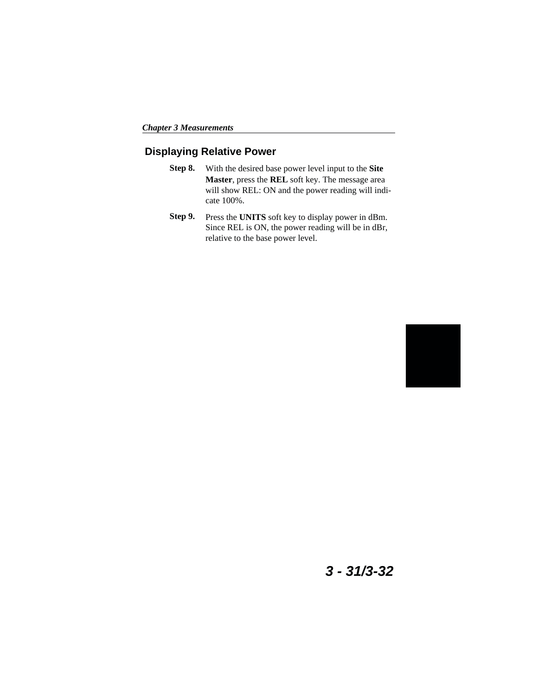## **Displaying Relative Power**

- **Step 8.** With the desired base power level input to the **Site Master**, press the **REL** soft key. The message area will show REL: ON and the power reading will indicate 100%.
- **Step 9.** Press the **UNITS** soft key to display power in dBm. Since REL is ON, the power reading will be in dBr, relative to the base power level.



## **3 - 31/3-32**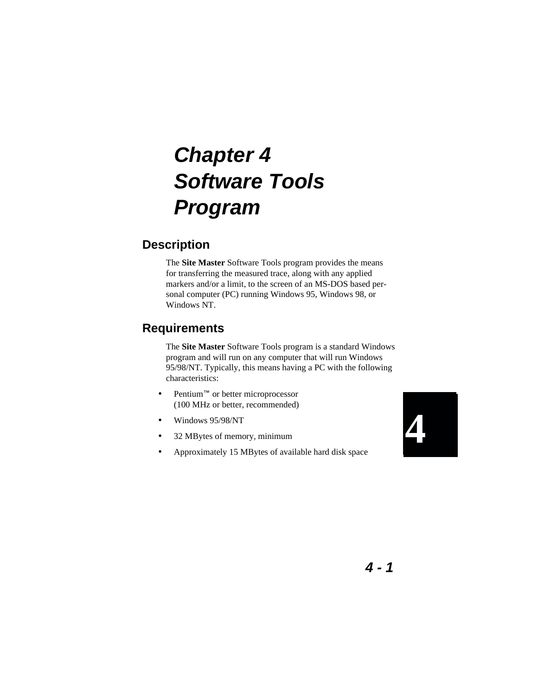# **Chapter 4 Software Tools Program**

## **Description**

The **Site Master** Software Tools program provides the means for transferring the measured trace, along with any applied markers and/or a limit, to the screen of an MS-DOS based personal computer (PC) running Windows 95, Windows 98, or Windows NT.

## **Requirements**

The **Site Master** Software Tools program is a standard Windows program and will run on any computer that will run Windows 95/98/NT. Typically, this means having a PC with the following characteristics:

- Pentium<sup> $M$ </sup> or better microprocessor (100 MHz or better, recommended)
- Windows 95/98/NT
- 32 MBytes of memory, minimum
- Approximately 15 MBytes of available hard disk space

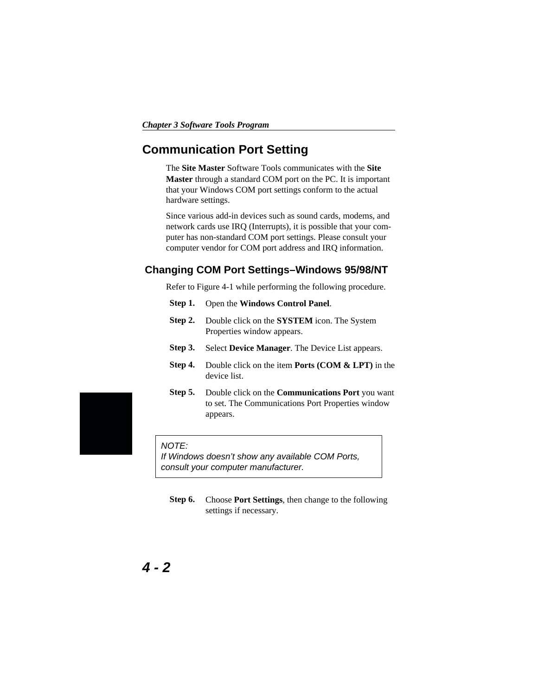## **Communication Port Setting**

The **Site Master** Software Tools communicates with the **Site Master** through a standard COM port on the PC. It is important that your Windows COM port settings conform to the actual hardware settings.

Since various add-in devices such as sound cards, modems, and network cards use IRQ (Interrupts), it is possible that your computer has non-standard COM port settings. Please consult your computer vendor for COM port address and IRQ information.

#### **Changing COM Port Settings–Windows 95/98/NT**

Refer to Figure 4-[1](#page-89-0) while performing the following procedure.

- **Step 1.** Open the **Windows Control Panel**.
- **Step 2.** Double click on the **SYSTEM** icon. The System Properties window appears.
- **Step 3.** Select **Device Manager**. The Device List appears.
- **Step 4.** Double click on the item **Ports (COM & LPT)** in the device list.
- **Step 5.** Double click on the **Communications Port** you want to set. The Communications Port Properties window appears.

#### NOTE:

If Windows doesn't show any available COM Ports, consult your computer manufacturer.

**Step 6.** Choose **Port Settings**, then change to the following settings if necessary.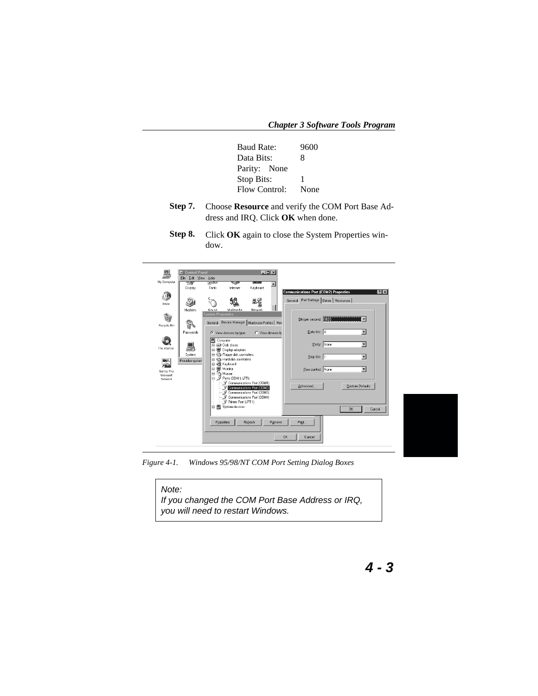<span id="page-89-0"></span>*Chapter 3 Software Tools Program*

| <b>Baud Rate:</b> | 9600 |
|-------------------|------|
| Data Bits:        | 8    |
| Parity: None      |      |
| Stop Bits:        | 1    |
| Flow Control:     | None |
|                   |      |

- **Step 7.** Choose **Resource** and verify the COM Port Base Address and IRQ. Click **OK** when done.
- **Step 8.** Click **OK** again to close the System Properties window.

| 囩                    | <b>Control Panel</b>        |                                   |                                                          |          | $  D  \times  $   |                                                      |
|----------------------|-----------------------------|-----------------------------------|----------------------------------------------------------|----------|-------------------|------------------------------------------------------|
| My Computer          | File Edit View Help<br>च्या | त्राज                             | ≂                                                        |          |                   |                                                      |
|                      | Display                     | Fonts                             | Internet                                                 | Keyboard | $\blacktriangle$  |                                                      |
|                      |                             |                                   |                                                          |          |                   | <b>Communications Port (COM2) Properties</b><br> ? x |
|                      |                             |                                   |                                                          | 昌之       |                   | General Port Settings Driver   Resources             |
| Inbox                |                             |                                   |                                                          |          |                   |                                                      |
|                      | Modems                      | Mouse<br><b>System Properties</b> | Multimedia                                               | Network  |                   |                                                      |
| è                    |                             |                                   |                                                          |          |                   | Bits per second: 2000<br>▾                           |
| Recycle Bin          | S                           | General                           | Device Manager   Hardware Profiles   Perl                |          |                   |                                                      |
|                      | Passwords                   |                                   | C View devices by type                                   |          | C View devices by | Data bits: 8<br>$\overline{\phantom{a}}$             |
|                      |                             | 图 Computer                        |                                                          |          |                   |                                                      |
|                      |                             |                                   | Fi-CD Disk drives                                        |          |                   | $\overline{\phantom{a}}$<br>Parity: None             |
| The Internet         |                             |                                   | 由 Display adapters                                       |          |                   |                                                      |
|                      | System                      |                                   | 由一 Floppy disk controllers<br>由 图 Hard disk controllers  |          |                   | $\blacksquare$<br>Stop bits: 1                       |
| $\frac{msn}{n}$      | Provides system             |                                   | 由 @ Keyboard                                             |          |                   |                                                      |
| Set Up The           |                             | ė                                 | Monitor<br>≐∞ ‱                                          |          |                   | $\overline{\phantom{a}}$<br>Elow control: None       |
| Microsoft<br>Network |                             |                                   | D-J Ports (COM & LPT)                                    |          |                   |                                                      |
|                      |                             |                                   | Communications Port (COM1)                               |          |                   | Advanced<br>Restore Defaults                         |
|                      |                             |                                   | Communications Port (COM2)<br>Communications Port (COM3) |          |                   |                                                      |
|                      |                             |                                   | Communications Port (COM4)                               |          |                   |                                                      |
|                      |                             |                                   | Printer Port (LPT1)                                      |          |                   |                                                      |
|                      |                             |                                   | 由图 System devices                                        |          |                   | <b>OK</b><br>Cancel                                  |
|                      |                             |                                   |                                                          |          |                   |                                                      |
|                      |                             |                                   | Properties                                               | Refresh  | Remove            | Print                                                |
|                      |                             |                                   |                                                          |          |                   |                                                      |
|                      |                             |                                   |                                                          |          |                   | <b>OK</b><br>Cancel                                  |
|                      |                             |                                   |                                                          |          |                   |                                                      |

*Figure 4-1. Windows 95/98/NT COM Port Setting Dialog Boxes*

| Note:<br>If you changed the COM Port Base Address or IRQ, |
|-----------------------------------------------------------|
| you will need to restart Windows.                         |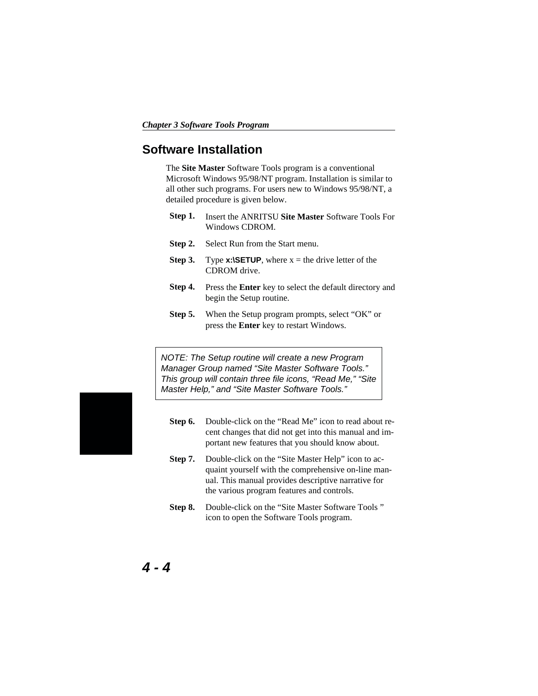## **Software Installation**

The **Site Master** Software Tools program is a conventional Microsoft Windows 95/98/NT program. Installation is similar to all other such programs. For users new to Windows 95/98/NT, a detailed procedure is given below.

- **Step 1.** Insert the ANRITSU **Site Master** Software Tools For Windows CDROM.
- **Step 2.** Select Run from the Start menu.
- **Step 3.** Type **x:\SETUP**, where  $x =$  the drive letter of the CDROM drive.
- **Step 4.** Press the **Enter** key to select the default directory and begin the Setup routine.
- **Step 5.** When the Setup program prompts, select "OK" or press the **Enter** key to restart Windows.

NOTE: The Setup routine will create a new Program Manager Group named "Site Master Software Tools." This group will contain three file icons, "Read Me," "Site Master Help," and "Site Master Software Tools."

- **Step 6.** Double-click on the "Read Me" icon to read about recent changes that did not get into this manual and important new features that you should know about.
- **Step 7.** Double-click on the "Site Master Help" icon to acquaint yourself with the comprehensive on-line manual. This manual provides descriptive narrative for the various program features and controls.
- **Step 8.** Double-click on the "Site Master Software Tools " icon to open the Software Tools program.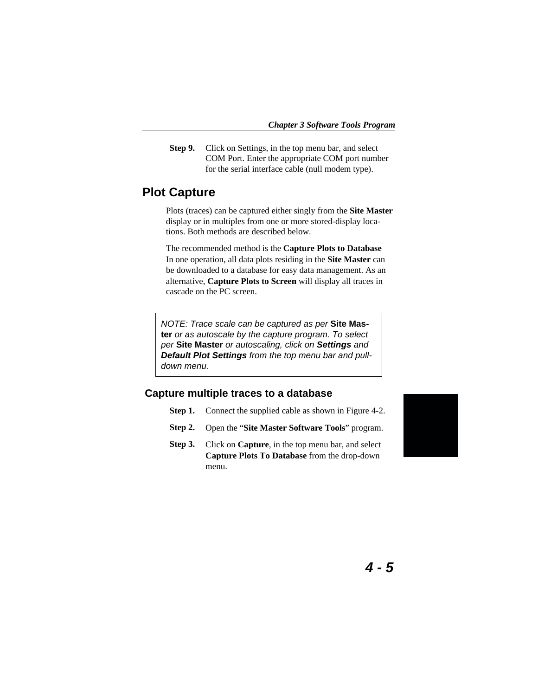**Step 9.** Click on Settings, in the top menu bar, and select COM Port. Enter the appropriate COM port number for the serial interface cable (null modem type).

## **Plot Capture**

Plots (traces) can be captured either singly from the **Site Master** display or in multiples from one or more stored-display locations. Both methods are described below.

The recommended method is the **Capture Plots to Database** In one operation, all data plots residing in the **Site Master** can be downloaded to a database for easy data management. As an alternative, **Capture Plots to Screen** will display all traces in cascade on the PC screen.

NOTE: Trace scale can be captured as per **Site Master** or as autoscale by the capture program. To select per **Site Master** or autoscaling, click on **Settings** and **Default Plot Settings** from the top menu bar and pulldown menu.

#### **Capture multiple traces to a database**

- **Step 1.** Connect the supplied cable as shown in Figure [4-2](#page-92-0).
- **Step 2.** Open the "**Site Master Software Tools**" program.
- **Step 3.** Click on **Capture**, in the top menu bar, and select **Capture Plots To Database** from the drop-down menu.

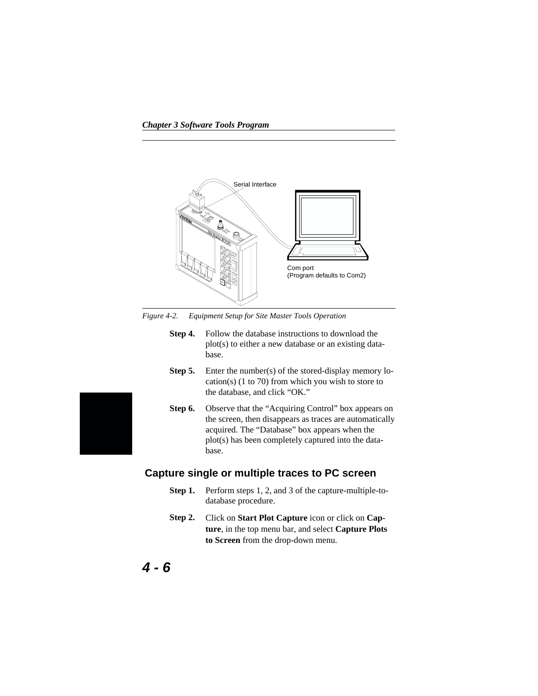<span id="page-92-0"></span>

*Figure 4-2. Equipment Setup for Site Master Tools Operation*

- **Step 4.** Follow the database instructions to download the plot(s) to either a new database or an existing database.
- **Step 5.** Enter the number(s) of the stored-display memory location(s) (1 to 70) from which you wish to store to the database, and click "OK."
- **Step 6.** Observe that the "Acquiring Control" box appears on the screen, then disappears as traces are automatically acquired. The "Database" box appears when the plot(s) has been completely captured into the database.

#### **Capture single or multiple traces to PC screen**

- **Step 1.** Perform steps 1, 2, and 3 of the capture-multiple-todatabase procedure.
- **Step 2.** Click on **Start Plot Capture** icon or click on **Capture**, in the top menu bar, and select **Capture Plots to Screen** from the drop-down menu.
-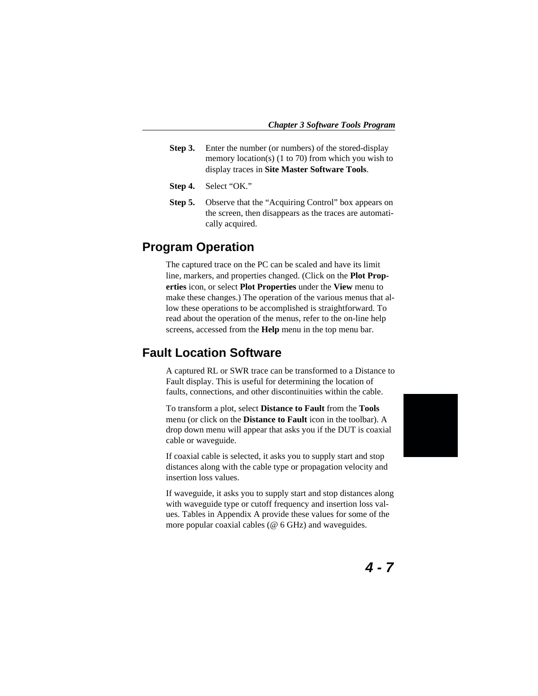- **Step 3.** Enter the number (or numbers) of the stored-display memory location(s) (1 to 70) from which you wish to display traces in **Site Master Software Tools**.
- **Step 4.** Select "OK."
- **Step 5.** Observe that the "Acquiring Control" box appears on the screen, then disappears as the traces are automatically acquired.

## **Program Operation**

The captured trace on the PC can be scaled and have its limit line, markers, and properties changed. (Click on the **Plot Properties** icon, or select **Plot Properties** under the **View** menu to make these changes.) The operation of the various menus that allow these operations to be accomplished is straightforward. To read about the operation of the menus, refer to the on-line help screens, accessed from the **Help** menu in the top menu bar.

## **Fault Location Software**

A captured RL or SWR trace can be transformed to a Distance to Fault display. This is useful for determining the location of faults, connections, and other discontinuities within the cable.

To transform a plot, select **Distance to Fault** from the **Tools** menu (or click on the **Distance to Fault** icon in the toolbar). A drop down menu will appear that asks you if the DUT is coaxial cable or waveguide.

If coaxial cable is selected, it asks you to supply start and stop distances along with the cable type or propagation velocity and insertion loss values.

If waveguide, it asks you to supply start and stop distances along with waveguide type or cutoff frequency and insertion loss values. Tables in Appendix A provide these values for some of the more popular coaxial cables (@ 6 GHz) and waveguides.

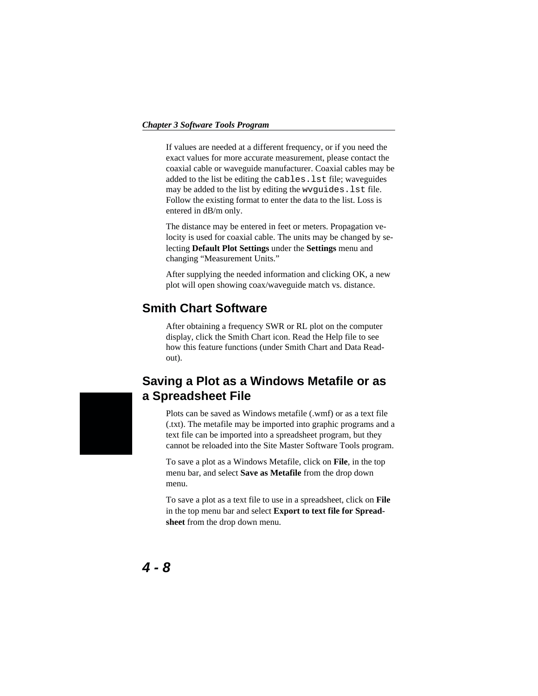#### *Chapter 3 Software Tools Program*

If values are needed at a different frequency, or if you need the exact values for more accurate measurement, please contact the coaxial cable or waveguide manufacturer. Coaxial cables may be added to the list be editing the cables.lst file; waveguides may be added to the list by editing the wvguides.lst file. Follow the existing format to enter the data to the list. Loss is entered in dB/m only.

The distance may be entered in feet or meters. Propagation velocity is used for coaxial cable. The units may be changed by selecting **Default Plot Settings** under the **Settings** menu and changing "Measurement Units."

After supplying the needed information and clicking OK, a new plot will open showing coax/waveguide match vs. distance.

## **Smith Chart Software**

After obtaining a frequency SWR or RL plot on the computer display, click the Smith Chart icon. Read the Help file to see how this feature functions (under Smith Chart and Data Readout).

## **Saving a Plot as a Windows Metafile or as a Spreadsheet File**

Plots can be saved as Windows metafile (.wmf) or as a text file (.txt). The metafile may be imported into graphic programs and a text file can be imported into a spreadsheet program, but they cannot be reloaded into the Site Master Software Tools program.

To save a plot as a Windows Metafile, click on **File**, in the top menu bar, and select **Save as Metafile** from the drop down menu.

To save a plot as a text file to use in a spreadsheet, click on **File** in the top menu bar and select **Export to text file for Spreadsheet** from the drop down menu.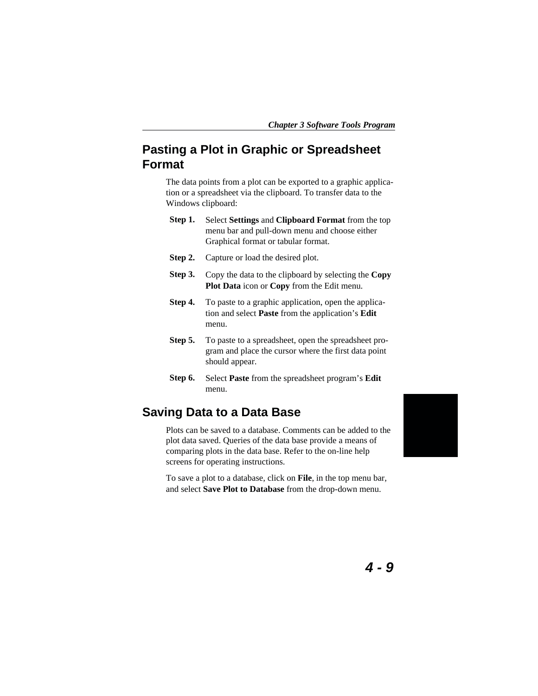*Chapter 3 Software Tools Program*

## **Pasting a Plot in Graphic or Spreadsheet Format**

The data points from a plot can be exported to a graphic application or a spreadsheet via the clipboard. To transfer data to the Windows clipboard:

- **Step 1.** Select **Settings** and **Clipboard Format** from the top menu bar and pull-down menu and choose either Graphical format or tabular format.
- **Step 2.** Capture or load the desired plot.
- **Step 3.** Copy the data to the clipboard by selecting the **Copy Plot Data** icon or **Copy** from the Edit menu.
- **Step 4.** To paste to a graphic application, open the application and select **Paste** from the application's **Edit** menu.
- **Step 5.** To paste to a spreadsheet, open the spreadsheet program and place the cursor where the first data point should appear.
- **Step 6.** Select **Paste** from the spreadsheet program's **Edit** menu.

## **Saving Data to a Data Base**

Plots can be saved to a database. Comments can be added to the plot data saved. Queries of the data base provide a means of comparing plots in the data base. Refer to the on-line help screens for operating instructions.

To save a plot to a database, click on **File**, in the top menu bar, and select **Save Plot to Database** from the drop-down menu.

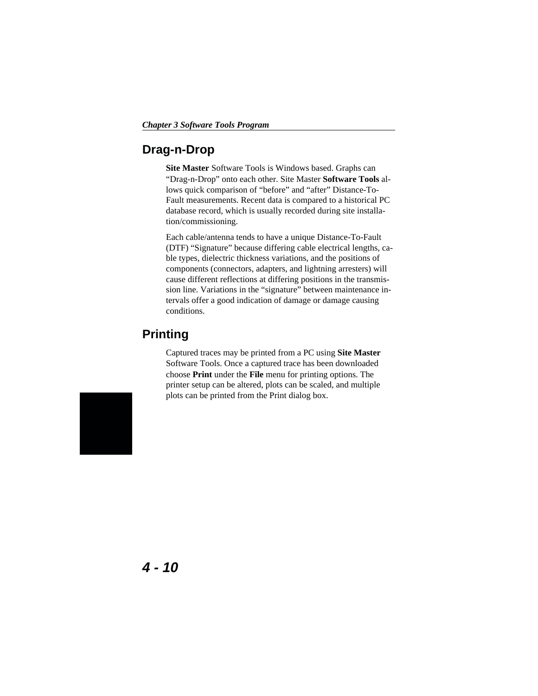## **Drag-n-Drop**

**Site Master** Software Tools is Windows based. Graphs can "Drag-n-Drop" onto each other. Site Master **Software Tools** allows quick comparison of "before" and "after" Distance-To-Fault measurements. Recent data is compared to a historical PC database record, which is usually recorded during site installation/commissioning.

Each cable/antenna tends to have a unique Distance-To-Fault (DTF) "Signature" because differing cable electrical lengths, cable types, dielectric thickness variations, and the positions of components (connectors, adapters, and lightning arresters) will cause different reflections at differing positions in the transmission line. Variations in the "signature" between maintenance intervals offer a good indication of damage or damage causing conditions.

## **Printing**

Captured traces may be printed from a PC using **Site Master** Software Tools. Once a captured trace has been downloaded choose **Print** under the **File** menu for printing options. The printer setup can be altered, plots can be scaled, and multiple plots can be printed from the Print dialog box.

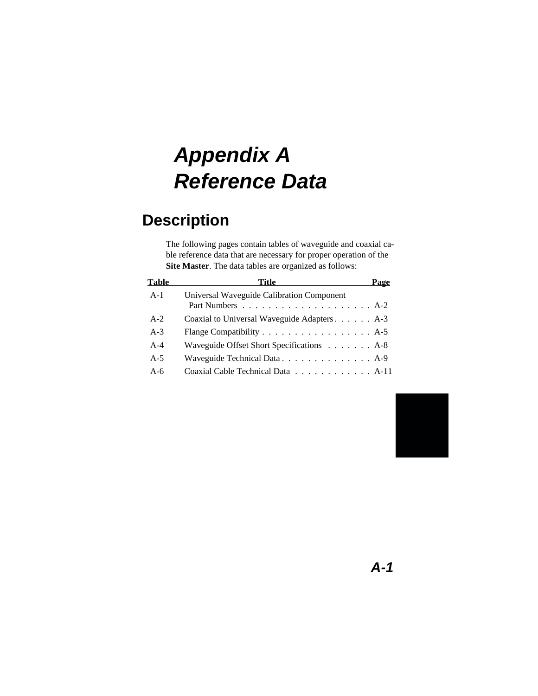# **Appendix A Reference Data**

## **Description**

The following pages contain tables of waveguide and coaxial cable reference data that are necessary for proper operation of the **Site Master**. The data tables are organized as follows:

| <b>Table</b> | Title<br>Page                                                    |  |
|--------------|------------------------------------------------------------------|--|
| $A-1$        | Universal Waveguide Calibration Component                        |  |
|              |                                                                  |  |
| $A-2$        | Coaxial to Universal Waveguide Adapters A-3                      |  |
| $A-3$        | Flange Compatibility $\dots \dots \dots \dots \dots \dots$ . A-5 |  |
| $A-4$        | Waveguide Offset Short Specifications A-8                        |  |
| $A-5$        | Waveguide Technical Data. A-9                                    |  |
| $A-6$        | Coaxial Cable Technical Data A-11                                |  |

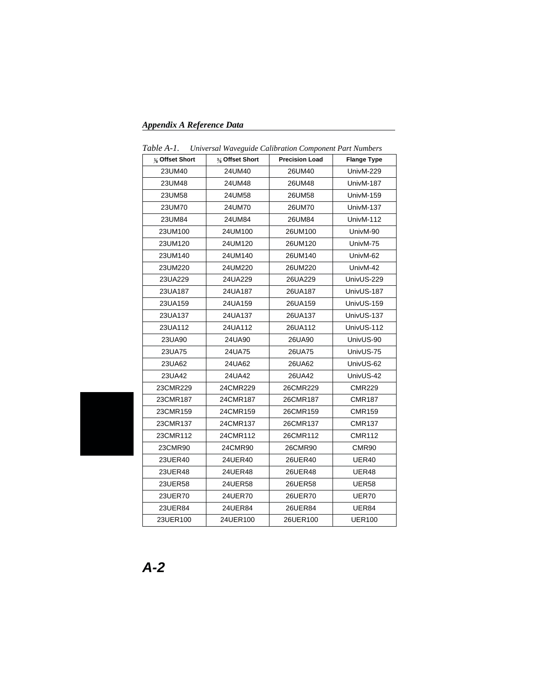## *Appendix A Reference Data*

| 1 uvit 11-1.<br>Chiversui Waveguide Catioration Component Fari Numbers |                |                       |                    |  |  |  |
|------------------------------------------------------------------------|----------------|-----------------------|--------------------|--|--|--|
| $\frac{1}{8}$ Offset Short                                             | % Offset Short | <b>Precision Load</b> | <b>Flange Type</b> |  |  |  |
| 23UM40                                                                 | 24UM40         | 26UM40                | UnivM-229          |  |  |  |
| 23UM48                                                                 | 24UM48         | 26UM48                | UnivM-187          |  |  |  |
| 23UM58                                                                 | 24UM58         | 26UM58                | UnivM-159          |  |  |  |
| 23UM70                                                                 | 24UM70         | 26UM70                | UnivM-137          |  |  |  |
| 23UM84                                                                 | 24UM84         | 26UM84                | UnivM-112          |  |  |  |
| 23UM100                                                                | 24UM100        | 26UM100               | UnivM-90           |  |  |  |
| 23UM120                                                                | 24UM120        | 26UM120               | UnivM-75           |  |  |  |
| 23UM140                                                                | 24UM140        | 26UM140               | UnivM-62           |  |  |  |
| 23UM220                                                                | 24UM220        | 26UM220               | UnivM-42           |  |  |  |
| 23UA229                                                                | 24UA229        | 26UA229               | UnivUS-229         |  |  |  |
| 23UA187                                                                | 24UA187        | 26UA187               | UnivUS-187         |  |  |  |
| 23UA159                                                                | 24UA159        | 26UA159               | UnivUS-159         |  |  |  |
| 23UA137                                                                | 24UA137        | 26UA137               | UnivUS-137         |  |  |  |
| 23UA112                                                                | 24UA112        | 26UA112               | UnivUS-112         |  |  |  |
| 23UA90                                                                 | 24UA90         | 26UA90                | UnivUS-90          |  |  |  |
| 23UA75                                                                 | 24UA75         | 26UA75                | UnivUS-75          |  |  |  |
| 23UA62                                                                 | 24UA62         | 26UA62                | UnivUS-62          |  |  |  |
| 23UA42                                                                 | 24UA42         | 26UA42                | UnivUS-42          |  |  |  |
| 23CMR229                                                               | 24CMR229       | 26CMR229              | <b>CMR229</b>      |  |  |  |
| 23CMR187                                                               | 24CMR187       | 26CMR187              | <b>CMR187</b>      |  |  |  |
| 23CMR159                                                               | 24CMR159       | 26CMR159              | <b>CMR159</b>      |  |  |  |
| 23CMR137                                                               | 24CMR137       | 26CMR137              | <b>CMR137</b>      |  |  |  |
| 23CMR112                                                               | 24CMR112       | 26CMR112              | <b>CMR112</b>      |  |  |  |
| 23CMR90                                                                | 24CMR90        | 26CMR90               | CMR90              |  |  |  |
| 23UER40                                                                | 24UER40        | 26UER40               | UER40              |  |  |  |
| 23UER48                                                                | 24UER48        | 26UER48               | UER48              |  |  |  |
| 23UER58                                                                | 24UER58        | 26UER58               | <b>UER58</b>       |  |  |  |
| 23UER70                                                                | 24UER70        | 26UER70               | UER70              |  |  |  |
| 23UER84                                                                | 24UER84        | 26UER84               | UER84              |  |  |  |
| 23UER100                                                               | 24UER100       | 26UER100              | <b>UER100</b>      |  |  |  |
|                                                                        |                |                       |                    |  |  |  |

*Table A-1. Universal Waveguide Calibration Component Part Numbers*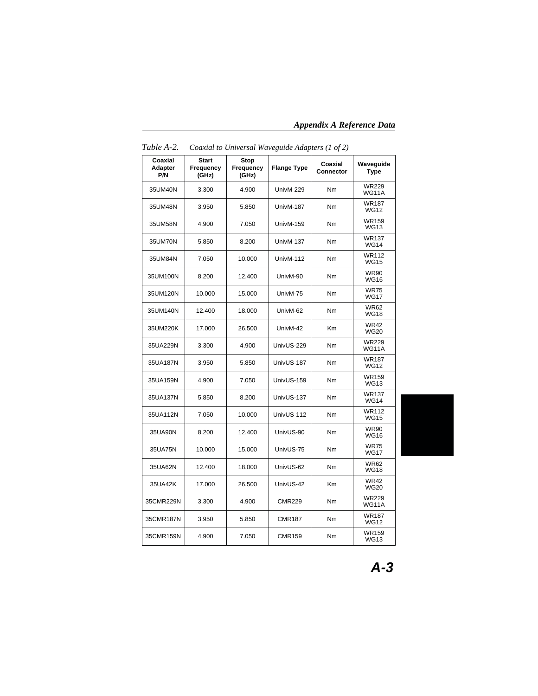*Appendix A Reference Data*

| Coaxial<br>Adapter<br>P/N | <b>Start</b><br><b>Frequency</b><br>(GHz) | Stop<br>Frequency<br>(GHz) | <b>Flange Type</b> | Coaxial<br><b>Connector</b> | Waveguide<br>Type            |
|---------------------------|-------------------------------------------|----------------------------|--------------------|-----------------------------|------------------------------|
| 35UM40N                   | 3.300                                     | 4.900                      | UnivM-229          | Nm                          | <b>WR229</b><br><b>WG11A</b> |
| 35UM48N                   | 3.950                                     | 5.850                      | UnivM-187          | Nm                          | <b>WR187</b><br><b>WG12</b>  |
| 35UM58N                   | 4.900                                     | 7.050                      | UnivM-159          | Nm                          | WR159<br><b>WG13</b>         |
| 35UM70N                   | 5.850                                     | 8.200                      | UnivM-137          | Nm                          | <b>WR137</b><br><b>WG14</b>  |
| 35UM84N                   | 7.050                                     | 10.000                     | UnivM-112          | Nm                          | <b>WR112</b><br><b>WG15</b>  |
| 35UM100N                  | 8.200                                     | 12.400                     | UnivM-90           | Nm                          | <b>WR90</b><br><b>WG16</b>   |
| 35UM120N                  | 10.000                                    | 15.000                     | UnivM-75           | Nm                          | <b>WR75</b><br><b>WG17</b>   |
| 35UM140N                  | 12.400                                    | 18.000                     | UnivM-62           | Nm                          | <b>WR62</b><br><b>WG18</b>   |
| 35UM220K                  | 17.000                                    | 26.500                     | UnivM-42           | Km                          | <b>WR42</b><br><b>WG20</b>   |
| 35UA229N                  | 3.300                                     | 4.900                      | UnivUS-229         | Nm                          | <b>WR229</b><br><b>WG11A</b> |
| 35UA187N                  | 3.950                                     | 5.850                      | UnivUS-187         | Nm                          | <b>WR187</b><br><b>WG12</b>  |
| 35UA159N                  | 4.900                                     | 7.050                      | UnivUS-159         | Nm                          | <b>WR159</b><br><b>WG13</b>  |
| 35UA137N                  | 5.850                                     | 8.200                      | UnivUS-137         | Nm                          | <b>WR137</b><br><b>WG14</b>  |
| 35UA112N                  | 7.050                                     | 10.000                     | UnivUS-112         | Nm                          | <b>WR112</b><br><b>WG15</b>  |
| 35UA90N                   | 8.200                                     | 12.400                     | UnivUS-90          | Nm                          | <b>WR90</b><br><b>WG16</b>   |
| 35UA75N                   | 10.000                                    | 15.000                     | UnivUS-75          | Nm                          | <b>WR75</b><br><b>WG17</b>   |
| 35UA62N                   | 12.400                                    | 18.000                     | UnivUS-62          | Nm                          | <b>WR62</b><br><b>WG18</b>   |
| 35UA42K                   | 17.000                                    | 26.500                     | UnivUS-42          | Km                          | <b>WR42</b><br><b>WG20</b>   |
| 35CMR229N                 | 3.300                                     | 4.900                      | <b>CMR229</b>      | Nm                          | <b>WR229</b><br><b>WG11A</b> |
| 35CMR187N                 | 3.950                                     | 5.850                      | <b>CMR187</b>      | Nm                          | <b>WR187</b><br><b>WG12</b>  |
| 35CMR159N                 | 4.900                                     | 7.050                      | <b>CMR159</b>      | Nm                          | <b>WR159</b><br><b>WG13</b>  |

*Table A-2. Coaxial to Universal Waveguide Adapters (1 of 2)*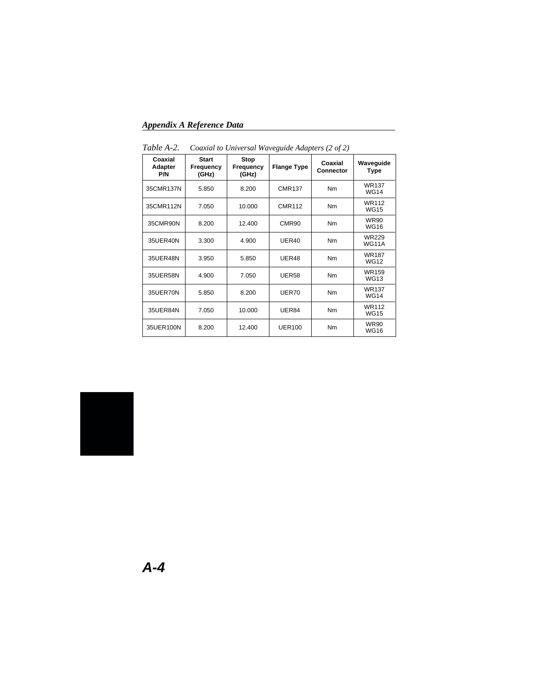*Appendix A Reference Data*

| Coaxial<br>Adapter<br>P/N | <b>Start</b><br>Frequency<br>(GHz) | Stop<br>Frequency<br>(GHz) | <b>Flange Type</b> | Coaxial<br><b>Connector</b> | Waveguide<br><b>Type</b>     |
|---------------------------|------------------------------------|----------------------------|--------------------|-----------------------------|------------------------------|
| 35CMR137N                 | 5.850                              | 8.200                      | <b>CMR137</b>      | Nm                          | <b>WR137</b><br><b>WG14</b>  |
| 35CMR112N                 | 7.050                              | 10.000                     | <b>CMR112</b>      | Nm                          | <b>WR112</b><br><b>WG15</b>  |
| 35CMR90N                  | 8.200                              | 12.400                     | CMR <sub>90</sub>  | Nm                          | <b>WR90</b><br><b>WG16</b>   |
| 35UER40N                  | 3.300                              | 4.900                      | UER40              | Nm                          | <b>WR229</b><br><b>WG11A</b> |
| 35UER48N                  | 3.950                              | 5.850                      | UER48              | Nm                          | <b>WR187</b><br><b>WG12</b>  |
| 35UER58N                  | 4.900                              | 7.050                      | <b>UER58</b>       | Nm                          | WR159<br><b>WG13</b>         |
| 35UER70N                  | 5.850                              | 8.200                      | UER70              | Nm                          | <b>WR137</b><br><b>WG14</b>  |
| 35UER84N                  | 7.050                              | 10.000                     | UER84              | Nm                          | <b>WR112</b><br><b>WG15</b>  |
| 35UER100N                 | 8.200                              | 12.400                     | <b>UER100</b>      | Nm                          | <b>WR90</b><br><b>WG16</b>   |

*Table A-2. Coaxial to Universal Waveguide Adapters (2 of 2)*

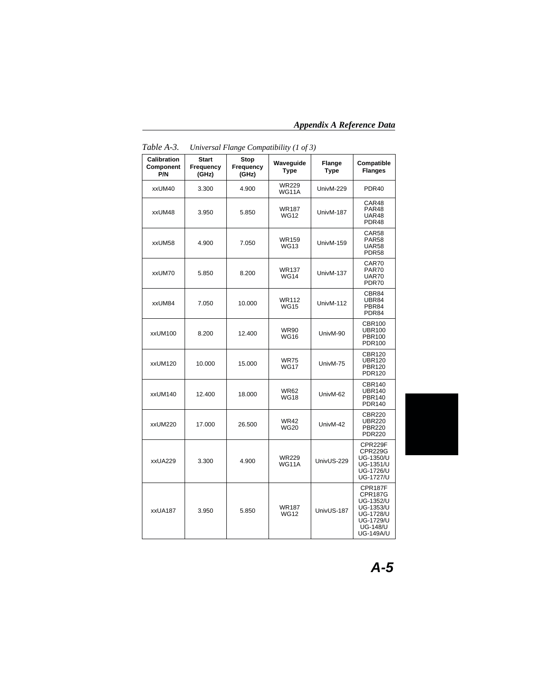*Appendix A Reference Data*

| Calibration<br>Component<br>P/N | <b>Start</b><br>Frequency<br>(GHz) | Stop<br>Frequency<br>(GHz) | Waveguide<br><b>Type</b>     | Flange<br><b>Type</b> | Compatible<br><b>Flanges</b>                                                                                                       |
|---------------------------------|------------------------------------|----------------------------|------------------------------|-----------------------|------------------------------------------------------------------------------------------------------------------------------------|
| xxUM40                          | 3.300                              | 4.900                      | <b>WR229</b><br>WG11A        | UnivM-229             | PDR <sub>40</sub>                                                                                                                  |
| xxUM48                          | 3.950                              | 5.850                      | <b>WR187</b><br><b>WG12</b>  | UnivM-187             | CAR48<br>PAR <sub>48</sub><br>UAR48<br>PDR48                                                                                       |
| xxUM58                          | 4.900                              | 7.050                      | <b>WR159</b><br><b>WG13</b>  | UnivM-159             | CAR58<br><b>PAR58</b><br><b>UAR58</b><br><b>PDR58</b>                                                                              |
| xxUM70                          | 5.850                              | 8.200                      | <b>WR137</b><br><b>WG14</b>  | UnivM-137             | CAR70<br>PAR70<br>UAR70<br>PDR70                                                                                                   |
| xxUM84                          | 7.050                              | 10.000                     | <b>WR112</b><br><b>WG15</b>  | UnivM-112             | CBR84<br>UBR84<br>PBR84<br>PDR84                                                                                                   |
| xxUM100                         | 8.200                              | 12.400                     | <b>WR90</b><br><b>WG16</b>   | UnivM-90              | <b>CBR100</b><br><b>UBR100</b><br><b>PBR100</b><br><b>PDR100</b>                                                                   |
| xxUM120                         | 10.000                             | 15.000                     | <b>WR75</b><br><b>WG17</b>   | UnivM-75              | <b>CBR120</b><br><b>UBR120</b><br><b>PBR120</b><br><b>PDR120</b>                                                                   |
| xxUM140                         | 12.400                             | 18.000                     | <b>WR62</b><br><b>WG18</b>   | UnivM-62              | <b>CBR140</b><br><b>UBR140</b><br><b>PBR140</b><br><b>PDR140</b>                                                                   |
| xxUM220                         | 17.000                             | 26.500                     | <b>WR42</b><br><b>WG20</b>   | UnivM-42              | CBR220<br><b>UBR220</b><br><b>PBR220</b><br><b>PDR220</b>                                                                          |
| xxUA229                         | 3.300                              | 4.900                      | <b>WR229</b><br><b>WG11A</b> | UnivUS-229            | CPR229F<br><b>CPR229G</b><br>UG-1350/U<br>UG-1351/U<br><b>UG-1726/U</b><br><b>UG-1727/U</b>                                        |
| xxUA187                         | 3.950                              | 5.850                      | <b>WR187</b><br><b>WG12</b>  | UnivUS-187            | CPR187F<br><b>CPR187G</b><br>UG-1352/U<br>UG-1353/U<br><b>UG-1728/U</b><br><b>UG-1729/U</b><br><b>UG-148/U</b><br><b>UG-149A/U</b> |

*Table A-3. Universal Flange Compatibility (1 of 3)*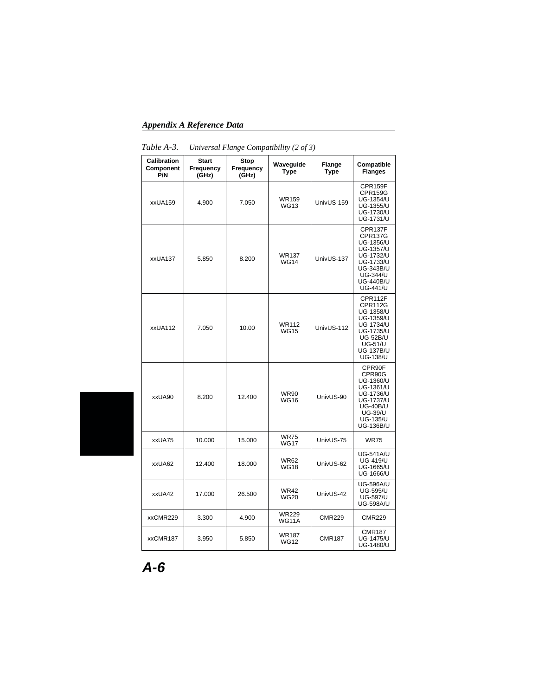### *Appendix A Reference Data*

| <b>Calibration</b><br>Component<br>P/N | <b>Start</b><br>Frequency<br>(GHz) | Stop<br>Frequency<br>(GHz) | Waveguide<br><b>Type</b>     | Flange<br><b>Type</b> | Compatible<br><b>Flanges</b>                                                                                                                                       |
|----------------------------------------|------------------------------------|----------------------------|------------------------------|-----------------------|--------------------------------------------------------------------------------------------------------------------------------------------------------------------|
| xxUA159                                | 4.900                              | 7.050                      | WR159<br><b>WG13</b>         | UnivUS-159            | CPR159F<br><b>CPR159G</b><br>UG-1354/U<br>UG-1355/U<br>UG-1730/U<br>UG-1731/U                                                                                      |
| xxUA137                                | 5.850                              | 8.200                      | <b>WR137</b><br><b>WG14</b>  | UnivUS-137            | CPR137F<br><b>CPR137G</b><br>UG-1356/U<br><b>UG-1357/U</b><br>UG-1732/U<br>UG-1733/U<br><b>UG-343B/U</b><br><b>UG-344/U</b><br><b>UG-440B/U</b><br><b>UG-441/U</b> |
| xxUA112                                | 7.050                              | 10.00                      | <b>WR112</b><br><b>WG15</b>  | UnivUS-112            | CPR112F<br>CPR112G<br>UG-1358/U<br>UG-1359/U<br><b>UG-1734/U</b><br>UG-1735/U<br><b>UG-52B/U</b><br><b>UG-51/U</b><br><b>UG-137B/U</b><br><b>UG-138/U</b>          |
| xxUA90                                 | 8.200                              | 12.400                     | <b>WR90</b><br><b>WG16</b>   | UnivUS-90             | CPR90F<br>CPR90G<br>UG-1360/U<br>UG-1361/U<br>UG-1736/U<br><b>UG-1737/U</b><br><b>UG-40B/U</b><br><b>UG-39/U</b><br><b>UG-135/U</b><br>UG-136B/U                   |
| xxUA75                                 | 10.000                             | 15.000                     | <b>WR75</b><br><b>WG17</b>   | UnivUS-75             | <b>WR75</b>                                                                                                                                                        |
| xxUA62                                 | 12.400                             | 18.000                     | <b>WR62</b><br><b>WG18</b>   | UnivUS-62             | UG-541A/U<br><b>UG-419/U</b><br>UG-1665/U<br>UG-1666/U                                                                                                             |
| xxUA42                                 | 17.000                             | 26.500                     | <b>WR42</b><br><b>WG20</b>   | UnivUS-42             | <b>UG-596A/U</b><br><b>UG-595/U</b><br><b>UG-597/U</b><br><b>UG-598A/U</b>                                                                                         |
| xxCMR229                               | 3.300                              | 4.900                      | <b>WR229</b><br><b>WG11A</b> | <b>CMR229</b>         | <b>CMR229</b>                                                                                                                                                      |
| xxCMR187                               | 3.950                              | 5.850                      | <b>WR187</b><br><b>WG12</b>  | <b>CMR187</b>         | CMR187<br><b>UG-1475/U</b><br>UG-1480/U                                                                                                                            |

*Table A-3. Universal Flange Compatibility (2 of 3)*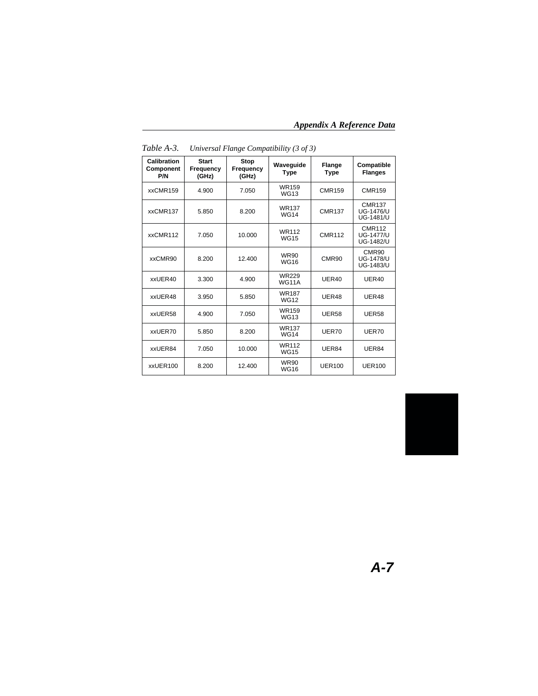*Appendix A Reference Data*

| Calibration<br>Component<br>P/N | <b>Start</b><br>Frequency<br>(GHz) | <b>Stop</b><br>Frequency<br>(GHz) | Waveguide<br><b>Type</b>     | <b>Flange</b><br><b>Type</b> | Compatible<br><b>Flanges</b>                          |
|---------------------------------|------------------------------------|-----------------------------------|------------------------------|------------------------------|-------------------------------------------------------|
| xxCMR159                        | 4.900                              | 7.050                             | WR159<br><b>WG13</b>         | <b>CMR159</b>                | <b>CMR159</b>                                         |
| xxCMR137                        | 5.850                              | 8.200                             | <b>WR137</b><br><b>WG14</b>  | <b>CMR137</b>                | <b>CMR137</b><br><b>UG-1476/U</b><br>UG-1481/U        |
| xxCMR112                        | 7.050                              | 10.000                            | <b>WR112</b><br><b>WG15</b>  | <b>CMR112</b>                | <b>CMR112</b><br><b>UG-1477/U</b><br><b>UG-1482/U</b> |
| xxCMR90                         | 8.200                              | 12.400                            | <b>WR90</b><br><b>WG16</b>   | CMR90                        | CMR90<br><b>UG-1478/U</b><br>UG-1483/U                |
| xxUER40                         | 3.300                              | 4.900                             | <b>WR229</b><br><b>WG11A</b> | UER40                        | <b>UER40</b>                                          |
| xxUER48                         | 3.950                              | 5.850                             | <b>WR187</b><br><b>WG12</b>  | UER48                        | UER48                                                 |
| xxUER58                         | 4.900                              | 7.050                             | WR159<br><b>WG13</b>         | <b>UER58</b>                 | <b>UER58</b>                                          |
| xxUER70                         | 5.850                              | 8.200                             | <b>WR137</b><br><b>WG14</b>  | UER70                        | <b>UER70</b>                                          |
| xxUER84                         | 7.050                              | 10.000                            | <b>WR112</b><br><b>WG15</b>  | UER84                        | UER84                                                 |
| xxUER100                        | 8.200                              | 12.400                            | <b>WR90</b><br><b>WG16</b>   | <b>UER100</b>                | <b>UER100</b>                                         |

*Table A-3. Universal Flange Compatibility (3 of 3)*

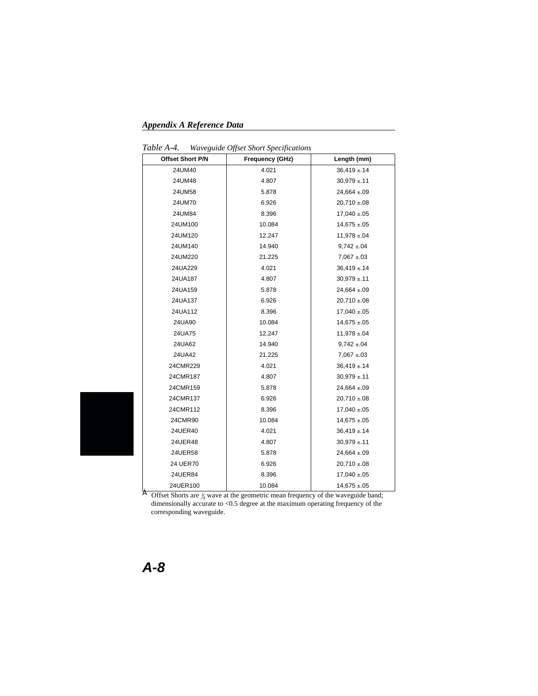*Appendix A Reference Data*

*Table A-4. Waveguide Offset Short Specifications*

| Offset Short P/N                                                                                 | Frequency (GHz) | Length (mm)       |  |  |  |
|--------------------------------------------------------------------------------------------------|-----------------|-------------------|--|--|--|
| 24UM40                                                                                           | 4.021           | $36,419 \pm 14$   |  |  |  |
| 24UM48                                                                                           | 4.807           | $30,979 \pm 11$   |  |  |  |
| 24UM58                                                                                           | 5.878           | $24,664 \pm .09$  |  |  |  |
| 24UM70                                                                                           | 6.926           | $20,710 \pm 08$   |  |  |  |
| 24UM84                                                                                           | 8.396           | $17,040 \pm 0.05$ |  |  |  |
| 24UM100                                                                                          | 10.084          | $14,675 \pm .05$  |  |  |  |
| 24UM120                                                                                          | 12.247          | $11,978 \pm .04$  |  |  |  |
| 24UM140                                                                                          | 14.940          | $9,742 \pm .04$   |  |  |  |
| 24UM220                                                                                          | 21.225          | $7,067 \pm .03$   |  |  |  |
| 24UA229                                                                                          | 4.021           | $36,419 \pm 14$   |  |  |  |
| 24UA187                                                                                          | 4.807           | $30,979 \pm 11$   |  |  |  |
| 24UA159                                                                                          | 5.878           | $24,664 \pm .09$  |  |  |  |
| 24UA137                                                                                          | 6.926           | $20,710 \pm .08$  |  |  |  |
| 24UA112                                                                                          | 8.396           | $17,040 \pm .05$  |  |  |  |
| 24UA90                                                                                           | 10.084          | $14,675 \pm .05$  |  |  |  |
| 24UA75                                                                                           | 12.247          | $11,978 \pm 04$   |  |  |  |
| 24UA62                                                                                           | 14.940          | $9,742 \pm .04$   |  |  |  |
| 24UA42                                                                                           | 21.225          | $7,067 \pm .03$   |  |  |  |
| 24CMR229                                                                                         | 4.021           | $36,419 \pm 14$   |  |  |  |
| 24CMR187                                                                                         | 4.807           | $30,979 \pm .11$  |  |  |  |
| 24CMR159                                                                                         | 5.878           | $24,664 \pm 09$   |  |  |  |
| 24CMR137                                                                                         | 6.926           | $20,710 \pm .08$  |  |  |  |
| 24CMR112                                                                                         | 8.396           | $17,040 \pm 0.05$ |  |  |  |
| 24CMR90                                                                                          | 10.084          | $14,675 \pm .05$  |  |  |  |
| 24UER40                                                                                          | 4.021           | $36,419 \pm 14$   |  |  |  |
| 24UER48                                                                                          | 4.807           | $30,979 \pm .11$  |  |  |  |
| 24UER58                                                                                          | 5.878           | $24,664 \pm .09$  |  |  |  |
| 24 UER70                                                                                         | 6.926           | $20,710 \pm .08$  |  |  |  |
| 24UER84                                                                                          | 8.396           | $17,040 \pm 0.05$ |  |  |  |
| 24UER100                                                                                         | 10.084          | $14,675 \pm .05$  |  |  |  |
| À<br>Offset Shorts are $\frac{2}{8}$ wave at the geometric mean frequency of the waveguide band; |                 |                   |  |  |  |

dimensionally accurate to <0.5 degree at the maximum operating frequency of the corresponding waveguide.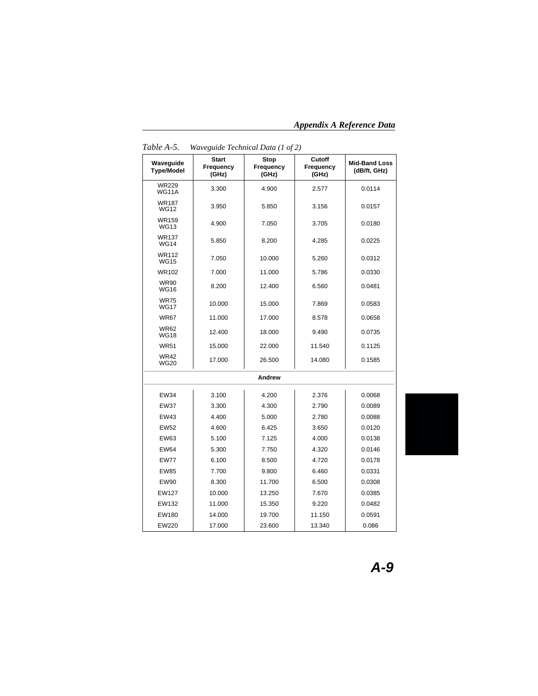*Appendix A Reference Data*

| Waveguide<br><b>Type/Model</b> | <b>Start</b><br>Frequency<br>(GHz) | Stop<br>Frequency<br>(GHz) | Cutoff<br>Frequency<br>(GHz) | <b>Mid-Band Loss</b><br>(dB/ft, GHz) |  |  |
|--------------------------------|------------------------------------|----------------------------|------------------------------|--------------------------------------|--|--|
| <b>WR229</b><br><b>WG11A</b>   | 3.300                              | 4.900                      | 2.577                        | 0.0114                               |  |  |
| <b>WR187</b><br><b>WG12</b>    | 3.950                              | 5.850                      | 3.156                        | 0.0157                               |  |  |
| <b>WR159</b><br><b>WG13</b>    | 4.900                              | 7.050                      | 3.705                        | 0.0180                               |  |  |
| <b>WR137</b><br><b>WG14</b>    | 5.850                              | 8.200                      | 4.285                        | 0.0225                               |  |  |
| <b>WR112</b><br><b>WG15</b>    | 7.050                              | 10.000                     | 5.260                        | 0.0312                               |  |  |
| <b>WR102</b>                   | 7.000                              | 11.000                     | 5.786                        | 0.0330                               |  |  |
| <b>WR90</b><br><b>WG16</b>     | 8.200                              | 12.400                     | 6.560                        | 0.0481                               |  |  |
| <b>WR75</b><br><b>WG17</b>     | 10.000                             | 15.000                     | 7.869                        | 0.0583                               |  |  |
| <b>WR67</b>                    | 11.000                             | 17.000                     | 8.578                        | 0.0658                               |  |  |
| <b>WR62</b><br><b>WG18</b>     | 12.400                             | 18.000                     | 9.490                        | 0.0735                               |  |  |
| <b>WR51</b>                    | 15.000                             | 22.000                     | 11.540                       | 0.1125                               |  |  |
| <b>WR42</b><br><b>WG20</b>     | 17.000                             | 26.500                     | 14.080                       | 0.1585                               |  |  |
| Andrew                         |                                    |                            |                              |                                      |  |  |
| <b>EW34</b>                    | 3.100                              | 4.200                      | 2.376                        | 0.0068                               |  |  |
| <b>EW37</b>                    | 3.300                              | 4.300                      | 2.790                        | 0.0089                               |  |  |
| <b>EW43</b>                    | 4.400                              | 5.000                      | 2.780                        | 0.0088                               |  |  |
| <b>EW52</b>                    | 4.600                              | 6.425                      | 3.650                        | 0.0120                               |  |  |
| EW63                           | 5.100                              | 7.125                      | 4.000                        | 0.0138                               |  |  |
| <b>EW64</b>                    | 5.300                              | 7.750                      | 4.320                        | 0.0146                               |  |  |
| <b>EW77</b>                    | 6.100                              | 8.500                      | 4.720                        | 0.0178                               |  |  |
| <b>EW85</b>                    | 7.700                              | 9.800                      | 6.460                        | 0.0331                               |  |  |
| <b>EW90</b>                    | 8.300                              | 11.700                     | 6.500                        | 0.0308                               |  |  |
| <b>EW127</b>                   | 10.000                             | 13.250                     | 7.670                        | 0.0385                               |  |  |
| EW132                          | 11.000                             | 15.350                     | 9.220                        | 0.0482                               |  |  |
| EW180                          | 14.000                             | 19.700                     | 11.150                       | 0.0591                               |  |  |
| EW220                          | 17.000                             | 23.600                     | 13.340                       | 0.086                                |  |  |

*Table A-5. Waveguide Technical Data (1 of 2)*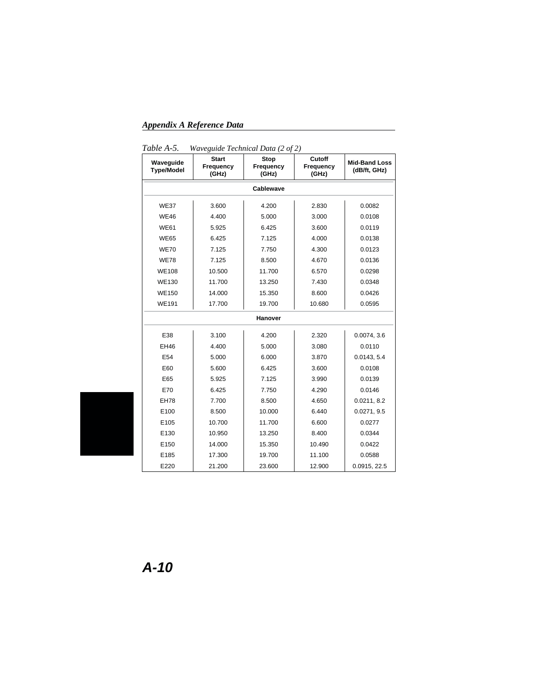*Appendix A Reference Data*

|                                | $max$ $sum$                        |                            |                              |                                      |  |  |
|--------------------------------|------------------------------------|----------------------------|------------------------------|--------------------------------------|--|--|
| Waveguide<br><b>Type/Model</b> | <b>Start</b><br>Frequency<br>(GHz) | Stop<br>Frequency<br>(GHz) | Cutoff<br>Frequency<br>(GHz) | <b>Mid-Band Loss</b><br>(dB/ft, GHz) |  |  |
| Cablewave                      |                                    |                            |                              |                                      |  |  |
| <b>WE37</b>                    | 3.600                              | 4.200                      | 2.830                        | 0.0082                               |  |  |
| <b>WE46</b>                    | 4.400                              | 5.000                      | 3.000                        | 0.0108                               |  |  |
| <b>WE61</b>                    | 5.925                              | 6.425                      | 3.600                        | 0.0119                               |  |  |
| <b>WE65</b>                    | 6.425                              | 7.125                      | 4.000                        | 0.0138                               |  |  |
| <b>WE70</b>                    | 7.125                              | 7.750                      | 4.300                        | 0.0123                               |  |  |
| <b>WE78</b>                    | 7.125                              | 8.500                      | 4.670                        | 0.0136                               |  |  |
| <b>WE108</b>                   | 10.500                             | 11.700                     | 6.570                        | 0.0298                               |  |  |
| <b>WE130</b>                   | 11.700                             | 13.250                     | 7.430                        | 0.0348                               |  |  |
| <b>WE150</b>                   | 14.000                             | 15.350                     | 8.600                        | 0.0426                               |  |  |
| <b>WE191</b>                   | 17.700                             | 19.700                     | 10.680                       | 0.0595                               |  |  |
| Hanover                        |                                    |                            |                              |                                      |  |  |
| E38                            | 3.100                              | 4.200                      | 2.320                        | 0.0074, 3.6                          |  |  |
| <b>EH46</b>                    | 4.400                              | 5.000                      | 3.080                        | 0.0110                               |  |  |
| E54                            | 5.000                              | 6.000                      | 3.870                        | 0.0143, 5.4                          |  |  |
| E60                            | 5.600                              | 6.425                      | 3.600                        | 0.0108                               |  |  |
| E65                            | 5.925                              | 7.125                      | 3.990                        | 0.0139                               |  |  |
| E70                            | 6.425                              | 7.750                      | 4.290                        | 0.0146                               |  |  |
| <b>EH78</b>                    | 7.700                              | 8.500                      | 4.650                        | 0.0211, 8.2                          |  |  |
| E100                           | 8.500                              | 10.000                     | 6.440                        | 0.0271, 9.5                          |  |  |
| E105                           | 10.700                             | 11.700                     | 6.600                        | 0.0277                               |  |  |
| E130                           | 10.950                             | 13.250                     | 8.400                        | 0.0344                               |  |  |
| E150                           | 14.000                             | 15.350                     | 10.490                       | 0.0422                               |  |  |
| E185                           | 17.300                             | 19.700                     | 11.100                       | 0.0588                               |  |  |
| E220                           | 21.200                             | 23.600                     | 12.900                       | 0.0915, 22.5                         |  |  |

*Table A-5. Waveguide Technical Data (2 of 2)*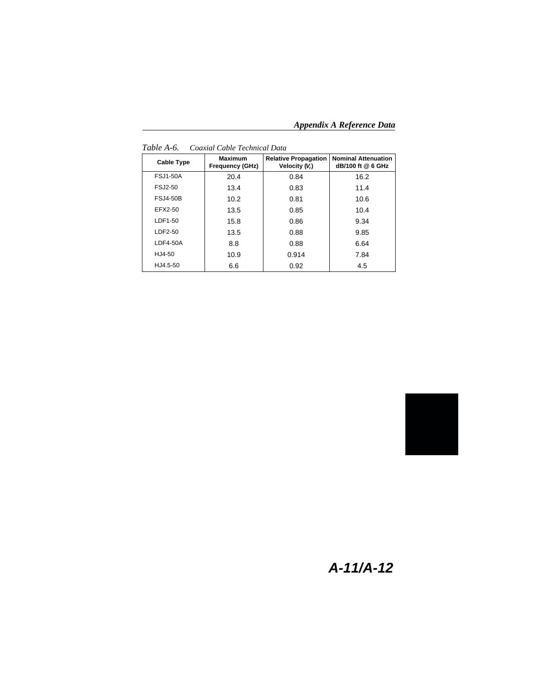*Appendix A Reference Data*

| <b>Cable Type</b> | <b>Maximum</b><br><b>Frequency (GHz)</b> | <b>Relative Propagation</b><br>Velocity (V.) | <b>Nominal Attenuation</b><br>dB/100 ft @ 6 GHz |
|-------------------|------------------------------------------|----------------------------------------------|-------------------------------------------------|
| <b>FSJ1-50A</b>   | 20.4                                     | 0.84                                         | 16.2                                            |
| FSJ2-50           | 13.4                                     | 0.83                                         | 11.4                                            |
| <b>FSJ4-50B</b>   | 10.2                                     | 0.81                                         | 10.6                                            |
| EFX2-50           | 13.5                                     | 0.85                                         | 10.4                                            |
| LDF1-50           | 15.8                                     | 0.86                                         | 9.34                                            |
| LDF2-50           | 13.5                                     | 0.88                                         | 9.85                                            |
| $LDF4-50A$        | 8.8                                      | 0.88                                         | 6.64                                            |
| HJ4-50            | 10.9                                     | 0.914                                        | 7.84                                            |
| HJ4.5-50          | 6.6                                      | 0.92                                         | 4.5                                             |

*Table A-6. Coaxial Cable Technical Data*



## **A-11/A-12**